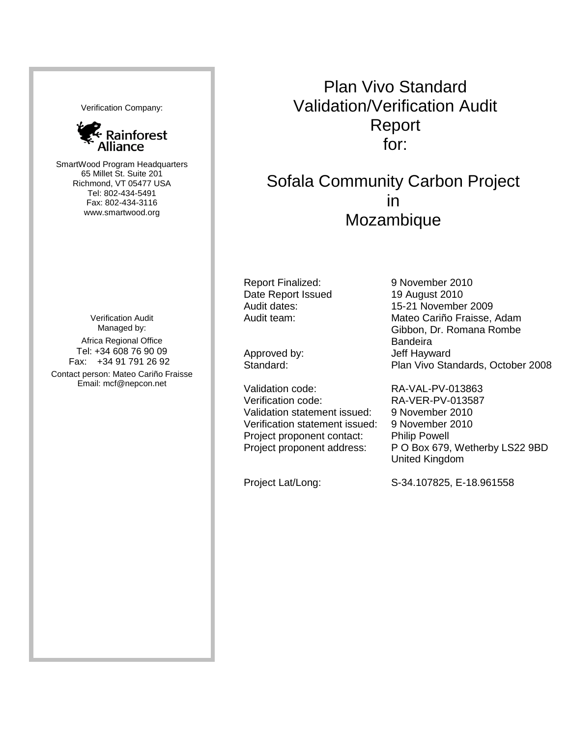Verification Company:



SmartWood Program Headquarters 65 Millet St. Suite 201 Richmond, VT 05477 USA Tel: 802-434-5491 Fax: 802-434-3116 www.smartwood.org

Verification Audit Managed by: Africa Regional Office Tel: +34 608 76 90 09 Fax: +34 91 791 26 92 Contact person: Mateo Cariño Fraisse Email: mcf@nepcon.net

Plan Vivo Standard Validation/Verification Audit Report for:

Sofala Community Carbon Project in Mozambique

Report Finalized: Date Report Issued

Validation code: Verification code: Validation statement issued: Verification statement issued: Project proponent contact: Philip Powell

9 November 2010 19 August 2010 Audit dates: 15-21 November 2009 Audit team: Mateo Cariño Fraisse, Adam Gibbon, Dr. Romana Rombe **Bandeira** Approved by:<br>
Standard: Standard: Plan Vivo Sta Plan Vivo Standards, October 2008

RA-VAL-PV-013863 RA-VER-PV-013587 9 November 2010 9 November 2010 Project proponent address: P O Box 679, Wetherby LS22 9BD United Kingdom

Project Lat/Long: S-34.107825, E-18.961558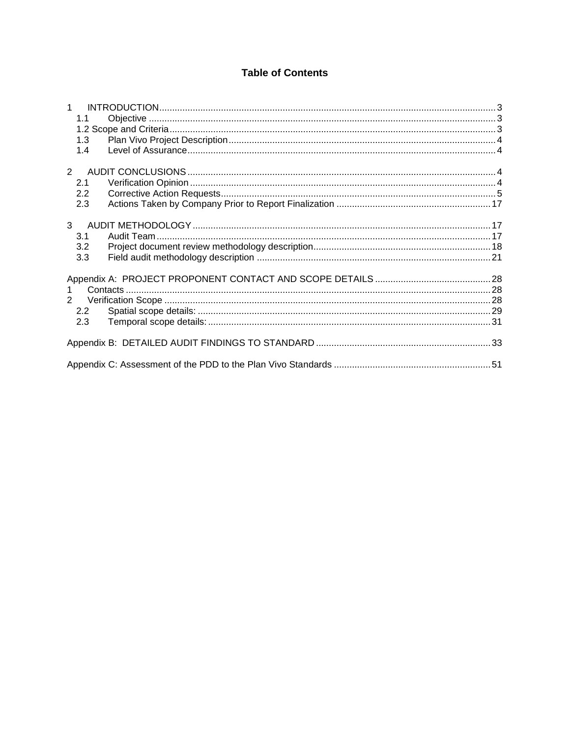## **Table of Contents**

| 1              |  |
|----------------|--|
| 1.1            |  |
|                |  |
| 1.3            |  |
| 1.4            |  |
| $2^{\circ}$    |  |
| 2.1            |  |
| 2.2            |  |
| 2.3            |  |
| 3 <sup>1</sup> |  |
| 3.1            |  |
| 3.2            |  |
| 3.3            |  |
|                |  |
| $\mathbf{1}$   |  |
| $2^{\circ}$    |  |
| 2.2            |  |
| 2.3            |  |
|                |  |
|                |  |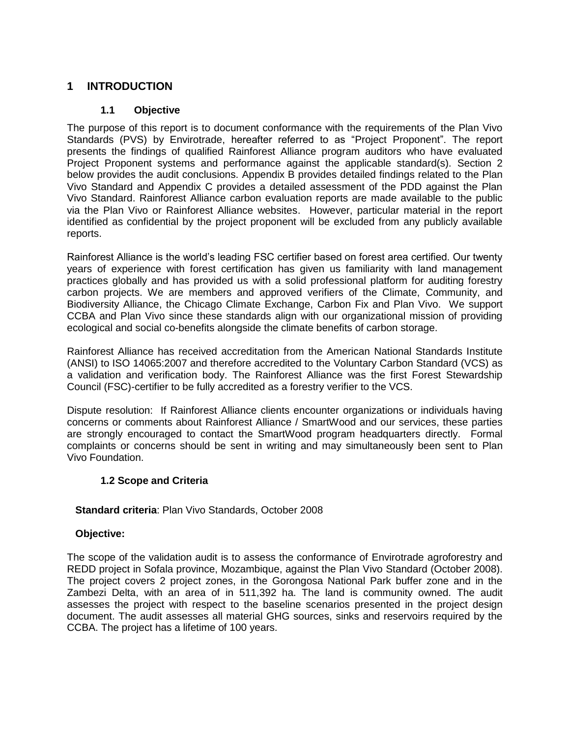## <span id="page-2-0"></span>**1 INTRODUCTION**

## **1.1 Objective**

<span id="page-2-1"></span>The purpose of this report is to document conformance with the requirements of the Plan Vivo Standards (PVS) by Envirotrade, hereafter referred to as "Project Proponent". The report presents the findings of qualified Rainforest Alliance program auditors who have evaluated Project Proponent systems and performance against the applicable standard(s). Section 2 below provides the audit conclusions. Appendix B provides detailed findings related to the Plan Vivo Standard and Appendix C provides a detailed assessment of the PDD against the Plan Vivo Standard. Rainforest Alliance carbon evaluation reports are made available to the public via the Plan Vivo or Rainforest Alliance websites. However, particular material in the report identified as confidential by the project proponent will be excluded from any publicly available reports.

Rainforest Alliance is the world"s leading FSC certifier based on forest area certified. Our twenty years of experience with forest certification has given us familiarity with land management practices globally and has provided us with a solid professional platform for auditing forestry carbon projects. We are members and approved verifiers of the Climate, Community, and Biodiversity Alliance, the Chicago Climate Exchange, Carbon Fix and Plan Vivo. We support CCBA and Plan Vivo since these standards align with our organizational mission of providing ecological and social co-benefits alongside the climate benefits of carbon storage.

Rainforest Alliance has received accreditation from the American National Standards Institute (ANSI) to ISO 14065:2007 and therefore accredited to the Voluntary Carbon Standard (VCS) as a validation and verification body. The Rainforest Alliance was the first Forest Stewardship Council (FSC)-certifier to be fully accredited as a forestry verifier to the VCS.

Dispute resolution: If Rainforest Alliance clients encounter organizations or individuals having concerns or comments about Rainforest Alliance / SmartWood and our services, these parties are strongly encouraged to contact the SmartWood program headquarters directly. Formal complaints or concerns should be sent in writing and may simultaneously been sent to Plan Vivo Foundation.

## **1.2 Scope and Criteria**

## <span id="page-2-2"></span>**Standard criteria**: Plan Vivo Standards, October 2008

## **Objective:**

The scope of the validation audit is to assess the conformance of Envirotrade agroforestry and REDD project in Sofala province, Mozambique, against the Plan Vivo Standard (October 2008). The project covers 2 project zones, in the Gorongosa National Park buffer zone and in the Zambezi Delta, with an area of in 511,392 ha. The land is community owned. The audit assesses the project with respect to the baseline scenarios presented in the project design document. The audit assesses all material GHG sources, sinks and reservoirs required by the CCBA. The project has a lifetime of 100 years.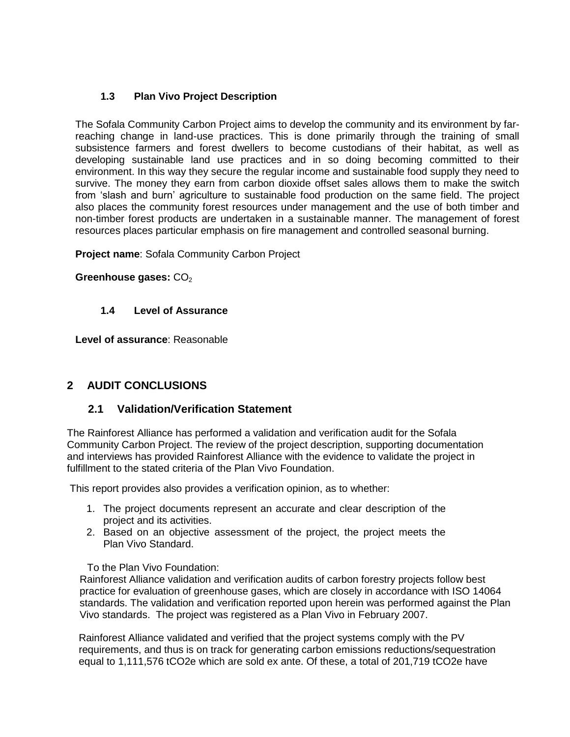## **1.3 Plan Vivo Project Description**

<span id="page-3-0"></span>The Sofala Community Carbon Project aims to develop the community and its environment by farreaching change in land-use practices. This is done primarily through the training of small subsistence farmers and forest dwellers to become custodians of their habitat, as well as developing sustainable land use practices and in so doing becoming committed to their environment. In this way they secure the regular income and sustainable food supply they need to survive. The money they earn from carbon dioxide offset sales allows them to make the switch from "slash and burn" agriculture to sustainable food production on the same field. The project also places the community forest resources under management and the use of both timber and non-timber forest products are undertaken in a sustainable manner. The management of forest resources places particular emphasis on fire management and controlled seasonal burning.

**Project name**: Sofala Community Carbon Project

Greenhouse gases: CO<sub>2</sub>

## **1.4 Level of Assurance**

<span id="page-3-1"></span>**Level of assurance**: Reasonable

## <span id="page-3-2"></span>**2 AUDIT CONCLUSIONS**

## <span id="page-3-3"></span>**2.1 Validation/Verification Statement**

The Rainforest Alliance has performed a validation and verification audit for the Sofala Community Carbon Project. The review of the project description, supporting documentation and interviews has provided Rainforest Alliance with the evidence to validate the project in fulfillment to the stated criteria of the Plan Vivo Foundation.

This report provides also provides a verification opinion, as to whether:

- 1. The project documents represent an accurate and clear description of the project and its activities.
- 2. Based on an objective assessment of the project, the project meets the Plan Vivo Standard.

To the Plan Vivo Foundation:

Rainforest Alliance validation and verification audits of carbon forestry projects follow best practice for evaluation of greenhouse gases, which are closely in accordance with ISO 14064 standards. The validation and verification reported upon herein was performed against the Plan Vivo standards. The project was registered as a Plan Vivo in February 2007.

Rainforest Alliance validated and verified that the project systems comply with the PV requirements, and thus is on track for generating carbon emissions reductions/sequestration equal to 1,111,576 tCO2e which are sold ex ante. Of these, a total of 201,719 tCO2e have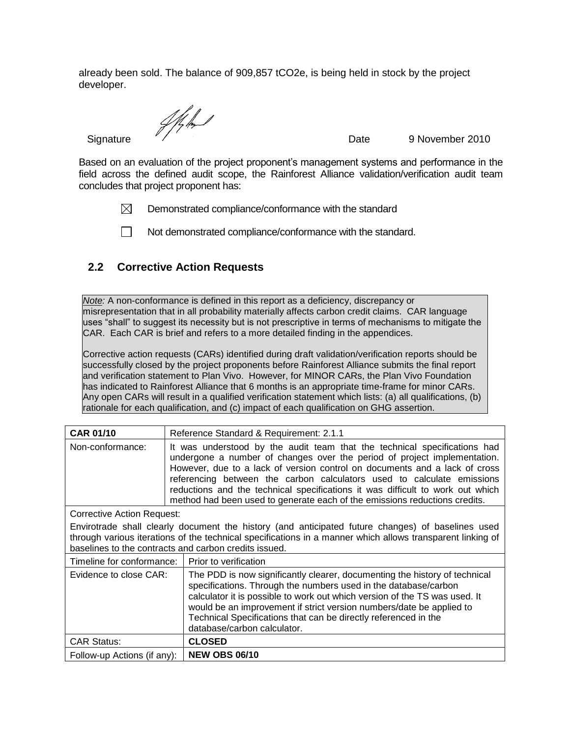already been sold. The balance of 909,857 tCO2e, is being held in stock by the project developer.

Signature  $\sqrt{\frac{1}{2}}$  Signature 9 November 2010

Based on an evaluation of the project proponent"s management systems and performance in the field across the defined audit scope, the Rainforest Alliance validation/verification audit team concludes that project proponent has:

 $\boxtimes$ Demonstrated compliance/conformance with the standard

 $\Box$  Not demonstrated compliance/conformance with the standard.

## <span id="page-4-0"></span>**2.2 Corrective Action Requests**

*Note:* A non-conformance is defined in this report as a deficiency, discrepancy or misrepresentation that in all probability materially affects carbon credit claims. CAR language uses "shall" to suggest its necessity but is not prescriptive in terms of mechanisms to mitigate the CAR. Each CAR is brief and refers to a more detailed finding in the appendices.

Corrective action requests (CARs) identified during draft validation/verification reports should be successfully closed by the project proponents before Rainforest Alliance submits the final report and verification statement to Plan Vivo. However, for MINOR CARs, the Plan Vivo Foundation has indicated to Rainforest Alliance that 6 months is an appropriate time-frame for minor CARs. Any open CARs will result in a qualified verification statement which lists: (a) all qualifications, (b) rationale for each qualification, and (c) impact of each qualification on GHG assertion.

| <b>CAR 01/10</b>                                                                                                                                                                                                                                                         | Reference Standard & Requirement: 2.1.1                                                                                                                                                                                                                                                                                                                                                                                                                                       |  |
|--------------------------------------------------------------------------------------------------------------------------------------------------------------------------------------------------------------------------------------------------------------------------|-------------------------------------------------------------------------------------------------------------------------------------------------------------------------------------------------------------------------------------------------------------------------------------------------------------------------------------------------------------------------------------------------------------------------------------------------------------------------------|--|
| Non-conformance:                                                                                                                                                                                                                                                         | It was understood by the audit team that the technical specifications had<br>undergone a number of changes over the period of project implementation.<br>However, due to a lack of version control on documents and a lack of cross<br>referencing between the carbon calculators used to calculate emissions<br>reductions and the technical specifications it was difficult to work out which<br>method had been used to generate each of the emissions reductions credits. |  |
| Corrective Action Request:                                                                                                                                                                                                                                               |                                                                                                                                                                                                                                                                                                                                                                                                                                                                               |  |
| Envirotrade shall clearly document the history (and anticipated future changes) of baselines used<br>through various iterations of the technical specifications in a manner which allows transparent linking of<br>baselines to the contracts and carbon credits issued. |                                                                                                                                                                                                                                                                                                                                                                                                                                                                               |  |
| Timeline for conformance:                                                                                                                                                                                                                                                | Prior to verification                                                                                                                                                                                                                                                                                                                                                                                                                                                         |  |
| Evidence to close CAR:                                                                                                                                                                                                                                                   | The PDD is now significantly clearer, documenting the history of technical<br>specifications. Through the numbers used in the database/carbon<br>calculator it is possible to work out which version of the TS was used. It<br>would be an improvement if strict version numbers/date be applied to<br>Technical Specifications that can be directly referenced in the<br>database/carbon calculator.                                                                         |  |
| <b>CAR Status:</b>                                                                                                                                                                                                                                                       | <b>CLOSED</b>                                                                                                                                                                                                                                                                                                                                                                                                                                                                 |  |
| Follow-up Actions (if any):                                                                                                                                                                                                                                              | <b>NEW OBS 06/10</b>                                                                                                                                                                                                                                                                                                                                                                                                                                                          |  |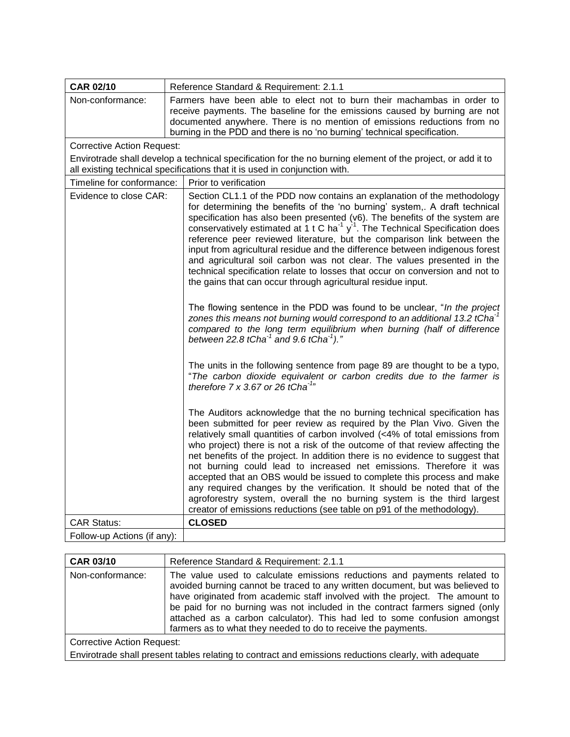| <b>CAR 02/10</b>                  | Reference Standard & Requirement: 2.1.1                                                                                                                                                                                                                                                                                                                                                                                                                                                                                                                                                                                                                                                                                                                                                                                                                                                                                                                                                                                                                                                                                                                                                                                                                                                                                                                                                                                                                                                                                                                                                                                                                                                                                                                                                                                                                                                        |
|-----------------------------------|------------------------------------------------------------------------------------------------------------------------------------------------------------------------------------------------------------------------------------------------------------------------------------------------------------------------------------------------------------------------------------------------------------------------------------------------------------------------------------------------------------------------------------------------------------------------------------------------------------------------------------------------------------------------------------------------------------------------------------------------------------------------------------------------------------------------------------------------------------------------------------------------------------------------------------------------------------------------------------------------------------------------------------------------------------------------------------------------------------------------------------------------------------------------------------------------------------------------------------------------------------------------------------------------------------------------------------------------------------------------------------------------------------------------------------------------------------------------------------------------------------------------------------------------------------------------------------------------------------------------------------------------------------------------------------------------------------------------------------------------------------------------------------------------------------------------------------------------------------------------------------------------|
| Non-conformance:                  | Farmers have been able to elect not to burn their machambas in order to<br>receive payments. The baseline for the emissions caused by burning are not<br>documented anywhere. There is no mention of emissions reductions from no<br>burning in the PDD and there is no 'no burning' technical specification.                                                                                                                                                                                                                                                                                                                                                                                                                                                                                                                                                                                                                                                                                                                                                                                                                                                                                                                                                                                                                                                                                                                                                                                                                                                                                                                                                                                                                                                                                                                                                                                  |
| <b>Corrective Action Request:</b> |                                                                                                                                                                                                                                                                                                                                                                                                                                                                                                                                                                                                                                                                                                                                                                                                                                                                                                                                                                                                                                                                                                                                                                                                                                                                                                                                                                                                                                                                                                                                                                                                                                                                                                                                                                                                                                                                                                |
|                                   | Envirotrade shall develop a technical specification for the no burning element of the project, or add it to<br>all existing technical specifications that it is used in conjunction with.                                                                                                                                                                                                                                                                                                                                                                                                                                                                                                                                                                                                                                                                                                                                                                                                                                                                                                                                                                                                                                                                                                                                                                                                                                                                                                                                                                                                                                                                                                                                                                                                                                                                                                      |
| Timeline for conformance:         | Prior to verification                                                                                                                                                                                                                                                                                                                                                                                                                                                                                                                                                                                                                                                                                                                                                                                                                                                                                                                                                                                                                                                                                                                                                                                                                                                                                                                                                                                                                                                                                                                                                                                                                                                                                                                                                                                                                                                                          |
| Evidence to close CAR:            | Section CL1.1 of the PDD now contains an explanation of the methodology<br>for determining the benefits of the 'no burning' system,. A draft technical<br>specification has also been presented (v6). The benefits of the system are<br>conservatively estimated at 1 t C ha <sup>-1</sup> $y$ <sup>-1</sup> . The Technical Specification does<br>reference peer reviewed literature, but the comparison link between the<br>input from agricultural residue and the difference between indigenous forest<br>and agricultural soil carbon was not clear. The values presented in the<br>technical specification relate to losses that occur on conversion and not to<br>the gains that can occur through agricultural residue input.<br>The flowing sentence in the PDD was found to be unclear, "In the project"<br>zones this means not burning would correspond to an additional 13.2 tCha <sup>-1</sup><br>compared to the long term equilibrium when burning (half of difference<br>between 22.8 tCha $^{-1}$ and 9.6 tCha $^{-1}$ )."<br>The units in the following sentence from page 89 are thought to be a typo,<br>"The carbon dioxide equivalent or carbon credits due to the farmer is<br>therefore $7 \times 3.67$ or 26 tCha <sup>-1</sup> "<br>The Auditors acknowledge that the no burning technical specification has<br>been submitted for peer review as required by the Plan Vivo. Given the<br>relatively small quantities of carbon involved (<4% of total emissions from<br>who project) there is not a risk of the outcome of that review affecting the<br>net benefits of the project. In addition there is no evidence to suggest that<br>not burning could lead to increased net emissions. Therefore it was<br>accepted that an OBS would be issued to complete this process and make<br>any required changes by the verification. It should be noted that of the |
|                                   | agroforestry system, overall the no burning system is the third largest                                                                                                                                                                                                                                                                                                                                                                                                                                                                                                                                                                                                                                                                                                                                                                                                                                                                                                                                                                                                                                                                                                                                                                                                                                                                                                                                                                                                                                                                                                                                                                                                                                                                                                                                                                                                                        |
|                                   | creator of emissions reductions (see table on p91 of the methodology).                                                                                                                                                                                                                                                                                                                                                                                                                                                                                                                                                                                                                                                                                                                                                                                                                                                                                                                                                                                                                                                                                                                                                                                                                                                                                                                                                                                                                                                                                                                                                                                                                                                                                                                                                                                                                         |
| <b>CAR Status:</b>                | <b>CLOSED</b>                                                                                                                                                                                                                                                                                                                                                                                                                                                                                                                                                                                                                                                                                                                                                                                                                                                                                                                                                                                                                                                                                                                                                                                                                                                                                                                                                                                                                                                                                                                                                                                                                                                                                                                                                                                                                                                                                  |
| Follow-up Actions (if any):       |                                                                                                                                                                                                                                                                                                                                                                                                                                                                                                                                                                                                                                                                                                                                                                                                                                                                                                                                                                                                                                                                                                                                                                                                                                                                                                                                                                                                                                                                                                                                                                                                                                                                                                                                                                                                                                                                                                |

| <b>CAR 03/10</b>           | Reference Standard & Requirement: 2.1.1                                                                                                                                                                                                                                                                                                                                                                                                                                |
|----------------------------|------------------------------------------------------------------------------------------------------------------------------------------------------------------------------------------------------------------------------------------------------------------------------------------------------------------------------------------------------------------------------------------------------------------------------------------------------------------------|
| Non-conformance:           | The value used to calculate emissions reductions and payments related to<br>avoided burning cannot be traced to any written document, but was believed to<br>have originated from academic staff involved with the project. The amount to<br>be paid for no burning was not included in the contract farmers signed (only<br>attached as a carbon calculator). This had led to some confusion amongst<br>farmers as to what they needed to do to receive the payments. |
| Corrective Action Request: |                                                                                                                                                                                                                                                                                                                                                                                                                                                                        |
|                            | Envirotrade shall present tables relating to contract and emissions reductions clearly, with adequate                                                                                                                                                                                                                                                                                                                                                                  |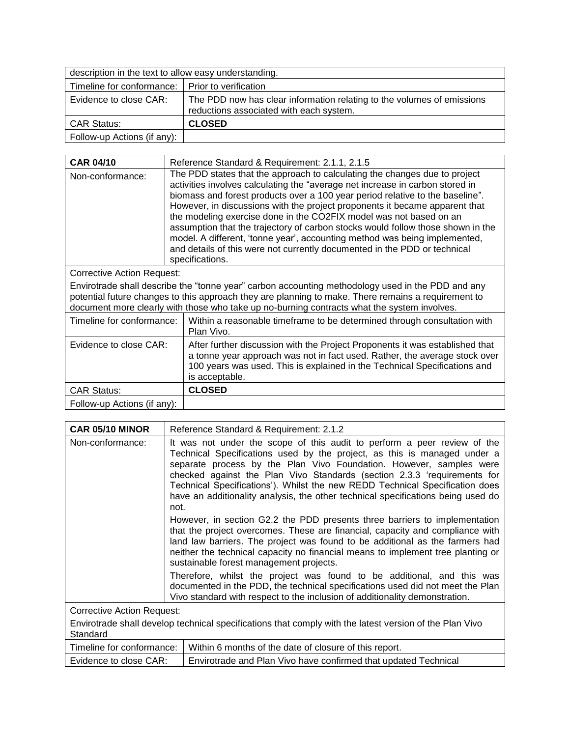| description in the text to allow easy understanding. |                                                                                                                   |  |
|------------------------------------------------------|-------------------------------------------------------------------------------------------------------------------|--|
| Timeline for conformance:   Prior to verification    |                                                                                                                   |  |
| Evidence to close CAR:                               | The PDD now has clear information relating to the volumes of emissions<br>reductions associated with each system. |  |
| <b>CAR Status:</b>                                   | <b>CLOSED</b>                                                                                                     |  |
| Follow-up Actions (if any):                          |                                                                                                                   |  |

| <b>CAR 04/10</b>                                                                                                                                                                                                                                                                                        | Reference Standard & Requirement: 2.1.1, 2.1.5                                                                                                                                                                                                                                                                                                                                                                                                                                                                                                                                                                                                                     |  |
|---------------------------------------------------------------------------------------------------------------------------------------------------------------------------------------------------------------------------------------------------------------------------------------------------------|--------------------------------------------------------------------------------------------------------------------------------------------------------------------------------------------------------------------------------------------------------------------------------------------------------------------------------------------------------------------------------------------------------------------------------------------------------------------------------------------------------------------------------------------------------------------------------------------------------------------------------------------------------------------|--|
| Non-conformance:                                                                                                                                                                                                                                                                                        | The PDD states that the approach to calculating the changes due to project<br>activities involves calculating the "average net increase in carbon stored in<br>biomass and forest products over a 100 year period relative to the baseline".<br>However, in discussions with the project proponents it became apparent that<br>the modeling exercise done in the CO2FIX model was not based on an<br>assumption that the trajectory of carbon stocks would follow those shown in the<br>model. A different, 'tonne year', accounting method was being implemented,<br>and details of this were not currently documented in the PDD or technical<br>specifications. |  |
| <b>Corrective Action Request:</b>                                                                                                                                                                                                                                                                       |                                                                                                                                                                                                                                                                                                                                                                                                                                                                                                                                                                                                                                                                    |  |
| Envirotrade shall describe the "tonne year" carbon accounting methodology used in the PDD and any<br>potential future changes to this approach they are planning to make. There remains a requirement to<br>document more clearly with those who take up no-burning contracts what the system involves. |                                                                                                                                                                                                                                                                                                                                                                                                                                                                                                                                                                                                                                                                    |  |
| Timeline for conformance:                                                                                                                                                                                                                                                                               | Within a reasonable timeframe to be determined through consultation with<br>Plan Vivo.                                                                                                                                                                                                                                                                                                                                                                                                                                                                                                                                                                             |  |
| Evidence to close CAR:                                                                                                                                                                                                                                                                                  | After further discussion with the Project Proponents it was established that<br>a tonne year approach was not in fact used. Rather, the average stock over<br>100 years was used. This is explained in the Technical Specifications and<br>is acceptable.                                                                                                                                                                                                                                                                                                                                                                                                          |  |
| <b>CAR Status:</b>                                                                                                                                                                                                                                                                                      | <b>CLOSED</b>                                                                                                                                                                                                                                                                                                                                                                                                                                                                                                                                                                                                                                                      |  |
| Follow-up Actions (if any):                                                                                                                                                                                                                                                                             |                                                                                                                                                                                                                                                                                                                                                                                                                                                                                                                                                                                                                                                                    |  |

| CAR 05/10 MINOR                   | Reference Standard & Requirement: 2.1.2                                                                                                                                                                                                                                                                                                                                                                                                                                             |
|-----------------------------------|-------------------------------------------------------------------------------------------------------------------------------------------------------------------------------------------------------------------------------------------------------------------------------------------------------------------------------------------------------------------------------------------------------------------------------------------------------------------------------------|
| Non-conformance:                  | It was not under the scope of this audit to perform a peer review of the<br>Technical Specifications used by the project, as this is managed under a<br>separate process by the Plan Vivo Foundation. However, samples were<br>checked against the Plan Vivo Standards (section 2.3.3 'requirements for<br>Technical Specifications'). Whilst the new REDD Technical Specification does<br>have an additionality analysis, the other technical specifications being used do<br>not. |
|                                   | However, in section G2.2 the PDD presents three barriers to implementation<br>that the project overcomes. These are financial, capacity and compliance with<br>land law barriers. The project was found to be additional as the farmers had<br>neither the technical capacity no financial means to implement tree planting or<br>sustainable forest management projects.                                                                                                           |
|                                   | Therefore, whilst the project was found to be additional, and this was<br>documented in the PDD, the technical specifications used did not meet the Plan<br>Vivo standard with respect to the inclusion of additionality demonstration.                                                                                                                                                                                                                                             |
| <b>Corrective Action Request:</b> |                                                                                                                                                                                                                                                                                                                                                                                                                                                                                     |
| Standard                          | Envirotrade shall develop technical specifications that comply with the latest version of the Plan Vivo                                                                                                                                                                                                                                                                                                                                                                             |
| Timeline for conformance:         | Within 6 months of the date of closure of this report.                                                                                                                                                                                                                                                                                                                                                                                                                              |
| Evidence to close CAR:            | Envirotrade and Plan Vivo have confirmed that updated Technical                                                                                                                                                                                                                                                                                                                                                                                                                     |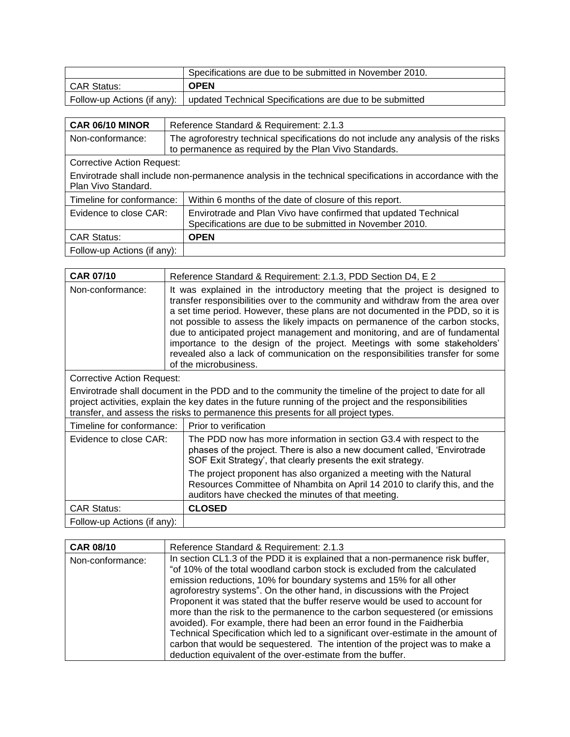|             | Specifications are due to be submitted in November 2010.                               |
|-------------|----------------------------------------------------------------------------------------|
| CAR Status: | <b>OPEN</b>                                                                            |
|             | Follow-up Actions (if any):   updated Technical Specifications are due to be submitted |

| CAR 06/10 MINOR                                                                                                                 | Reference Standard & Requirement: 2.1.3                                                                                                     |  |
|---------------------------------------------------------------------------------------------------------------------------------|---------------------------------------------------------------------------------------------------------------------------------------------|--|
| Non-conformance:                                                                                                                | The agroforestry technical specifications do not include any analysis of the risks<br>to permanence as required by the Plan Vivo Standards. |  |
| <b>Corrective Action Request:</b>                                                                                               |                                                                                                                                             |  |
| Envirotrade shall include non-permanence analysis in the technical specifications in accordance with the<br>Plan Vivo Standard. |                                                                                                                                             |  |
| Timeline for conformance:                                                                                                       | Within 6 months of the date of closure of this report.                                                                                      |  |
| Evidence to close CAR:                                                                                                          | Envirotrade and Plan Vivo have confirmed that updated Technical<br>Specifications are due to be submitted in November 2010.                 |  |
| <b>CAR Status:</b>                                                                                                              | <b>OPEN</b>                                                                                                                                 |  |
| Follow-up Actions (if any):                                                                                                     |                                                                                                                                             |  |

| <b>CAR 07/10</b>                                                                                                                                                                                                                                                                                       | Reference Standard & Requirement: 2.1.3, PDD Section D4, E 2                                                                                                                                                                                                                                                                                                                                                                                                                                                                                                                                                 |  |
|--------------------------------------------------------------------------------------------------------------------------------------------------------------------------------------------------------------------------------------------------------------------------------------------------------|--------------------------------------------------------------------------------------------------------------------------------------------------------------------------------------------------------------------------------------------------------------------------------------------------------------------------------------------------------------------------------------------------------------------------------------------------------------------------------------------------------------------------------------------------------------------------------------------------------------|--|
| Non-conformance:                                                                                                                                                                                                                                                                                       | It was explained in the introductory meeting that the project is designed to<br>transfer responsibilities over to the community and withdraw from the area over<br>a set time period. However, these plans are not documented in the PDD, so it is<br>not possible to assess the likely impacts on permanence of the carbon stocks,<br>due to anticipated project management and monitoring, and are of fundamental<br>importance to the design of the project. Meetings with some stakeholders'<br>revealed also a lack of communication on the responsibilities transfer for some<br>of the microbusiness. |  |
| Corrective Action Request:                                                                                                                                                                                                                                                                             |                                                                                                                                                                                                                                                                                                                                                                                                                                                                                                                                                                                                              |  |
| Envirotrade shall document in the PDD and to the community the timeline of the project to date for all<br>project activities, explain the key dates in the future running of the project and the responsibilities<br>transfer, and assess the risks to permanence this presents for all project types. |                                                                                                                                                                                                                                                                                                                                                                                                                                                                                                                                                                                                              |  |
|                                                                                                                                                                                                                                                                                                        | Timeline for conformance:<br>Prior to verification                                                                                                                                                                                                                                                                                                                                                                                                                                                                                                                                                           |  |
| Evidence to close CAR:                                                                                                                                                                                                                                                                                 | The PDD now has more information in section G3.4 with respect to the<br>phases of the project. There is also a new document called, 'Envirotrade<br>SOF Exit Strategy', that clearly presents the exit strategy.                                                                                                                                                                                                                                                                                                                                                                                             |  |
|                                                                                                                                                                                                                                                                                                        | The project proponent has also organized a meeting with the Natural<br>Resources Committee of Nhambita on April 14 2010 to clarify this, and the<br>auditors have checked the minutes of that meeting.                                                                                                                                                                                                                                                                                                                                                                                                       |  |
| <b>CAR Status:</b>                                                                                                                                                                                                                                                                                     | <b>CLOSED</b>                                                                                                                                                                                                                                                                                                                                                                                                                                                                                                                                                                                                |  |
| Follow-up Actions (if any):                                                                                                                                                                                                                                                                            |                                                                                                                                                                                                                                                                                                                                                                                                                                                                                                                                                                                                              |  |

| <b>CAR 08/10</b> | Reference Standard & Requirement: 2.1.3                                                                                                                                                                                                                                                                                                                                                                                                                                                                                                                                                                                                                                                                                                                                                       |
|------------------|-----------------------------------------------------------------------------------------------------------------------------------------------------------------------------------------------------------------------------------------------------------------------------------------------------------------------------------------------------------------------------------------------------------------------------------------------------------------------------------------------------------------------------------------------------------------------------------------------------------------------------------------------------------------------------------------------------------------------------------------------------------------------------------------------|
| Non-conformance: | In section CL1.3 of the PDD it is explained that a non-permanence risk buffer,<br>"of 10% of the total woodland carbon stock is excluded from the calculated<br>emission reductions, 10% for boundary systems and 15% for all other<br>agroforestry systems". On the other hand, in discussions with the Project<br>Proponent it was stated that the buffer reserve would be used to account for<br>more than the risk to the permanence to the carbon sequestered (or emissions<br>avoided). For example, there had been an error found in the Faidherbia<br>Technical Specification which led to a significant over-estimate in the amount of<br>carbon that would be sequestered. The intention of the project was to make a<br>deduction equivalent of the over-estimate from the buffer. |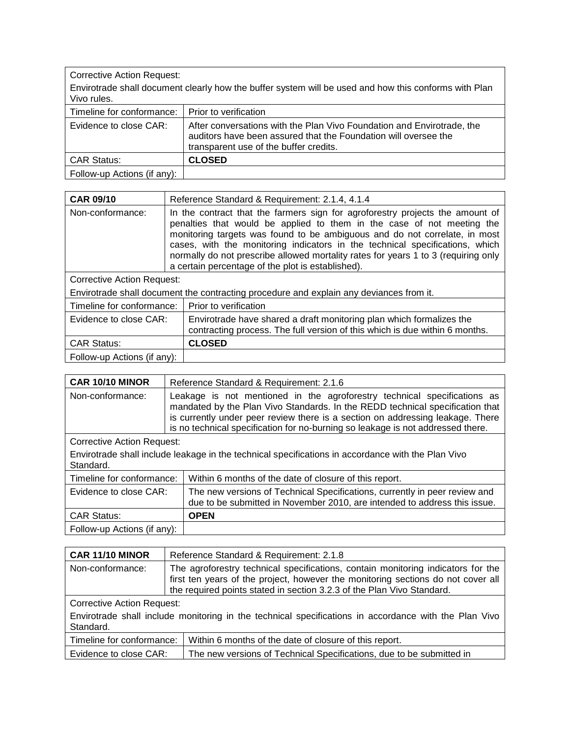| <b>Corrective Action Request:</b>                                                                                    |                                                                                                                                                                                     |  |
|----------------------------------------------------------------------------------------------------------------------|-------------------------------------------------------------------------------------------------------------------------------------------------------------------------------------|--|
| Envirotrade shall document clearly how the buffer system will be used and how this conforms with Plan<br>Vivo rules. |                                                                                                                                                                                     |  |
| Timeline for conformance:                                                                                            | Prior to verification                                                                                                                                                               |  |
| Evidence to close CAR:                                                                                               | After conversations with the Plan Vivo Foundation and Envirotrade, the<br>auditors have been assured that the Foundation will oversee the<br>transparent use of the buffer credits. |  |
| <b>CAR Status:</b>                                                                                                   | <b>CLOSED</b>                                                                                                                                                                       |  |
| Follow-up Actions (if any):                                                                                          |                                                                                                                                                                                     |  |

| <b>CAR 09/10</b>                                                                        | Reference Standard & Requirement: 2.1.4, 4.1.4                                                                                                                                                                                                                                                                                                                                                                                                                   |  |
|-----------------------------------------------------------------------------------------|------------------------------------------------------------------------------------------------------------------------------------------------------------------------------------------------------------------------------------------------------------------------------------------------------------------------------------------------------------------------------------------------------------------------------------------------------------------|--|
| Non-conformance:                                                                        | In the contract that the farmers sign for agroforestry projects the amount of<br>penalties that would be applied to them in the case of not meeting the<br>monitoring targets was found to be ambiguous and do not correlate, in most<br>cases, with the monitoring indicators in the technical specifications, which<br>normally do not prescribe allowed mortality rates for years 1 to 3 (requiring only<br>a certain percentage of the plot is established). |  |
| Corrective Action Request:                                                              |                                                                                                                                                                                                                                                                                                                                                                                                                                                                  |  |
| Envirotrade shall document the contracting procedure and explain any deviances from it. |                                                                                                                                                                                                                                                                                                                                                                                                                                                                  |  |
| Timeline for conformance:                                                               | Prior to verification                                                                                                                                                                                                                                                                                                                                                                                                                                            |  |
| Evidence to close CAR:                                                                  | Envirotrade have shared a draft monitoring plan which formalizes the<br>contracting process. The full version of this which is due within 6 months.                                                                                                                                                                                                                                                                                                              |  |
| <b>CAR Status:</b>                                                                      | <b>CLOSED</b>                                                                                                                                                                                                                                                                                                                                                                                                                                                    |  |
| Follow-up Actions (if any):                                                             |                                                                                                                                                                                                                                                                                                                                                                                                                                                                  |  |

| CAR 10/10 MINOR                                                                                                 | Reference Standard & Requirement: 2.1.6                                                                                                                                                                                                                                                                                        |  |
|-----------------------------------------------------------------------------------------------------------------|--------------------------------------------------------------------------------------------------------------------------------------------------------------------------------------------------------------------------------------------------------------------------------------------------------------------------------|--|
| Non-conformance:                                                                                                | Leakage is not mentioned in the agroforestry technical specifications as<br>mandated by the Plan Vivo Standards. In the REDD technical specification that<br>is currently under peer review there is a section on addressing leakage. There<br>is no technical specification for no-burning so leakage is not addressed there. |  |
| <b>Corrective Action Request:</b>                                                                               |                                                                                                                                                                                                                                                                                                                                |  |
| Envirotrade shall include leakage in the technical specifications in accordance with the Plan Vivo<br>Standard. |                                                                                                                                                                                                                                                                                                                                |  |
| Timeline for conformance:                                                                                       | Within 6 months of the date of closure of this report.                                                                                                                                                                                                                                                                         |  |
| Evidence to close CAR:                                                                                          | The new versions of Technical Specifications, currently in peer review and<br>due to be submitted in November 2010, are intended to address this issue.                                                                                                                                                                        |  |
| <b>CAR Status:</b>                                                                                              | <b>OPEN</b>                                                                                                                                                                                                                                                                                                                    |  |
| Follow-up Actions (if any):                                                                                     |                                                                                                                                                                                                                                                                                                                                |  |

| CAR 11/10 MINOR                                                                                                    | Reference Standard & Requirement: 2.1.8                                                                                                                                                                                                        |  |
|--------------------------------------------------------------------------------------------------------------------|------------------------------------------------------------------------------------------------------------------------------------------------------------------------------------------------------------------------------------------------|--|
| Non-conformance:                                                                                                   | The agroforestry technical specifications, contain monitoring indicators for the<br>first ten years of the project, however the monitoring sections do not cover all<br>the required points stated in section 3.2.3 of the Plan Vivo Standard. |  |
| <b>Corrective Action Request:</b>                                                                                  |                                                                                                                                                                                                                                                |  |
| Envirotrade shall include monitoring in the technical specifications in accordance with the Plan Vivo<br>Standard. |                                                                                                                                                                                                                                                |  |
| Timeline for conformance:                                                                                          | Within 6 months of the date of closure of this report.                                                                                                                                                                                         |  |
| Evidence to close CAR:                                                                                             | The new versions of Technical Specifications, due to be submitted in                                                                                                                                                                           |  |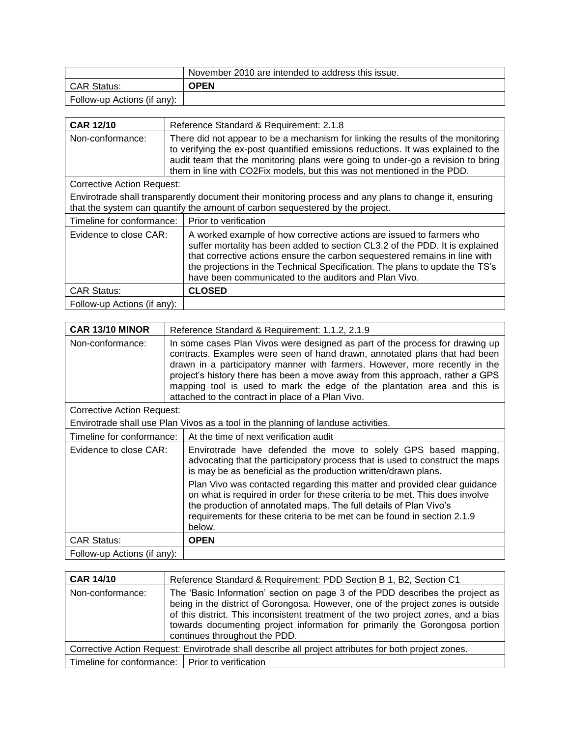|                             | November 2010 are intended to address this issue. |
|-----------------------------|---------------------------------------------------|
| l CAR Status:               | <b>OPEN</b>                                       |
| Follow-up Actions (if any): |                                                   |

| <b>CAR 12/10</b>                                                                                                                                                                        | Reference Standard & Requirement: 2.1.8                                                                                                                                                                                                                                                                                                                                     |  |
|-----------------------------------------------------------------------------------------------------------------------------------------------------------------------------------------|-----------------------------------------------------------------------------------------------------------------------------------------------------------------------------------------------------------------------------------------------------------------------------------------------------------------------------------------------------------------------------|--|
| Non-conformance:                                                                                                                                                                        | There did not appear to be a mechanism for linking the results of the monitoring<br>to verifying the ex-post quantified emissions reductions. It was explained to the<br>audit team that the monitoring plans were going to under-go a revision to bring<br>them in line with CO2Fix models, but this was not mentioned in the PDD.                                         |  |
| <b>Corrective Action Request:</b>                                                                                                                                                       |                                                                                                                                                                                                                                                                                                                                                                             |  |
| Envirotrade shall transparently document their monitoring process and any plans to change it, ensuring<br>that the system can quantify the amount of carbon sequestered by the project. |                                                                                                                                                                                                                                                                                                                                                                             |  |
| Timeline for conformance:                                                                                                                                                               | Prior to verification                                                                                                                                                                                                                                                                                                                                                       |  |
| Evidence to close CAR:                                                                                                                                                                  | A worked example of how corrective actions are issued to farmers who<br>suffer mortality has been added to section CL3.2 of the PDD. It is explained<br>that corrective actions ensure the carbon sequestered remains in line with<br>the projections in the Technical Specification. The plans to update the TS's<br>have been communicated to the auditors and Plan Vivo. |  |
| <b>CAR Status:</b>                                                                                                                                                                      | <b>CLOSED</b>                                                                                                                                                                                                                                                                                                                                                               |  |
| Follow-up Actions (if any):                                                                                                                                                             |                                                                                                                                                                                                                                                                                                                                                                             |  |

| CAR 13/10 MINOR                                                                   | Reference Standard & Requirement: 1.1.2, 2.1.9                                                                                                                                                                                                                                                                                                                                                                                                              |  |
|-----------------------------------------------------------------------------------|-------------------------------------------------------------------------------------------------------------------------------------------------------------------------------------------------------------------------------------------------------------------------------------------------------------------------------------------------------------------------------------------------------------------------------------------------------------|--|
| Non-conformance:                                                                  | In some cases Plan Vivos were designed as part of the process for drawing up<br>contracts. Examples were seen of hand drawn, annotated plans that had been<br>drawn in a participatory manner with farmers. However, more recently in the<br>project's history there has been a move away from this approach, rather a GPS<br>mapping tool is used to mark the edge of the plantation area and this is<br>attached to the contract in place of a Plan Vivo. |  |
| Corrective Action Request:                                                        |                                                                                                                                                                                                                                                                                                                                                                                                                                                             |  |
| Envirotrade shall use Plan Vivos as a tool in the planning of landuse activities. |                                                                                                                                                                                                                                                                                                                                                                                                                                                             |  |
| Timeline for conformance:                                                         | At the time of next verification audit                                                                                                                                                                                                                                                                                                                                                                                                                      |  |
| Evidence to close CAR:                                                            | Envirotrade have defended the move to solely GPS based mapping,<br>advocating that the participatory process that is used to construct the maps<br>is may be as beneficial as the production written/drawn plans.                                                                                                                                                                                                                                           |  |
|                                                                                   | Plan Vivo was contacted regarding this matter and provided clear guidance<br>on what is required in order for these criteria to be met. This does involve<br>the production of annotated maps. The full details of Plan Vivo's<br>requirements for these criteria to be met can be found in section 2.1.9<br>below.                                                                                                                                         |  |
| <b>CAR Status:</b>                                                                | <b>OPEN</b>                                                                                                                                                                                                                                                                                                                                                                                                                                                 |  |
| Follow-up Actions (if any):                                                       |                                                                                                                                                                                                                                                                                                                                                                                                                                                             |  |

| <b>CAR 14/10</b>                                                                                     | Reference Standard & Requirement: PDD Section B 1, B2, Section C1                                                                                                                                                                                                                                                                                                       |  |
|------------------------------------------------------------------------------------------------------|-------------------------------------------------------------------------------------------------------------------------------------------------------------------------------------------------------------------------------------------------------------------------------------------------------------------------------------------------------------------------|--|
| Non-conformance:                                                                                     | The 'Basic Information' section on page 3 of the PDD describes the project as<br>being in the district of Gorongosa. However, one of the project zones is outside<br>of this district. This inconsistent treatment of the two project zones, and a bias<br>towards documenting project information for primarily the Gorongosa portion<br>continues throughout the PDD. |  |
| Corrective Action Request: Envirotrade shall describe all project attributes for both project zones. |                                                                                                                                                                                                                                                                                                                                                                         |  |
|                                                                                                      | Timeline for conformance:   Prior to verification                                                                                                                                                                                                                                                                                                                       |  |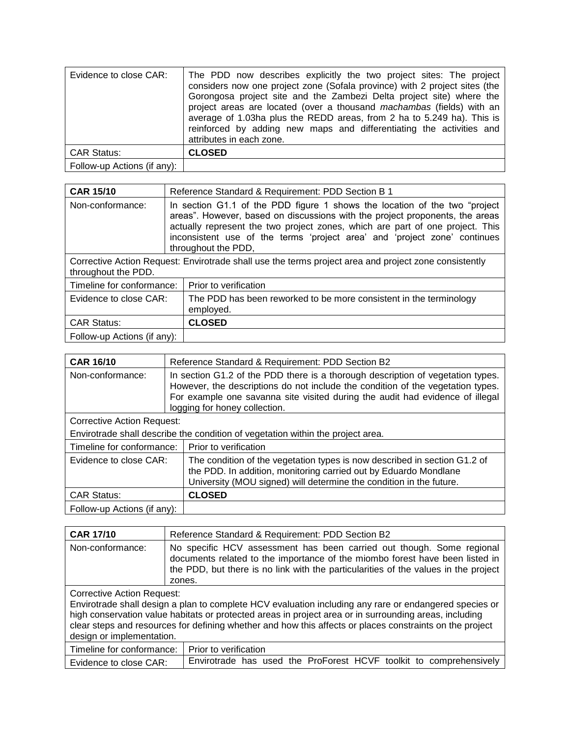| Evidence to close CAR:      | The PDD now describes explicitly the two project sites: The project<br>considers now one project zone (Sofala province) with 2 project sites (the<br>Gorongosa project site and the Zambezi Delta project site) where the<br>project areas are located (over a thousand <i>machambas</i> (fields) with an<br>average of 1.03ha plus the REDD areas, from 2 ha to 5.249 ha). This is<br>reinforced by adding new maps and differentiating the activities and<br>attributes in each zone. |
|-----------------------------|-----------------------------------------------------------------------------------------------------------------------------------------------------------------------------------------------------------------------------------------------------------------------------------------------------------------------------------------------------------------------------------------------------------------------------------------------------------------------------------------|
| <b>CAR Status:</b>          | <b>CLOSED</b>                                                                                                                                                                                                                                                                                                                                                                                                                                                                           |
| Follow-up Actions (if any): |                                                                                                                                                                                                                                                                                                                                                                                                                                                                                         |

| <b>CAR 15/10</b>                                                                                                             | Reference Standard & Requirement: PDD Section B 1                                                                                                                                                                                                                                                                                                |  |
|------------------------------------------------------------------------------------------------------------------------------|--------------------------------------------------------------------------------------------------------------------------------------------------------------------------------------------------------------------------------------------------------------------------------------------------------------------------------------------------|--|
| Non-conformance:                                                                                                             | In section G1.1 of the PDD figure 1 shows the location of the two "project"<br>areas". However, based on discussions with the project proponents, the areas<br>actually represent the two project zones, which are part of one project. This<br>inconsistent use of the terms 'project area' and 'project zone' continues<br>throughout the PDD, |  |
| Corrective Action Request: Envirotrade shall use the terms project area and project zone consistently<br>throughout the PDD. |                                                                                                                                                                                                                                                                                                                                                  |  |
| Timeline for conformance:                                                                                                    | Prior to verification                                                                                                                                                                                                                                                                                                                            |  |
| Evidence to close CAR:                                                                                                       | The PDD has been reworked to be more consistent in the terminology<br>employed.                                                                                                                                                                                                                                                                  |  |
| <b>CAR Status:</b>                                                                                                           | <b>CLOSED</b>                                                                                                                                                                                                                                                                                                                                    |  |
| Follow-up Actions (if any):                                                                                                  |                                                                                                                                                                                                                                                                                                                                                  |  |

| <b>CAR 16/10</b>                                                                | Reference Standard & Requirement: PDD Section B2                                                                                                                                                                                                                                     |  |
|---------------------------------------------------------------------------------|--------------------------------------------------------------------------------------------------------------------------------------------------------------------------------------------------------------------------------------------------------------------------------------|--|
| Non-conformance:                                                                | In section G1.2 of the PDD there is a thorough description of vegetation types.<br>However, the descriptions do not include the condition of the vegetation types.<br>For example one savanna site visited during the audit had evidence of illegal<br>logging for honey collection. |  |
| <b>Corrective Action Request:</b>                                               |                                                                                                                                                                                                                                                                                      |  |
| Envirotrade shall describe the condition of vegetation within the project area. |                                                                                                                                                                                                                                                                                      |  |
| Timeline for conformance:                                                       | Prior to verification                                                                                                                                                                                                                                                                |  |
| Evidence to close CAR:                                                          | The condition of the vegetation types is now described in section G1.2 of<br>the PDD. In addition, monitoring carried out by Eduardo Mondlane<br>University (MOU signed) will determine the condition in the future.                                                                 |  |
| <b>CAR Status:</b>                                                              | <b>CLOSED</b>                                                                                                                                                                                                                                                                        |  |
| Follow-up Actions (if any):                                                     |                                                                                                                                                                                                                                                                                      |  |

| <b>CAR 17/10</b>                                                                                                                                                                                                                                                                                                                                                                        | Reference Standard & Requirement: PDD Section B2                                                                                                                                                                                                       |
|-----------------------------------------------------------------------------------------------------------------------------------------------------------------------------------------------------------------------------------------------------------------------------------------------------------------------------------------------------------------------------------------|--------------------------------------------------------------------------------------------------------------------------------------------------------------------------------------------------------------------------------------------------------|
| Non-conformance:                                                                                                                                                                                                                                                                                                                                                                        | No specific HCV assessment has been carried out though. Some regional<br>documents related to the importance of the miombo forest have been listed in<br>the PDD, but there is no link with the particularities of the values in the project<br>zones. |
| Corrective Action Request:<br>Envirotrade shall design a plan to complete HCV evaluation including any rare or endangered species or<br>high conservation value habitats or protected areas in project area or in surrounding areas, including<br>clear steps and resources for defining whether and how this affects or places constraints on the project<br>design or implementation. |                                                                                                                                                                                                                                                        |
| Timeline for conformance:                                                                                                                                                                                                                                                                                                                                                               | Prior to verification                                                                                                                                                                                                                                  |
| Evidence to close CAR:                                                                                                                                                                                                                                                                                                                                                                  | Envirotrade has used the ProForest HCVF toolkit to comprehensively                                                                                                                                                                                     |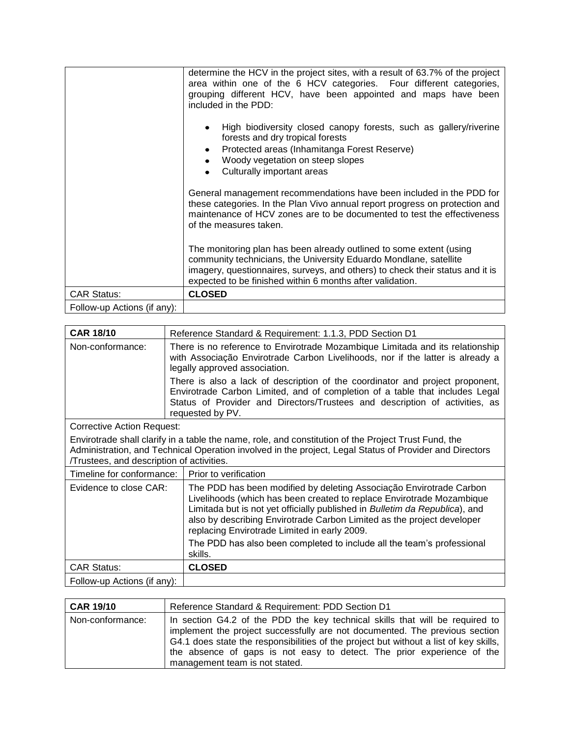|                             | determine the HCV in the project sites, with a result of 63.7% of the project<br>area within one of the 6 HCV categories. Four different categories,<br>grouping different HCV, have been appointed and maps have been<br>included in the PDD:                                         |
|-----------------------------|----------------------------------------------------------------------------------------------------------------------------------------------------------------------------------------------------------------------------------------------------------------------------------------|
|                             | High biodiversity closed canopy forests, such as gallery/riverine<br>forests and dry tropical forests<br>Protected areas (Inhamitanga Forest Reserve)<br>Woody vegetation on steep slopes<br>Culturally important areas                                                                |
|                             | General management recommendations have been included in the PDD for<br>these categories. In the Plan Vivo annual report progress on protection and<br>maintenance of HCV zones are to be documented to test the effectiveness<br>of the measures taken.                               |
|                             | The monitoring plan has been already outlined to some extent (using<br>community technicians, the University Eduardo Mondlane, satellite<br>imagery, questionnaires, surveys, and others) to check their status and it is<br>expected to be finished within 6 months after validation. |
| <b>CAR Status:</b>          | <b>CLOSED</b>                                                                                                                                                                                                                                                                          |
| Follow-up Actions (if any): |                                                                                                                                                                                                                                                                                        |

| <b>CAR 18/10</b>                                                                                                                                                                                                                                            | Reference Standard & Requirement: 1.1.3, PDD Section D1                                                                                                                                                                                                                                                                                                                                                                         |  |
|-------------------------------------------------------------------------------------------------------------------------------------------------------------------------------------------------------------------------------------------------------------|---------------------------------------------------------------------------------------------------------------------------------------------------------------------------------------------------------------------------------------------------------------------------------------------------------------------------------------------------------------------------------------------------------------------------------|--|
| Non-conformance:                                                                                                                                                                                                                                            | There is no reference to Envirotrade Mozambique Limitada and its relationship<br>with Associação Envirotrade Carbon Livelihoods, nor if the latter is already a<br>legally approved association.                                                                                                                                                                                                                                |  |
|                                                                                                                                                                                                                                                             | There is also a lack of description of the coordinator and project proponent,<br>Envirotrade Carbon Limited, and of completion of a table that includes Legal<br>Status of Provider and Directors/Trustees and description of activities, as<br>requested by PV.                                                                                                                                                                |  |
| <b>Corrective Action Request:</b>                                                                                                                                                                                                                           |                                                                                                                                                                                                                                                                                                                                                                                                                                 |  |
| Envirotrade shall clarify in a table the name, role, and constitution of the Project Trust Fund, the<br>Administration, and Technical Operation involved in the project, Legal Status of Provider and Directors<br>Trustees, and description of activities. |                                                                                                                                                                                                                                                                                                                                                                                                                                 |  |
| Timeline for conformance:                                                                                                                                                                                                                                   | Prior to verification                                                                                                                                                                                                                                                                                                                                                                                                           |  |
| Evidence to close CAR:                                                                                                                                                                                                                                      | The PDD has been modified by deleting Associação Envirotrade Carbon<br>Livelihoods (which has been created to replace Envirotrade Mozambique<br>Limitada but is not yet officially published in Bulletim da Republica), and<br>also by describing Envirotrade Carbon Limited as the project developer<br>replacing Envirotrade Limited in early 2009.<br>The PDD has also been completed to include all the team's professional |  |
|                                                                                                                                                                                                                                                             | skills.                                                                                                                                                                                                                                                                                                                                                                                                                         |  |
| <b>CAR Status:</b>                                                                                                                                                                                                                                          | <b>CLOSED</b>                                                                                                                                                                                                                                                                                                                                                                                                                   |  |
| Follow-up Actions (if any):                                                                                                                                                                                                                                 |                                                                                                                                                                                                                                                                                                                                                                                                                                 |  |

| <b>CAR 19/10</b> | Reference Standard & Requirement: PDD Section D1                                                                                                                                                                                                                                                                                                                 |
|------------------|------------------------------------------------------------------------------------------------------------------------------------------------------------------------------------------------------------------------------------------------------------------------------------------------------------------------------------------------------------------|
| Non-conformance: | In section G4.2 of the PDD the key technical skills that will be required to<br>implement the project successfully are not documented. The previous section<br>G4.1 does state the responsibilities of the project but without a list of key skills,<br>the absence of gaps is not easy to detect. The prior experience of the<br>management team is not stated. |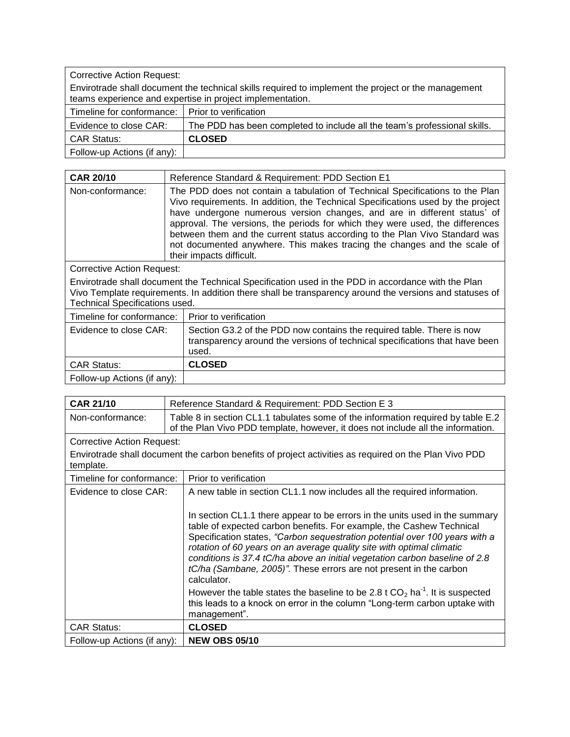| <b>Corrective Action Request:</b>                                                                   |                                                                           |  |
|-----------------------------------------------------------------------------------------------------|---------------------------------------------------------------------------|--|
| Envirotrade shall document the technical skills required to implement the project or the management |                                                                           |  |
| teams experience and expertise in project implementation.                                           |                                                                           |  |
| Timeline for conformance: I Prior to verification                                                   |                                                                           |  |
| Evidence to close CAR:                                                                              | The PDD has been completed to include all the team's professional skills. |  |
| <b>CAR Status:</b>                                                                                  | <b>CLOSED</b>                                                             |  |
| Follow-up Actions (if any):                                                                         |                                                                           |  |

| <b>CAR 20/10</b>           | Reference Standard & Requirement: PDD Section E1                                                                                                                                                                                                                                                                                                                                                                                                                                                                      |
|----------------------------|-----------------------------------------------------------------------------------------------------------------------------------------------------------------------------------------------------------------------------------------------------------------------------------------------------------------------------------------------------------------------------------------------------------------------------------------------------------------------------------------------------------------------|
| Non-conformance:           | The PDD does not contain a tabulation of Technical Specifications to the Plan<br>Vivo requirements. In addition, the Technical Specifications used by the project<br>have undergone numerous version changes, and are in different status' of<br>approval. The versions, the periods for which they were used, the differences<br>between them and the current status according to the Plan Vivo Standard was<br>not documented anywhere. This makes tracing the changes and the scale of<br>their impacts difficult. |
| Corrective Action Request: |                                                                                                                                                                                                                                                                                                                                                                                                                                                                                                                       |
|                            | Envirotrade shall document the Technical Specification used in the PDD in accordance with the Plan                                                                                                                                                                                                                                                                                                                                                                                                                    |

Vivo Template requirements. In addition there shall be transparency around the versions and statuses of Technical Specifications used.

| Timeline for conformance:   | Prior to verification                                                                                                                                         |
|-----------------------------|---------------------------------------------------------------------------------------------------------------------------------------------------------------|
| Evidence to close CAR:      | Section G3.2 of the PDD now contains the required table. There is now<br>transparency around the versions of technical specifications that have been<br>used. |
| <b>CAR Status:</b>          | <b>CLOSED</b>                                                                                                                                                 |
| Follow-up Actions (if any): |                                                                                                                                                               |

| <b>CAR 21/10</b>                  | Reference Standard & Requirement: PDD Section E 3                                                                                                                                                                                                                                                                                                                                                                                                                               |
|-----------------------------------|---------------------------------------------------------------------------------------------------------------------------------------------------------------------------------------------------------------------------------------------------------------------------------------------------------------------------------------------------------------------------------------------------------------------------------------------------------------------------------|
| Non-conformance:                  | Table 8 in section CL1.1 tabulates some of the information required by table E.2<br>of the Plan Vivo PDD template, however, it does not include all the information.                                                                                                                                                                                                                                                                                                            |
| <b>Corrective Action Request:</b> |                                                                                                                                                                                                                                                                                                                                                                                                                                                                                 |
| template.                         | Envirotrade shall document the carbon benefits of project activities as required on the Plan Vivo PDD                                                                                                                                                                                                                                                                                                                                                                           |
| Timeline for conformance:         | Prior to verification                                                                                                                                                                                                                                                                                                                                                                                                                                                           |
| Evidence to close CAR:            | A new table in section CL1.1 now includes all the required information.                                                                                                                                                                                                                                                                                                                                                                                                         |
|                                   | In section CL1.1 there appear to be errors in the units used in the summary<br>table of expected carbon benefits. For example, the Cashew Technical<br>Specification states, "Carbon sequestration potential over 100 years with a<br>rotation of 60 years on an average quality site with optimal climatic<br>conditions is 37.4 tC/ha above an initial vegetation carbon baseline of 2.8<br>tC/ha (Sambane, 2005)". These errors are not present in the carbon<br>calculator. |
|                                   | However the table states the baseline to be 2.8 t $CO2$ ha <sup>-1</sup> . It is suspected<br>this leads to a knock on error in the column "Long-term carbon uptake with<br>management".                                                                                                                                                                                                                                                                                        |
| <b>CAR Status:</b>                | <b>CLOSED</b>                                                                                                                                                                                                                                                                                                                                                                                                                                                                   |
| Follow-up Actions (if any):       | <b>NEW OBS 05/10</b>                                                                                                                                                                                                                                                                                                                                                                                                                                                            |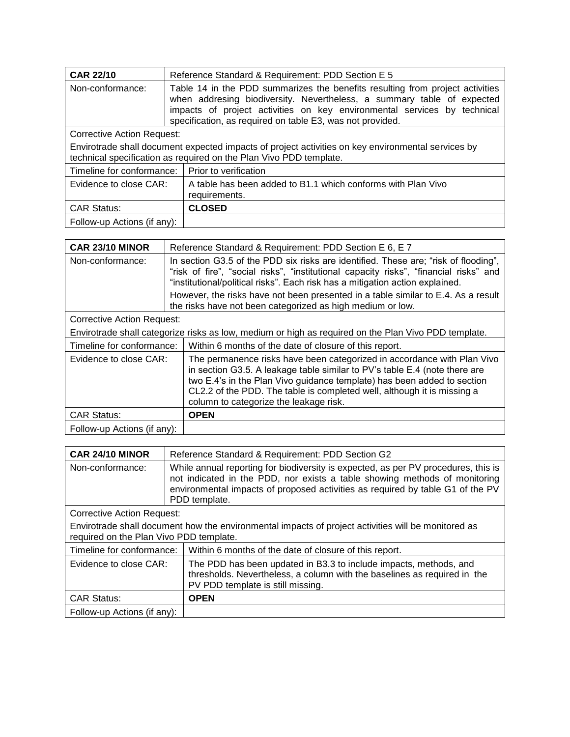| <b>CAR 22/10</b>                                                                                                                                                         | Reference Standard & Requirement: PDD Section E 5                                                                                                                                                                                                                                                |  |
|--------------------------------------------------------------------------------------------------------------------------------------------------------------------------|--------------------------------------------------------------------------------------------------------------------------------------------------------------------------------------------------------------------------------------------------------------------------------------------------|--|
| Non-conformance:                                                                                                                                                         | Table 14 in the PDD summarizes the benefits resulting from project activities<br>when addresing biodiversity. Nevertheless, a summary table of expected<br>impacts of project activities on key environmental services by technical<br>specification, as required on table E3, was not provided. |  |
| Corrective Action Request:                                                                                                                                               |                                                                                                                                                                                                                                                                                                  |  |
| Envirotrade shall document expected impacts of project activities on key environmental services by<br>technical specification as required on the Plan Vivo PDD template. |                                                                                                                                                                                                                                                                                                  |  |
| Timeline for conformance:                                                                                                                                                | Prior to verification                                                                                                                                                                                                                                                                            |  |
| Evidence to close CAR:                                                                                                                                                   | A table has been added to B1.1 which conforms with Plan Vivo<br>requirements.                                                                                                                                                                                                                    |  |
| <b>CAR Status:</b>                                                                                                                                                       | <b>CLOSED</b>                                                                                                                                                                                                                                                                                    |  |
| Follow-up Actions (if any):                                                                                                                                              |                                                                                                                                                                                                                                                                                                  |  |

| CAR 23/10 MINOR                                                                                      | Reference Standard & Requirement: PDD Section E 6, E 7                                                                                                                                                                                                                                                                                                |  |
|------------------------------------------------------------------------------------------------------|-------------------------------------------------------------------------------------------------------------------------------------------------------------------------------------------------------------------------------------------------------------------------------------------------------------------------------------------------------|--|
| Non-conformance:                                                                                     | In section G3.5 of the PDD six risks are identified. These are; "risk of flooding",<br>"risk of fire", "social risks", "institutional capacity risks", "financial risks" and<br>"institutional/political risks". Each risk has a mitigation action explained.                                                                                         |  |
|                                                                                                      | However, the risks have not been presented in a table similar to E.4. As a result<br>the risks have not been categorized as high medium or low.                                                                                                                                                                                                       |  |
| <b>Corrective Action Request:</b>                                                                    |                                                                                                                                                                                                                                                                                                                                                       |  |
| Envirotrade shall categorize risks as low, medium or high as required on the Plan Vivo PDD template. |                                                                                                                                                                                                                                                                                                                                                       |  |
| Timeline for conformance:                                                                            | Within 6 months of the date of closure of this report.                                                                                                                                                                                                                                                                                                |  |
| Evidence to close CAR:                                                                               | The permanence risks have been categorized in accordance with Plan Vivo<br>in section G3.5. A leakage table similar to PV's table E.4 (note there are<br>two E.4's in the Plan Vivo guidance template) has been added to section<br>CL2.2 of the PDD. The table is completed well, although it is missing a<br>column to categorize the leakage risk. |  |
| <b>CAR Status:</b>                                                                                   | <b>OPEN</b>                                                                                                                                                                                                                                                                                                                                           |  |
| Follow-up Actions (if any):                                                                          |                                                                                                                                                                                                                                                                                                                                                       |  |

| CAR 24/10 MINOR                                                                                                                                | Reference Standard & Requirement: PDD Section G2                                                                                                                                                                                                                    |  |
|------------------------------------------------------------------------------------------------------------------------------------------------|---------------------------------------------------------------------------------------------------------------------------------------------------------------------------------------------------------------------------------------------------------------------|--|
| Non-conformance:                                                                                                                               | While annual reporting for biodiversity is expected, as per PV procedures, this is<br>not indicated in the PDD, nor exists a table showing methods of monitoring<br>environmental impacts of proposed activities as required by table G1 of the PV<br>PDD template. |  |
| <b>Corrective Action Request:</b>                                                                                                              |                                                                                                                                                                                                                                                                     |  |
| Envirotrade shall document how the environmental impacts of project activities will be monitored as<br>required on the Plan Vivo PDD template. |                                                                                                                                                                                                                                                                     |  |
| Timeline for conformance:                                                                                                                      | Within 6 months of the date of closure of this report.                                                                                                                                                                                                              |  |
| Evidence to close CAR:                                                                                                                         | The PDD has been updated in B3.3 to include impacts, methods, and<br>thresholds. Nevertheless, a column with the baselines as required in the<br>PV PDD template is still missing.                                                                                  |  |
| <b>CAR Status:</b>                                                                                                                             | <b>OPEN</b>                                                                                                                                                                                                                                                         |  |
| Follow-up Actions (if any):                                                                                                                    |                                                                                                                                                                                                                                                                     |  |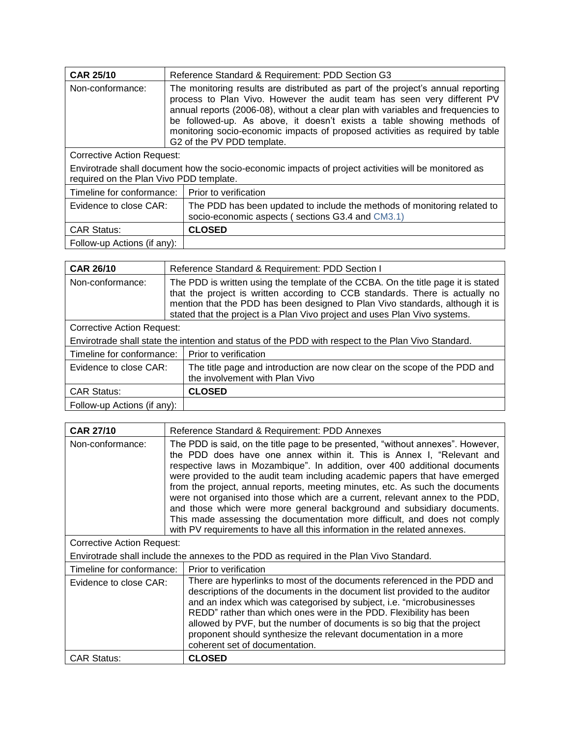| <b>CAR 25/10</b>                                                                                                                                | Reference Standard & Requirement: PDD Section G3                                                                                                                                                                                                                                                                                                                                                                                         |
|-------------------------------------------------------------------------------------------------------------------------------------------------|------------------------------------------------------------------------------------------------------------------------------------------------------------------------------------------------------------------------------------------------------------------------------------------------------------------------------------------------------------------------------------------------------------------------------------------|
| Non-conformance:                                                                                                                                | The monitoring results are distributed as part of the project's annual reporting<br>process to Plan Vivo. However the audit team has seen very different PV<br>annual reports (2006-08), without a clear plan with variables and frequencies to<br>be followed-up. As above, it doesn't exists a table showing methods of<br>monitoring socio-economic impacts of proposed activities as required by table<br>G2 of the PV PDD template. |
| <b>Corrective Action Request:</b>                                                                                                               |                                                                                                                                                                                                                                                                                                                                                                                                                                          |
| Envirotrade shall document how the socio-economic impacts of project activities will be monitored as<br>required on the Plan Vivo PDD template. |                                                                                                                                                                                                                                                                                                                                                                                                                                          |
| Timeline for conformance:                                                                                                                       | Prior to verification                                                                                                                                                                                                                                                                                                                                                                                                                    |
| Evidence to close CAR:                                                                                                                          | The PDD has been updated to include the methods of monitoring related to<br>socio-economic aspects (sections G3.4 and CM3.1)                                                                                                                                                                                                                                                                                                             |
| <b>CAR Status:</b>                                                                                                                              | <b>CLOSED</b>                                                                                                                                                                                                                                                                                                                                                                                                                            |

Follow-up Actions (if any):

| <b>CAR 26/10</b>                                                                                    | Reference Standard & Requirement: PDD Section I                                                                                                                                                                                                                                                                                  |  |
|-----------------------------------------------------------------------------------------------------|----------------------------------------------------------------------------------------------------------------------------------------------------------------------------------------------------------------------------------------------------------------------------------------------------------------------------------|--|
| Non-conformance:                                                                                    | The PDD is written using the template of the CCBA. On the title page it is stated<br>that the project is written according to CCB standards. There is actually no<br>mention that the PDD has been designed to Plan Vivo standards, although it is<br>stated that the project is a Plan Vivo project and uses Plan Vivo systems. |  |
| <b>Corrective Action Request:</b>                                                                   |                                                                                                                                                                                                                                                                                                                                  |  |
| Envirotrade shall state the intention and status of the PDD with respect to the Plan Vivo Standard. |                                                                                                                                                                                                                                                                                                                                  |  |
| Timeline for conformance:                                                                           | Prior to verification                                                                                                                                                                                                                                                                                                            |  |
| Evidence to close CAR:                                                                              | The title page and introduction are now clear on the scope of the PDD and<br>the involvement with Plan Vivo                                                                                                                                                                                                                      |  |
| <b>CAR Status:</b>                                                                                  | <b>CLOSED</b>                                                                                                                                                                                                                                                                                                                    |  |
| Follow-up Actions (if any):                                                                         |                                                                                                                                                                                                                                                                                                                                  |  |

| <b>CAR 27/10</b>                                                                        | Reference Standard & Requirement: PDD Annexes                                                                                                                                                                                                                                                                                                                                                                                                                                                                                                                                                                                                                                                                               |  |
|-----------------------------------------------------------------------------------------|-----------------------------------------------------------------------------------------------------------------------------------------------------------------------------------------------------------------------------------------------------------------------------------------------------------------------------------------------------------------------------------------------------------------------------------------------------------------------------------------------------------------------------------------------------------------------------------------------------------------------------------------------------------------------------------------------------------------------------|--|
| Non-conformance:                                                                        | The PDD is said, on the title page to be presented, "without annexes". However,<br>the PDD does have one annex within it. This is Annex I, "Relevant and<br>respective laws in Mozambique". In addition, over 400 additional documents<br>were provided to the audit team including academic papers that have emerged<br>from the project, annual reports, meeting minutes, etc. As such the documents<br>were not organised into those which are a current, relevant annex to the PDD,<br>and those which were more general background and subsidiary documents.<br>This made assessing the documentation more difficult, and does not comply<br>with PV requirements to have all this information in the related annexes. |  |
| <b>Corrective Action Request:</b>                                                       |                                                                                                                                                                                                                                                                                                                                                                                                                                                                                                                                                                                                                                                                                                                             |  |
| Envirotrade shall include the annexes to the PDD as required in the Plan Vivo Standard. |                                                                                                                                                                                                                                                                                                                                                                                                                                                                                                                                                                                                                                                                                                                             |  |
| Timeline for conformance:                                                               | Prior to verification                                                                                                                                                                                                                                                                                                                                                                                                                                                                                                                                                                                                                                                                                                       |  |
| Evidence to close CAR:                                                                  | There are hyperlinks to most of the documents referenced in the PDD and<br>descriptions of the documents in the document list provided to the auditor<br>and an index which was categorised by subject, i.e. "microbusinesses<br>REDD" rather than which ones were in the PDD. Flexibility has been<br>allowed by PVF, but the number of documents is so big that the project<br>proponent should synthesize the relevant documentation in a more<br>coherent set of documentation.                                                                                                                                                                                                                                         |  |
| <b>CAR Status:</b>                                                                      | <b>CLOSED</b>                                                                                                                                                                                                                                                                                                                                                                                                                                                                                                                                                                                                                                                                                                               |  |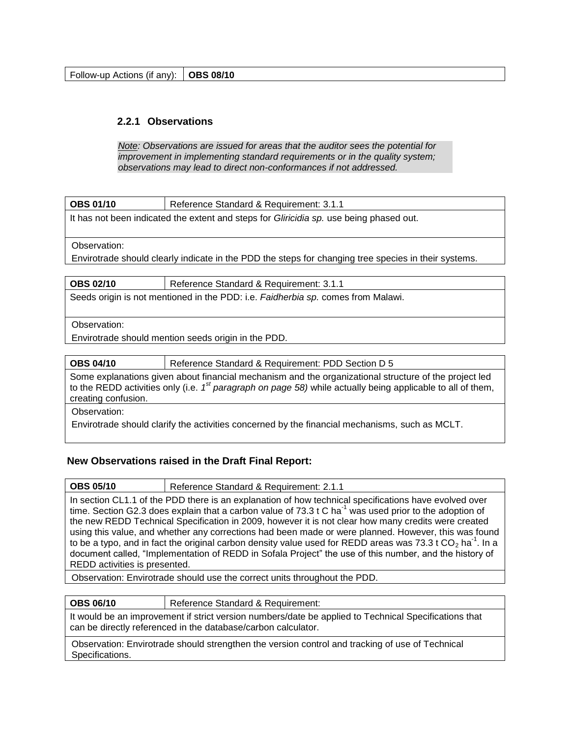Follow-up Actions (if any): **OBS 08/10** 

## **2.2.1 Observations**

*Note: Observations are issued for areas that the auditor sees the potential for improvement in implementing standard requirements or in the quality system; observations may lead to direct non-conformances if not addressed.*

| <b>OBS 01/10</b> | Reference Standard & Requirement: 3 |
|------------------|-------------------------------------|
|                  |                                     |

It has not been indicated the extent and steps for *Gliricidia sp.* use being phased out.

Observation:

Envirotrade should clearly indicate in the PDD the steps for changing tree species in their systems.

| <b>OBS 02/10</b>                                                                 | Reference Standard & Requirement: 3.1.1 |  |  |
|----------------------------------------------------------------------------------|-----------------------------------------|--|--|
| Seeds origin is not mentioned in the PDD: i.e. Faidherbia sp. comes from Malawi. |                                         |  |  |

## Observation:

Envirotrade should mention seeds origin in the PDD.

**OBS 04/10** Reference Standard & Requirement: PDD Section D 5

Some explanations given about financial mechanism and the organizational structure of the project led to the REDD activities only (i.e. 1<sup>st</sup> paragraph on page 58) while actually being applicable to all of them, creating confusion.

Observation:

Envirotrade should clarify the activities concerned by the financial mechanisms, such as MCLT.

## **New Observations raised in the Draft Final Report:**

**OBS 05/10** Reference Standard & Requirement: 2.1.1 In section CL1.1 of the PDD there is an explanation of how technical specifications have evolved over time. Section G2.3 does explain that a carbon value of  $73.3 \text{ t C}$  ha<sup>-1</sup> was used prior to the adoption of the new REDD Technical Specification in 2009, however it is not clear how many credits were created using this value, and whether any corrections had been made or were planned. However, this was found to be a typo, and in fact the original carbon density value used for REDD areas was 73.3 t CO<sub>2</sub> ha<sup>-1</sup>. In a document called, "Implementation of REDD in Sofala Project" the use of this number, and the history of REDD activities is presented.

Observation: Envirotrade should use the correct units throughout the PDD.

**OBS 06/10** | Reference Standard & Requirement:

It would be an improvement if strict version numbers/date be applied to Technical Specifications that can be directly referenced in the database/carbon calculator.

Observation: Envirotrade should strengthen the version control and tracking of use of Technical Specifications.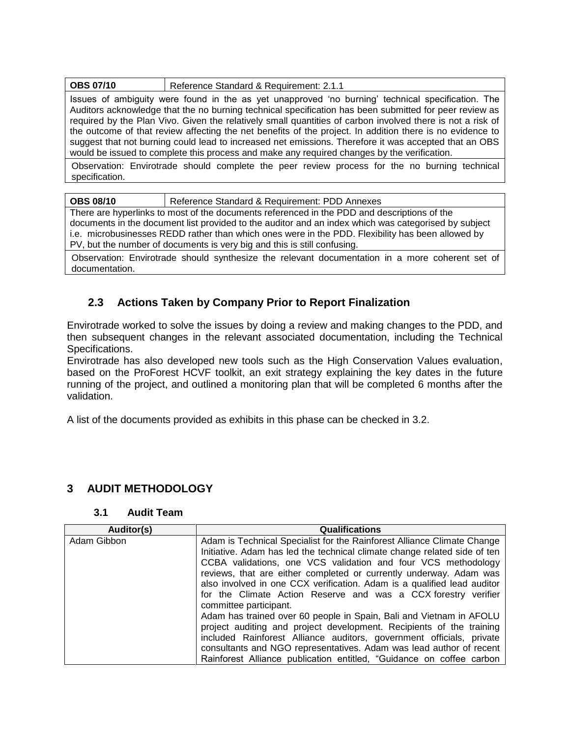| <b>OBS 07/10</b> | Reference Standard & Requirement: 2.1.1 |
|------------------|-----------------------------------------|
|------------------|-----------------------------------------|

Issues of ambiguity were found in the as yet unapproved "no burning" technical specification. The Auditors acknowledge that the no burning technical specification has been submitted for peer review as required by the Plan Vivo. Given the relatively small quantities of carbon involved there is not a risk of the outcome of that review affecting the net benefits of the project. In addition there is no evidence to suggest that not burning could lead to increased net emissions. Therefore it was accepted that an OBS would be issued to complete this process and make any required changes by the verification.

Observation: Envirotrade should complete the peer review process for the no burning technical specification.

**OBS 08/10** Reference Standard & Requirement: PDD Annexes

There are hyperlinks to most of the documents referenced in the PDD and descriptions of the documents in the document list provided to the auditor and an index which was categorised by subject i.e. microbusinesses REDD rather than which ones were in the PDD. Flexibility has been allowed by PV, but the number of documents is very big and this is still confusing.

Observation: Envirotrade should synthesize the relevant documentation in a more coherent set of documentation.

## <span id="page-16-0"></span>**2.3 Actions Taken by Company Prior to Report Finalization**

Envirotrade worked to solve the issues by doing a review and making changes to the PDD, and then subsequent changes in the relevant associated documentation, including the Technical Specifications.

Envirotrade has also developed new tools such as the High Conservation Values evaluation, based on the ProForest HCVF toolkit, an exit strategy explaining the key dates in the future running of the project, and outlined a monitoring plan that will be completed 6 months after the validation.

A list of the documents provided as exhibits in this phase can be checked in 3.2.

## <span id="page-16-1"></span>**3 AUDIT METHODOLOGY**

## **3.1 Audit Team**

<span id="page-16-2"></span>

| Auditor(s)  | <b>Qualifications</b>                                                     |  |  |
|-------------|---------------------------------------------------------------------------|--|--|
| Adam Gibbon | Adam is Technical Specialist for the Rainforest Alliance Climate Change   |  |  |
|             | Initiative. Adam has led the technical climate change related side of ten |  |  |
|             | CCBA validations, one VCS validation and four VCS methodology             |  |  |
|             | reviews, that are either completed or currently underway. Adam was        |  |  |
|             | also involved in one CCX verification. Adam is a qualified lead auditor   |  |  |
|             | for the Climate Action Reserve and was a CCX forestry verifier            |  |  |
|             | committee participant.                                                    |  |  |
|             | Adam has trained over 60 people in Spain, Bali and Vietnam in AFOLU       |  |  |
|             | project auditing and project development. Recipients of the training      |  |  |
|             | included Rainforest Alliance auditors, government officials, private      |  |  |
|             | consultants and NGO representatives. Adam was lead author of recent       |  |  |
|             | Rainforest Alliance publication entitled, "Guidance on coffee carbon      |  |  |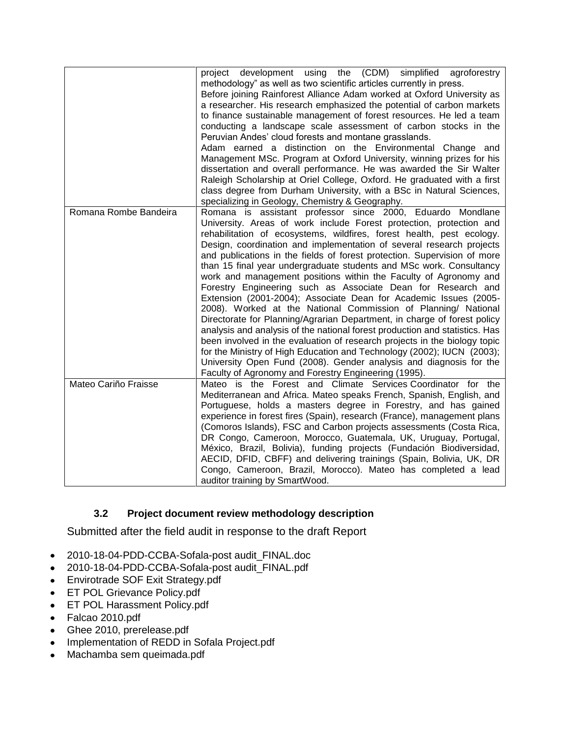|                       | development using the (CDM) simplified<br>agroforestry<br>project<br>methodology" as well as two scientific articles currently in press.<br>Before joining Rainforest Alliance Adam worked at Oxford University as<br>a researcher. His research emphasized the potential of carbon markets<br>to finance sustainable management of forest resources. He led a team<br>conducting a landscape scale assessment of carbon stocks in the<br>Peruvian Andes' cloud forests and montane grasslands.<br>Adam earned a distinction on the Environmental Change and<br>Management MSc. Program at Oxford University, winning prizes for his<br>dissertation and overall performance. He was awarded the Sir Walter<br>Raleigh Scholarship at Oriel College, Oxford. He graduated with a first<br>class degree from Durham University, with a BSc in Natural Sciences,<br>specializing in Geology, Chemistry & Geography.                                                                                                                                                                                                                                               |
|-----------------------|-----------------------------------------------------------------------------------------------------------------------------------------------------------------------------------------------------------------------------------------------------------------------------------------------------------------------------------------------------------------------------------------------------------------------------------------------------------------------------------------------------------------------------------------------------------------------------------------------------------------------------------------------------------------------------------------------------------------------------------------------------------------------------------------------------------------------------------------------------------------------------------------------------------------------------------------------------------------------------------------------------------------------------------------------------------------------------------------------------------------------------------------------------------------|
| Romana Rombe Bandeira | Romana is assistant professor since 2000, Eduardo Mondlane<br>University. Areas of work include Forest protection, protection and<br>rehabilitation of ecosystems, wildfires, forest health, pest ecology.<br>Design, coordination and implementation of several research projects<br>and publications in the fields of forest protection. Supervision of more<br>than 15 final year undergraduate students and MSc work. Consultancy<br>work and management positions within the Faculty of Agronomy and<br>Forestry Engineering such as Associate Dean for Research and<br>Extension (2001-2004); Associate Dean for Academic Issues (2005-<br>2008). Worked at the National Commission of Planning/ National<br>Directorate for Planning/Agrarian Department, in charge of forest policy<br>analysis and analysis of the national forest production and statistics. Has<br>been involved in the evaluation of research projects in the biology topic<br>for the Ministry of High Education and Technology (2002); IUCN (2003);<br>University Open Fund (2008). Gender analysis and diagnosis for the<br>Faculty of Agronomy and Forestry Engineering (1995). |
| Mateo Cariño Fraisse  | Mateo is the Forest and Climate Services Coordinator for the<br>Mediterranean and Africa. Mateo speaks French, Spanish, English, and<br>Portuguese, holds a masters degree in Forestry, and has gained<br>experience in forest fires (Spain), research (France), management plans<br>(Comoros Islands), FSC and Carbon projects assessments (Costa Rica,<br>DR Congo, Cameroon, Morocco, Guatemala, UK, Uruguay, Portugal,<br>México, Brazil, Bolivia), funding projects (Fundación Biodiversidad,<br>AECID, DFID, CBFF) and delivering trainings (Spain, Bolivia, UK, DR<br>Congo, Cameroon, Brazil, Morocco). Mateo has completed a lead<br>auditor training by SmartWood.                                                                                                                                                                                                                                                                                                                                                                                                                                                                                    |

# **3.2 Project document review methodology description**

<span id="page-17-0"></span>Submitted after the field audit in response to the draft Report

- 2010-18-04-PDD-CCBA-Sofala-post audit\_FINAL.doc  $\bullet$
- 2010-18-04-PDD-CCBA-Sofala-post audit\_FINAL.pdf
- Envirotrade SOF Exit Strategy.pdf
- ET POL Grievance Policy.pdf
- ET POL Harassment Policy.pdf
- Falcao 2010.pdf
- Ghee 2010, prerelease.pdf
- Implementation of REDD in Sofala Project.pdf
- Machamba sem queimada.pdf $\bullet$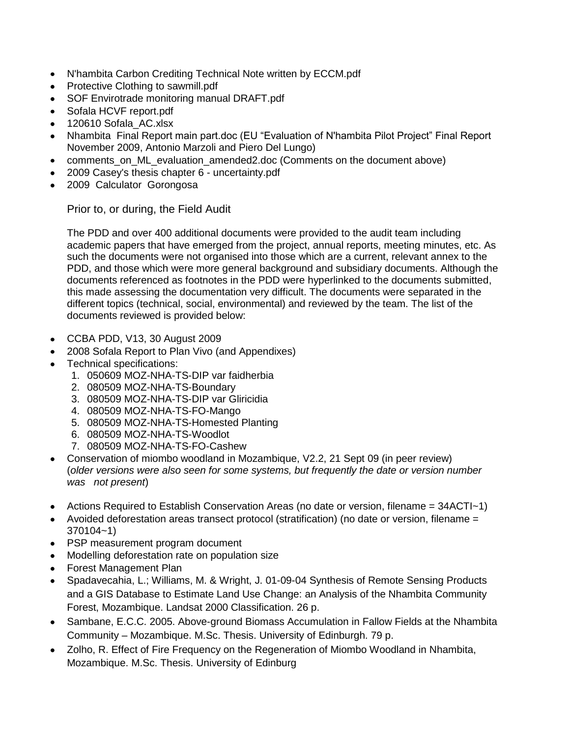- N'hambita Carbon Crediting Technical Note written by ECCM.pdf
- Protective Clothing to sawmill.pdf
- SOF Envirotrade monitoring manual DRAFT.pdf
- Sofala HCVF report.pdf
- 120610 Sofala\_AC.xlsx
- Nhambita Final Report main part.doc (EU "Evaluation of N'hambita Pilot Project" Final Report November 2009, Antonio Marzoli and Piero Del Lungo)
- comments\_on\_ML\_evaluation\_amended2.doc (Comments on the document above)
- 2009 Casey's thesis chapter 6 uncertainty.pdf
- 2009 Calculator Gorongosa

Prior to, or during, the Field Audit

The PDD and over 400 additional documents were provided to the audit team including academic papers that have emerged from the project, annual reports, meeting minutes, etc. As such the documents were not organised into those which are a current, relevant annex to the PDD, and those which were more general background and subsidiary documents. Although the documents referenced as footnotes in the PDD were hyperlinked to the documents submitted, this made assessing the documentation very difficult. The documents were separated in the different topics (technical, social, environmental) and reviewed by the team. The list of the documents reviewed is provided below:

- CCBA PDD, V13, 30 August 2009
- 2008 Sofala Report to Plan Vivo (and Appendixes)
- Technical specifications:
	- 1. 050609 MOZ-NHA-TS-DIP var faidherbia
	- 2. 080509 MOZ-NHA-TS-Boundary
	- 3. 080509 MOZ-NHA-TS-DIP var Gliricidia
	- 4. 080509 MOZ-NHA-TS-FO-Mango
	- 5. 080509 MOZ-NHA-TS-Homested Planting
	- 6. 080509 MOZ-NHA-TS-Woodlot
	- 7. 080509 MOZ-NHA-TS-FO-Cashew
- Conservation of miombo woodland in Mozambique, V2.2, 21 Sept 09 (in peer review) (*older versions were also seen for some systems, but frequently the date or version number was not present*)
- Actions Required to Establish Conservation Areas (no date or version, filename = 34ACTI~1)
- Avoided deforestation areas transect protocol (stratification) (no date or version, filename = 370104~1)
- PSP measurement program document
- Modelling deforestation rate on population size
- Forest Management Plan
- Spadavecahia, L.; Williams, M. & Wright, J. 01-09-04 Synthesis of Remote Sensing Products and a GIS Database to Estimate Land Use Change: an Analysis of the Nhambita Community Forest, Mozambique. Landsat 2000 Classification. 26 p.
- Sambane, E.C.C. 2005. Above-ground Biomass Accumulation in Fallow Fields at the Nhambita  $\bullet$ Community – Mozambique. M.Sc. Thesis. University of Edinburgh. 79 p.
- Zolho, R. Effect of Fire Frequency on the Regeneration of Miombo Woodland in Nhambita, Mozambique. M.Sc. Thesis. University of Edinburg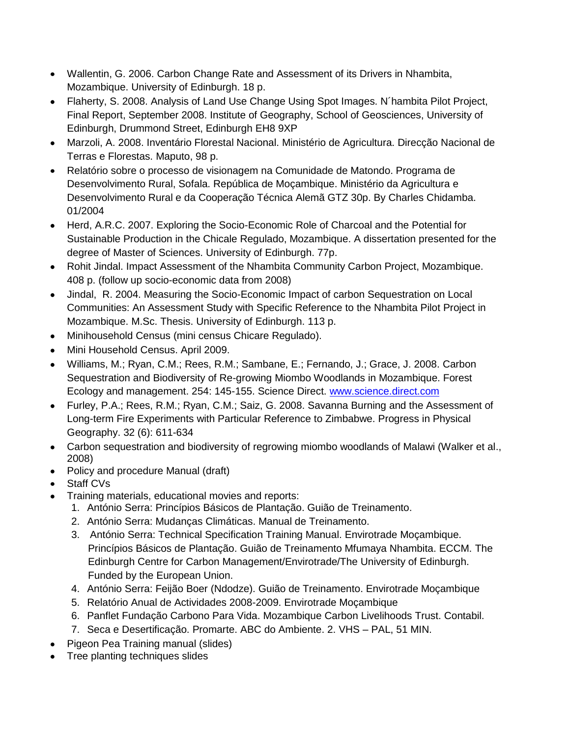- Wallentin, G. 2006. Carbon Change Rate and Assessment of its Drivers in Nhambita, Mozambique. University of Edinburgh. 18 p.
- Flaherty, S. 2008. Analysis of Land Use Change Using Spot Images. N´hambita Pilot Project,  $\bullet$ Final Report, September 2008. Institute of Geography, School of Geosciences, University of Edinburgh, Drummond Street, Edinburgh EH8 9XP
- $\bullet$ Marzoli, A. 2008. Inventário Florestal Nacional. Ministério de Agricultura. Direcção Nacional de Terras e Florestas. Maputo, 98 p.
- $\bullet$ Relatório sobre o processo de visionagem na Comunidade de Matondo. Programa de Desenvolvimento Rural, Sofala. República de Moçambique. Ministério da Agricultura e Desenvolvimento Rural e da Cooperação Técnica Alemã GTZ 30p. By Charles Chidamba. 01/2004
- Herd, A.R.C. 2007. Exploring the Socio-Economic Role of Charcoal and the Potential for Sustainable Production in the Chicale Regulado, Mozambique. A dissertation presented for the degree of Master of Sciences. University of Edinburgh. 77p.
- Rohit Jindal. Impact Assessment of the Nhambita Community Carbon Project, Mozambique. 408 p. (follow up socio-economic data from 2008)
- Jindal, R. 2004. Measuring the Socio-Economic Impact of carbon Sequestration on Local Communities: An Assessment Study with Specific Reference to the Nhambita Pilot Project in Mozambique. M.Sc. Thesis. University of Edinburgh. 113 p.
- Minihousehold Census (mini census Chicare Regulado).
- Mini Household Census. April 2009.
- Williams, M.; Ryan, C.M.; Rees, R.M.; Sambane, E.; Fernando, J.; Grace, J. 2008. Carbon Sequestration and Biodiversity of Re-growing Miombo Woodlands in Mozambique. Forest Ecology and management. 254: 145-155. Science Direct. [www.science.direct.com](http://www.science.direct.com/)
- Furley, P.A.; Rees, R.M.; Ryan, C.M.; Saiz, G. 2008. Savanna Burning and the Assessment of  $\bullet$ Long-term Fire Experiments with Particular Reference to Zimbabwe. Progress in Physical Geography. 32 (6): 611-634
- Carbon sequestration and biodiversity of regrowing miombo woodlands of Malawi (Walker et al., 2008)
- Policy and procedure Manual (draft)
- Staff CVs
- Training materials, educational movies and reports:
	- 1. António Serra: Princípios Básicos de Plantação. Guião de Treinamento.
	- 2. António Serra: Mudanças Climáticas. Manual de Treinamento.
	- 3. António Serra: Technical Specification Training Manual. Envirotrade Moçambique. Princípios Básicos de Plantação. Guião de Treinamento Mfumaya Nhambita. ECCM. The Edinburgh Centre for Carbon Management/Envirotrade/The University of Edinburgh. Funded by the European Union.
	- 4. António Serra: Feijão Boer (Ndodze). Guião de Treinamento. Envirotrade Moçambique
	- 5. Relatório Anual de Actividades 2008-2009. Envirotrade Moçambique
	- 6. Panflet Fundação Carbono Para Vida. Mozambique Carbon Livelihoods Trust. Contabil.
	- 7. Seca e Desertificação. Promarte. ABC do Ambiente. 2. VHS PAL, 51 MIN.
- Pigeon Pea Training manual (slides)
- Tree planting techniques slides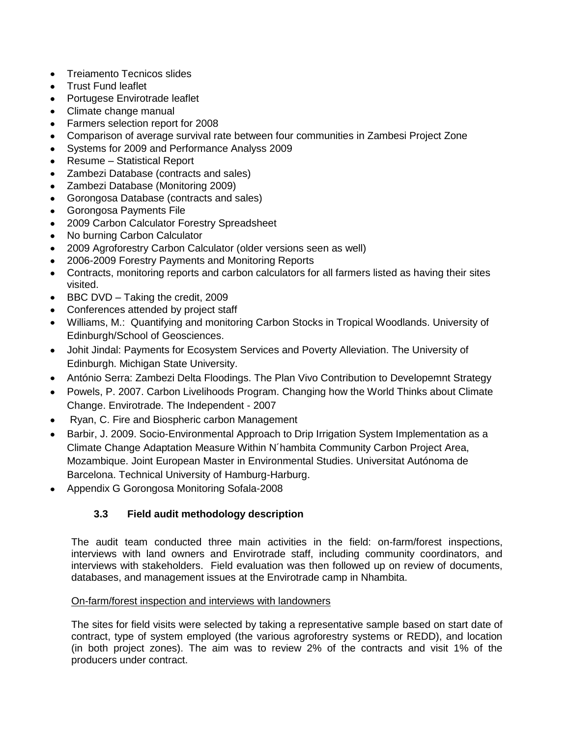- Treiamento Tecnicos slides
- Trust Fund leaflet
- Portugese Envirotrade leaflet
- Climate change manual
- Farmers selection report for 2008
- Comparison of average survival rate between four communities in Zambesi Project Zone
- Systems for 2009 and Performance Analyss 2009
- Resume Statistical Report
- Zambezi Database (contracts and sales)  $\bullet$
- Zambezi Database (Monitoring 2009)
- Gorongosa Database (contracts and sales)
- **Gorongosa Payments File**
- 2009 Carbon Calculator Forestry Spreadsheet
- No burning Carbon Calculator
- 2009 Agroforestry Carbon Calculator (older versions seen as well)
- 2006-2009 Forestry Payments and Monitoring Reports
- Contracts, monitoring reports and carbon calculators for all farmers listed as having their sites visited.
- BBC DVD Taking the credit, 2009
- Conferences attended by project staff
- Williams, M.: Quantifying and monitoring Carbon Stocks in Tropical Woodlands. University of Edinburgh/School of Geosciences.
- Johit Jindal: Payments for Ecosystem Services and Poverty Alleviation. The University of Edinburgh. Michigan State University.
- António Serra: Zambezi Delta Floodings. The Plan Vivo Contribution to Developemnt Strategy
- Powels, P. 2007. Carbon Livelihoods Program. Changing how the World Thinks about Climate Change. Envirotrade. The Independent - 2007
- Ryan, C. Fire and Biospheric carbon Management
- Barbir, J. 2009. Socio-Environmental Approach to Drip Irrigation System Implementation as a Climate Change Adaptation Measure Within N´hambita Community Carbon Project Area, Mozambique. Joint European Master in Environmental Studies. Universitat Autónoma de Barcelona. Technical University of Hamburg-Harburg.
- Appendix G Gorongosa Monitoring Sofala-2008

## **3.3 Field audit methodology description**

<span id="page-20-0"></span>The audit team conducted three main activities in the field: on-farm/forest inspections, interviews with land owners and Envirotrade staff, including community coordinators, and interviews with stakeholders. Field evaluation was then followed up on review of documents, databases, and management issues at the Envirotrade camp in Nhambita.

## On-farm/forest inspection and interviews with landowners

The sites for field visits were selected by taking a representative sample based on start date of contract, type of system employed (the various agroforestry systems or REDD), and location (in both project zones). The aim was to review 2% of the contracts and visit 1% of the producers under contract.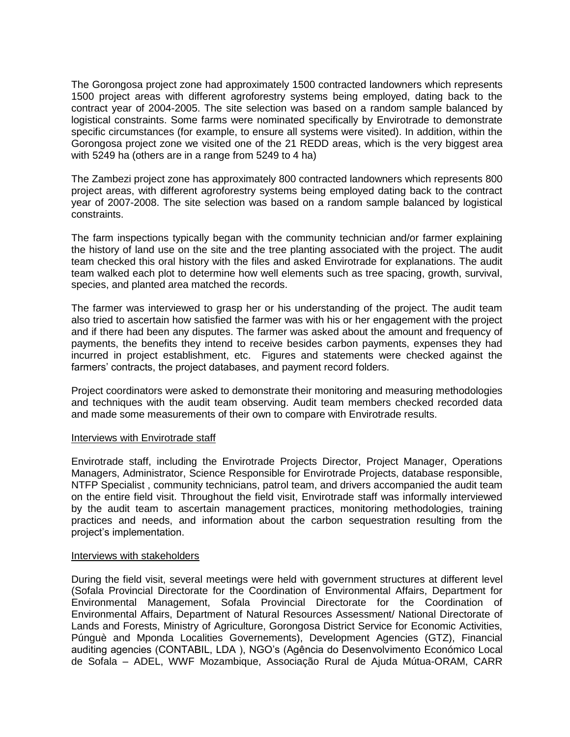The Gorongosa project zone had approximately 1500 contracted landowners which represents 1500 project areas with different agroforestry systems being employed, dating back to the contract year of 2004-2005. The site selection was based on a random sample balanced by logistical constraints. Some farms were nominated specifically by Envirotrade to demonstrate specific circumstances (for example, to ensure all systems were visited). In addition, within the Gorongosa project zone we visited one of the 21 REDD areas, which is the very biggest area with 5249 ha (others are in a range from 5249 to 4 ha)

The Zambezi project zone has approximately 800 contracted landowners which represents 800 project areas, with different agroforestry systems being employed dating back to the contract year of 2007-2008. The site selection was based on a random sample balanced by logistical constraints.

The farm inspections typically began with the community technician and/or farmer explaining the history of land use on the site and the tree planting associated with the project. The audit team checked this oral history with the files and asked Envirotrade for explanations. The audit team walked each plot to determine how well elements such as tree spacing, growth, survival, species, and planted area matched the records.

The farmer was interviewed to grasp her or his understanding of the project. The audit team also tried to ascertain how satisfied the farmer was with his or her engagement with the project and if there had been any disputes. The farmer was asked about the amount and frequency of payments, the benefits they intend to receive besides carbon payments, expenses they had incurred in project establishment, etc. Figures and statements were checked against the farmers' contracts, the project databases, and payment record folders.

Project coordinators were asked to demonstrate their monitoring and measuring methodologies and techniques with the audit team observing. Audit team members checked recorded data and made some measurements of their own to compare with Envirotrade results.

## Interviews with Envirotrade staff

Envirotrade staff, including the Envirotrade Projects Director, Project Manager, Operations Managers, Administrator, Science Responsible for Envirotrade Projects, database responsible, NTFP Specialist , community technicians, patrol team, and drivers accompanied the audit team on the entire field visit. Throughout the field visit, Envirotrade staff was informally interviewed by the audit team to ascertain management practices, monitoring methodologies, training practices and needs, and information about the carbon sequestration resulting from the project"s implementation.

#### Interviews with stakeholders

During the field visit, several meetings were held with government structures at different level (Sofala Provincial Directorate for the Coordination of Environmental Affairs, Department for Environmental Management, Sofala Provincial Directorate for the Coordination of Environmental Affairs, Department of Natural Resources Assessment/ National Directorate of Lands and Forests, Ministry of Agriculture, Gorongosa District Service for Economic Activities, Púnguè and Mponda Localities Governements), Development Agencies (GTZ), Financial auditing agencies (CONTABIL, LDA ), NGO"s (Agência do Desenvolvimento Económico Local de Sofala – ADEL, WWF Mozambique, Associação Rural de Ajuda Mútua-ORAM, CARR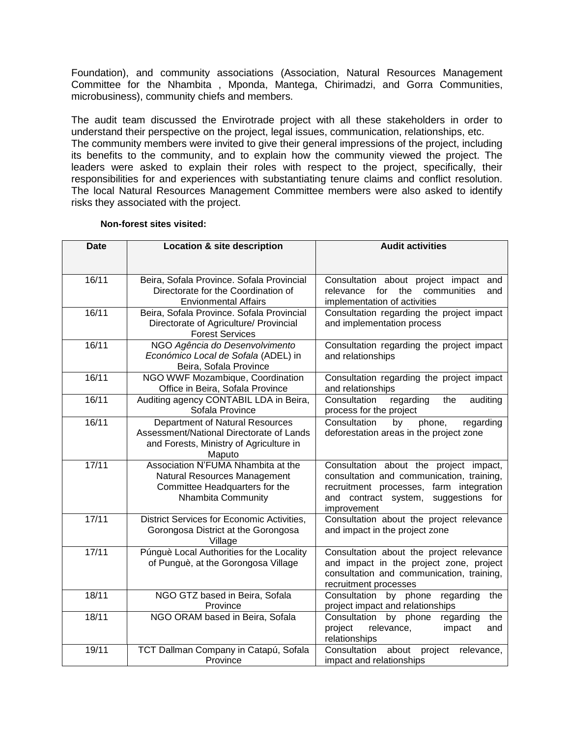Foundation), and community associations (Association, Natural Resources Management Committee for the Nhambita , Mponda, Mantega, Chirimadzi, and Gorra Communities, microbusiness), community chiefs and members.

The audit team discussed the Envirotrade project with all these stakeholders in order to understand their perspective on the project, legal issues, communication, relationships, etc. The community members were invited to give their general impressions of the project, including its benefits to the community, and to explain how the community viewed the project. The leaders were asked to explain their roles with respect to the project, specifically, their responsibilities for and experiences with substantiating tenure claims and conflict resolution. The local Natural Resources Management Committee members were also asked to identify risks they associated with the project.

#### **Non-forest sites visited:**

| <b>Date</b> | Location & site description                                                                                                             | <b>Audit activities</b>                                                                                                                                                               |
|-------------|-----------------------------------------------------------------------------------------------------------------------------------------|---------------------------------------------------------------------------------------------------------------------------------------------------------------------------------------|
| 16/11       | Beira, Sofala Province. Sofala Provincial<br>Directorate for the Coordination of<br><b>Envionmental Affairs</b>                         | Consultation about project impact<br>and<br>for<br>the<br>communities<br>relevance<br>and<br>implementation of activities                                                             |
| 16/11       | Beira, Sofala Province. Sofala Provincial<br>Directorate of Agriculture/ Provincial<br><b>Forest Services</b>                           | Consultation regarding the project impact<br>and implementation process                                                                                                               |
| 16/11       | NGO Agência do Desenvolvimento<br>Económico Local de Sofala (ADEL) in<br>Beira, Sofala Province                                         | Consultation regarding the project impact<br>and relationships                                                                                                                        |
| 16/11       | NGO WWF Mozambique, Coordination<br>Office in Beira, Sofala Province                                                                    | Consultation regarding the project impact<br>and relationships                                                                                                                        |
| 16/11       | Auditing agency CONTABIL LDA in Beira,<br>Sofala Province                                                                               | Consultation<br>regarding<br>the<br>auditing<br>process for the project                                                                                                               |
| 16/11       | <b>Department of Natural Resources</b><br>Assessment/National Directorate of Lands<br>and Forests, Ministry of Agriculture in<br>Maputo | Consultation<br>regarding<br>phone,<br>by<br>deforestation areas in the project zone                                                                                                  |
| 17/11       | Association N'FUMA Nhambita at the<br>Natural Resources Management<br>Committee Headquarters for the<br>Nhambita Community              | Consultation about the project impact,<br>consultation and communication, training,<br>recruitment processes, farm integration<br>and contract system, suggestions for<br>improvement |
| 17/11       | District Services for Economic Activities,<br>Gorongosa District at the Gorongosa<br>Village                                            | Consultation about the project relevance<br>and impact in the project zone                                                                                                            |
| 17/11       | Púnguè Local Authorities for the Locality<br>of Punguè, at the Gorongosa Village                                                        | Consultation about the project relevance<br>and impact in the project zone, project<br>consultation and communication, training,<br>recruitment processes                             |
| 18/11       | NGO GTZ based in Beira, Sofala<br>Province                                                                                              | Consultation<br>by phone<br>regarding<br>the<br>project impact and relationships                                                                                                      |
| 18/11       | NGO ORAM based in Beira, Sofala                                                                                                         | by phone<br>regarding<br>Consultation<br>the<br>project<br>relevance,<br>impact<br>and<br>relationships                                                                               |
| 19/11       | TCT Dallman Company in Catapú, Sofala<br>Province                                                                                       | Consultation<br>about<br>project<br>relevance,<br>impact and relationships                                                                                                            |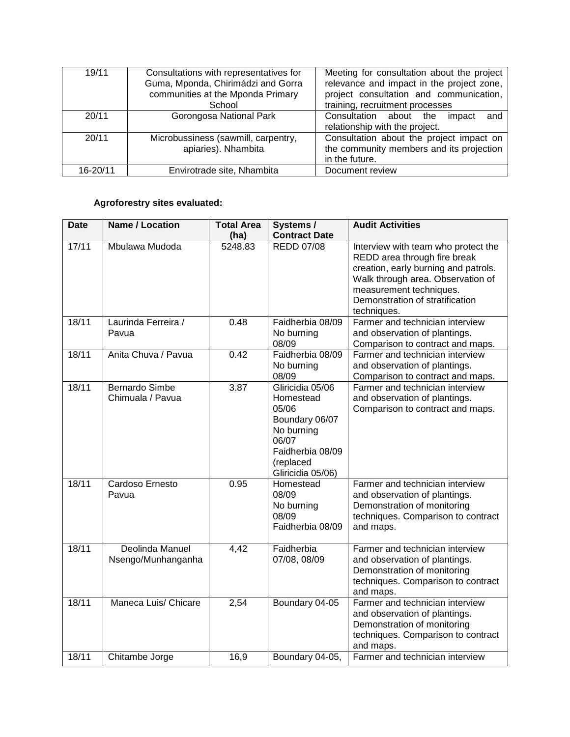| 19/11    | Consultations with representatives for<br>Guma, Mponda, Chirimádzi and Gorra<br>communities at the Mponda Primary<br>School | Meeting for consultation about the project<br>relevance and impact in the project zone,<br>project consultation and communication,<br>training, recruitment processes |
|----------|-----------------------------------------------------------------------------------------------------------------------------|-----------------------------------------------------------------------------------------------------------------------------------------------------------------------|
| 20/11    | Gorongosa National Park                                                                                                     | Consultation about the<br>impact<br>and<br>relationship with the project.                                                                                             |
| 20/11    | Microbussiness (sawmill, carpentry,<br>apiaries). Nhambita                                                                  | Consultation about the project impact on<br>the community members and its projection<br>in the future.                                                                |
| 16-20/11 | Envirotrade site, Nhambita                                                                                                  | Document review                                                                                                                                                       |

## **Agroforestry sites evaluated:**

| <b>Date</b> | <b>Name / Location</b>                    | <b>Total Area</b><br>(ha) | Systems /<br><b>Contract Date</b>                                                                                                     | <b>Audit Activities</b>                                                                                                                                                                                                       |
|-------------|-------------------------------------------|---------------------------|---------------------------------------------------------------------------------------------------------------------------------------|-------------------------------------------------------------------------------------------------------------------------------------------------------------------------------------------------------------------------------|
| 17/11       | Mbulawa Mudoda                            | 5248.83                   | <b>REDD 07/08</b>                                                                                                                     | Interview with team who protect the<br>REDD area through fire break<br>creation, early burning and patrols.<br>Walk through area. Observation of<br>measurement techniques.<br>Demonstration of stratification<br>techniques. |
| 18/11       | Laurinda Ferreira /<br>Pavua              | 0.48                      | Faidherbia 08/09<br>No burning<br>08/09                                                                                               | Farmer and technician interview<br>and observation of plantings.<br>Comparison to contract and maps.                                                                                                                          |
| 18/11       | Anita Chuva / Pavua                       | 0.42                      | Faidherbia 08/09<br>No burning<br>08/09                                                                                               | Farmer and technician interview<br>and observation of plantings.<br>Comparison to contract and maps.                                                                                                                          |
| 18/11       | <b>Bernardo Simbe</b><br>Chimuala / Pavua | 3.87                      | Gliricidia 05/06<br>Homestead<br>05/06<br>Boundary 06/07<br>No burning<br>06/07<br>Faidherbia 08/09<br>(replaced<br>Gliricidia 05/06) | Farmer and technician interview<br>and observation of plantings.<br>Comparison to contract and maps.                                                                                                                          |
| 18/11       | Cardoso Ernesto<br>Pavua                  | 0.95                      | Homestead<br>08/09<br>No burning<br>08/09<br>Faidherbia 08/09                                                                         | Farmer and technician interview<br>and observation of plantings.<br>Demonstration of monitoring<br>techniques. Comparison to contract<br>and maps.                                                                            |
| 18/11       | Deolinda Manuel<br>Nsengo/Munhanganha     | 4,42                      | Faidherbia<br>07/08, 08/09                                                                                                            | Farmer and technician interview<br>and observation of plantings.<br>Demonstration of monitoring<br>techniques. Comparison to contract<br>and maps.                                                                            |
| 18/11       | Maneca Luis/ Chicare                      | 2,54                      | Boundary 04-05                                                                                                                        | Farmer and technician interview<br>and observation of plantings.<br>Demonstration of monitoring<br>techniques. Comparison to contract<br>and maps.                                                                            |
| 18/11       | Chitambe Jorge                            | 16,9                      | Boundary 04-05,                                                                                                                       | Farmer and technician interview                                                                                                                                                                                               |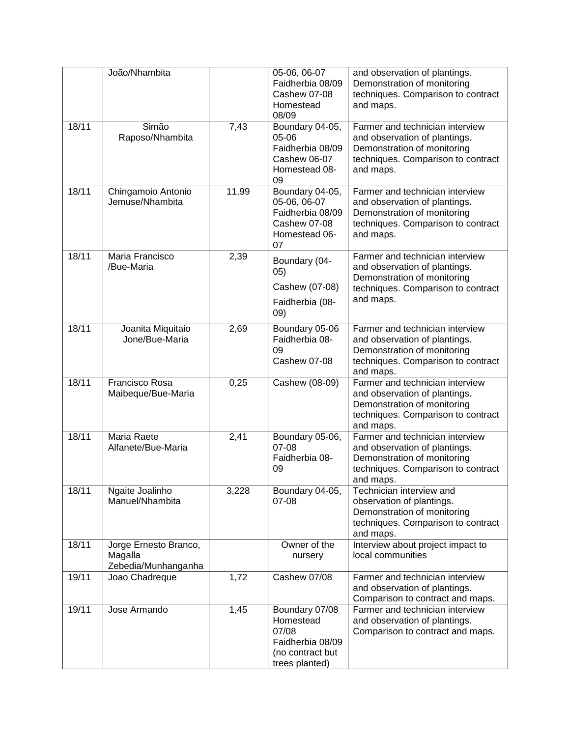|       | João/Nhambita                                           |       | 05-06, 06-07<br>Faidherbia 08/09<br>Cashew 07-08<br>Homestead<br>08/09                         | and observation of plantings.<br>Demonstration of monitoring<br>techniques. Comparison to contract<br>and maps.                                    |
|-------|---------------------------------------------------------|-------|------------------------------------------------------------------------------------------------|----------------------------------------------------------------------------------------------------------------------------------------------------|
| 18/11 | Simão<br>Raposo/Nhambita                                | 7,43  | Boundary 04-05,<br>05-06<br>Faidherbia 08/09<br>Cashew 06-07<br>Homestead 08-<br>09            | Farmer and technician interview<br>and observation of plantings.<br>Demonstration of monitoring<br>techniques. Comparison to contract<br>and maps. |
| 18/11 | Chingamoio Antonio<br>Jemuse/Nhambita                   | 11,99 | Boundary 04-05,<br>05-06, 06-07<br>Faidherbia 08/09<br>Cashew 07-08<br>Homestead 06-<br>07     | Farmer and technician interview<br>and observation of plantings.<br>Demonstration of monitoring<br>techniques. Comparison to contract<br>and maps. |
| 18/11 | Maria Francisco<br>/Bue-Maria                           | 2,39  | Boundary (04-<br>(05)<br>Cashew (07-08)<br>Faidherbia (08-<br>(09)                             | Farmer and technician interview<br>and observation of plantings.<br>Demonstration of monitoring<br>techniques. Comparison to contract<br>and maps. |
| 18/11 | Joanita Miquitaio<br>Jone/Bue-Maria                     | 2,69  | Boundary 05-06<br>Faidherbia 08-<br>09<br>Cashew 07-08                                         | Farmer and technician interview<br>and observation of plantings.<br>Demonstration of monitoring<br>techniques. Comparison to contract<br>and maps. |
| 18/11 | Francisco Rosa<br>Maibeque/Bue-Maria                    | 0,25  | Cashew (08-09)                                                                                 | Farmer and technician interview<br>and observation of plantings.<br>Demonstration of monitoring<br>techniques. Comparison to contract<br>and maps. |
| 18/11 | Maria Raete<br>Alfanete/Bue-Maria                       | 2,41  | Boundary 05-06,<br>07-08<br>Faidherbia 08-<br>09                                               | Farmer and technician interview<br>and observation of plantings.<br>Demonstration of monitoring<br>techniques. Comparison to contract<br>and maps. |
| 18/11 | Ngaite Joalinho<br>Manuel/Nhambita                      | 3,228 | Boundary 04-05,<br>07-08                                                                       | Technician interview and<br>observation of plantings.<br>Demonstration of monitoring<br>techniques. Comparison to contract<br>and maps.            |
| 18/11 | Jorge Ernesto Branco,<br>Magalla<br>Zebedia/Munhanganha |       | Owner of the<br>nursery                                                                        | Interview about project impact to<br>local communities                                                                                             |
| 19/11 | Joao Chadreque                                          | 1,72  | Cashew 07/08                                                                                   | Farmer and technician interview<br>and observation of plantings.<br>Comparison to contract and maps.                                               |
| 19/11 | Jose Armando                                            | 1,45  | Boundary 07/08<br>Homestead<br>07/08<br>Faidherbia 08/09<br>(no contract but<br>trees planted) | Farmer and technician interview<br>and observation of plantings.<br>Comparison to contract and maps.                                               |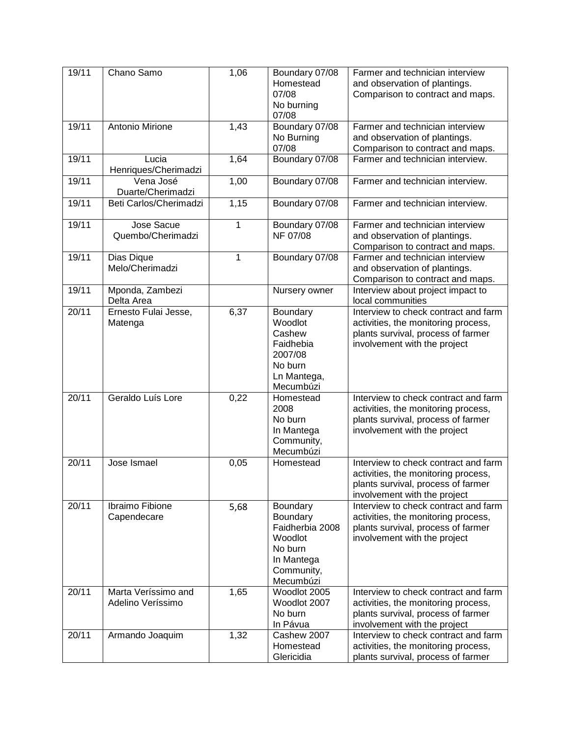| 19/11 | Chano Samo                               | 1,06         | Boundary 07/08<br>Homestead<br>07/08<br>No burning<br>07/08                                            | Farmer and technician interview<br>and observation of plantings.<br>Comparison to contract and maps.                                              |
|-------|------------------------------------------|--------------|--------------------------------------------------------------------------------------------------------|---------------------------------------------------------------------------------------------------------------------------------------------------|
| 19/11 | Antonio Mirione                          | 1,43         | Boundary 07/08<br>No Burning<br>07/08                                                                  | Farmer and technician interview<br>and observation of plantings.<br>Comparison to contract and maps.                                              |
| 19/11 | Lucia<br>Henriques/Cherimadzi            | 1,64         | Boundary 07/08                                                                                         | Farmer and technician interview.                                                                                                                  |
| 19/11 | Vena José<br>Duarte/Cherimadzi           | 1,00         | Boundary 07/08                                                                                         | Farmer and technician interview.                                                                                                                  |
| 19/11 | Beti Carlos/Cherimadzi                   | 1,15         | Boundary 07/08                                                                                         | Farmer and technician interview.                                                                                                                  |
| 19/11 | Jose Sacue<br>Quembo/Cherimadzi          | $\mathbf{1}$ | Boundary 07/08<br>NF 07/08                                                                             | Farmer and technician interview<br>and observation of plantings.<br>Comparison to contract and maps.                                              |
| 19/11 | Dias Dique<br>Melo/Cherimadzi            | $\mathbf{1}$ | Boundary 07/08                                                                                         | Farmer and technician interview<br>and observation of plantings.<br>Comparison to contract and maps.                                              |
| 19/11 | Mponda, Zambezi<br>Delta Area            |              | Nursery owner                                                                                          | Interview about project impact to<br>local communities                                                                                            |
| 20/11 | Ernesto Fulai Jesse,<br>Matenga          | 6,37         | Boundary<br>Woodlot<br>Cashew<br>Faidhebia<br>2007/08<br>No burn<br>Ln Mantega,<br>Mecumbúzi           | Interview to check contract and farm<br>activities, the monitoring process,<br>plants survival, process of farmer<br>involvement with the project |
| 20/11 | Geraldo Luís Lore                        | 0,22         | Homestead<br>2008<br>No burn<br>In Mantega<br>Community,<br>Mecumbúzi                                  | Interview to check contract and farm<br>activities, the monitoring process,<br>plants survival, process of farmer<br>involvement with the project |
| 20/11 | Jose Ismael                              | 0,05         | Homestead                                                                                              | Interview to check contract and farm<br>activities, the monitoring process,<br>plants survival, process of farmer<br>involvement with the project |
| 20/11 | Ibraimo Fibione<br>Capendecare           | 5,68         | Boundary<br>Boundary<br>Faidherbia 2008<br>Woodlot<br>No burn<br>In Mantega<br>Community,<br>Mecumbúzi | Interview to check contract and farm<br>activities, the monitoring process,<br>plants survival, process of farmer<br>involvement with the project |
| 20/11 | Marta Veríssimo and<br>Adelino Veríssimo | 1,65         | Woodlot 2005<br>Woodlot 2007<br>No burn<br>In Pávua                                                    | Interview to check contract and farm<br>activities, the monitoring process,<br>plants survival, process of farmer<br>involvement with the project |
| 20/11 | Armando Joaquim                          | 1,32         | Cashew 2007<br>Homestead<br>Glericidia                                                                 | Interview to check contract and farm<br>activities, the monitoring process,<br>plants survival, process of farmer                                 |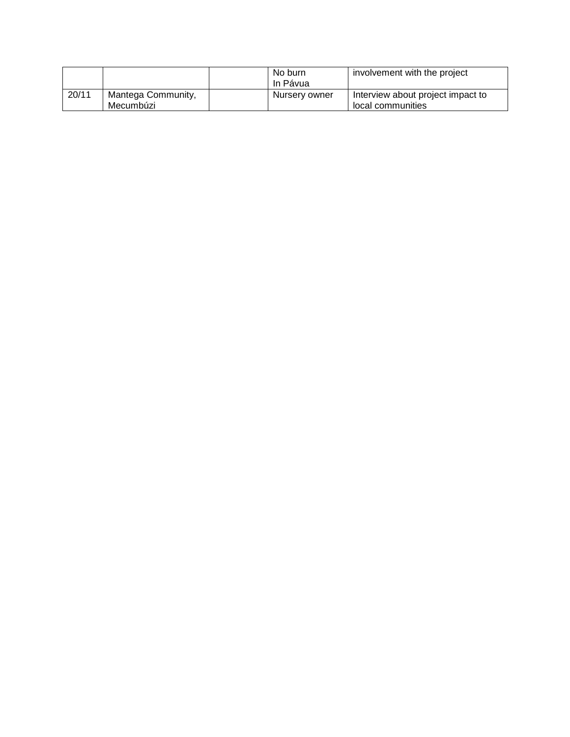|       |                                 | No burn<br>In Pávua | involvement with the project                           |
|-------|---------------------------------|---------------------|--------------------------------------------------------|
| 20/11 | Mantega Community,<br>Mecumbúzi | Nursery owner       | Interview about project impact to<br>local communities |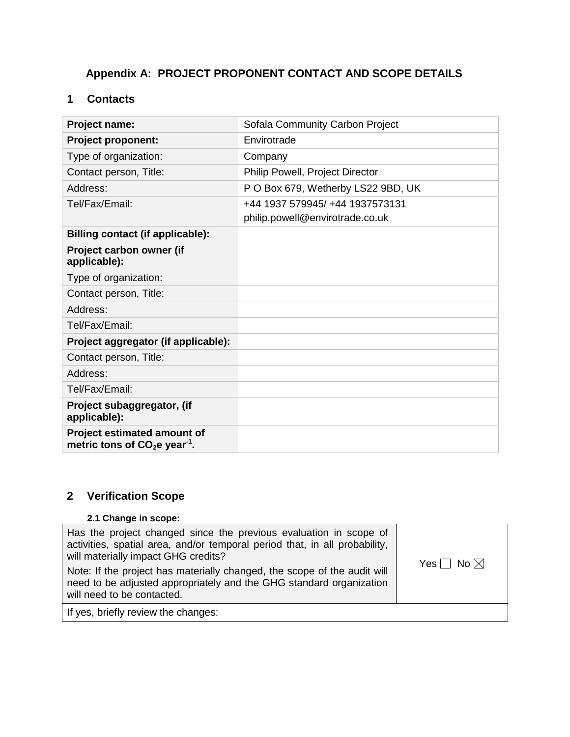# <span id="page-27-0"></span>**Appendix A: PROJECT PROPONENT CONTACT AND SCOPE DETAILS**

## <span id="page-27-1"></span>**1 Contacts**

| Project name:                                                 | Sofala Community Carbon Project                                    |
|---------------------------------------------------------------|--------------------------------------------------------------------|
| <b>Project proponent:</b>                                     | Envirotrade                                                        |
| Type of organization:                                         | Company                                                            |
| Contact person, Title:                                        | Philip Powell, Project Director                                    |
| Address:                                                      | P O Box 679, Wetherby LS22 9BD, UK                                 |
| Tel/Fax/Email:                                                | +44 1937 579945/ +44 1937573131<br>philip.powell@envirotrade.co.uk |
| Billing contact (if applicable):                              |                                                                    |
| Project carbon owner (if<br>applicable):                      |                                                                    |
| Type of organization:                                         |                                                                    |
| Contact person, Title:                                        |                                                                    |
| Address:                                                      |                                                                    |
| Tel/Fax/Email:                                                |                                                                    |
| Project aggregator (if applicable):                           |                                                                    |
| Contact person, Title:                                        |                                                                    |
| Address:                                                      |                                                                    |
| Tel/Fax/Email:                                                |                                                                    |
| Project subaggregator, (if<br>applicable):                    |                                                                    |
| Project estimated amount of<br>metric tons of $CO2e year-1$ . |                                                                    |

## <span id="page-27-2"></span>**2 Verification Scope**

# **2.1 Change in scope:**

| Has the project changed since the previous evaluation in scope of<br>activities, spatial area, and/or temporal period that, in all probability,<br>will materially impact GHG credits?<br>Note: If the project has materially changed, the scope of the audit will<br>need to be adjusted appropriately and the GHG standard organization<br>will need to be contacted. | Yes $\Box$ No $\boxtimes$ |
|-------------------------------------------------------------------------------------------------------------------------------------------------------------------------------------------------------------------------------------------------------------------------------------------------------------------------------------------------------------------------|---------------------------|
| If yes, briefly review the changes:                                                                                                                                                                                                                                                                                                                                     |                           |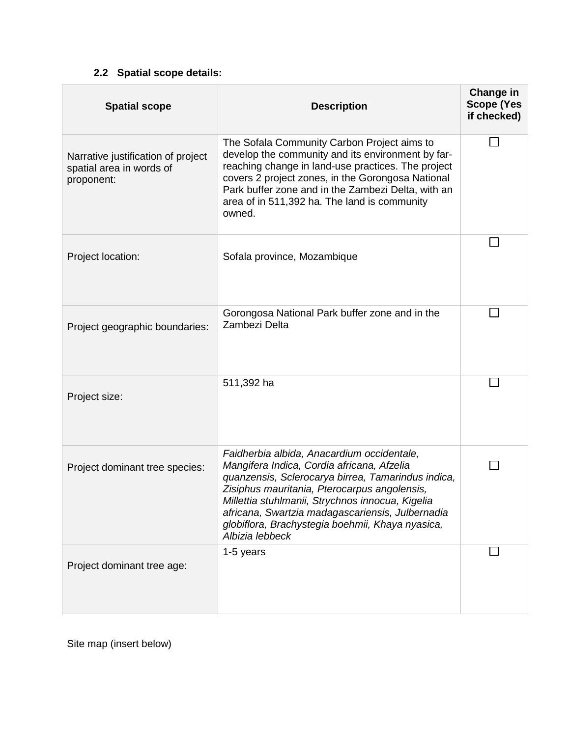# **2.2 Spatial scope details:**

<span id="page-28-0"></span>

| <b>Spatial scope</b>                                                         | <b>Description</b>                                                                                                                                                                                                                                                                                                                                                            | Change in<br><b>Scope (Yes</b><br>if checked) |
|------------------------------------------------------------------------------|-------------------------------------------------------------------------------------------------------------------------------------------------------------------------------------------------------------------------------------------------------------------------------------------------------------------------------------------------------------------------------|-----------------------------------------------|
| Narrative justification of project<br>spatial area in words of<br>proponent: | The Sofala Community Carbon Project aims to<br>develop the community and its environment by far-<br>reaching change in land-use practices. The project<br>covers 2 project zones, in the Gorongosa National<br>Park buffer zone and in the Zambezi Delta, with an<br>area of in 511,392 ha. The land is community<br>owned.                                                   |                                               |
| Project location:                                                            | Sofala province, Mozambique                                                                                                                                                                                                                                                                                                                                                   |                                               |
| Project geographic boundaries:                                               | Gorongosa National Park buffer zone and in the<br>Zambezi Delta                                                                                                                                                                                                                                                                                                               |                                               |
| Project size:                                                                | 511,392 ha                                                                                                                                                                                                                                                                                                                                                                    |                                               |
| Project dominant tree species:                                               | Faidherbia albida, Anacardium occidentale,<br>Mangifera Indica, Cordia africana, Afzelia<br>quanzensis, Sclerocarya birrea, Tamarindus indica,<br>Zisiphus mauritania, Pterocarpus angolensis,<br>Millettia stuhlmanii, Strychnos innocua, Kigelia<br>africana, Swartzia madagascariensis, Julbernadia<br>globiflora, Brachystegia boehmii, Khaya nyasica,<br>Albizia lebbeck |                                               |
| Project dominant tree age:                                                   | 1-5 years                                                                                                                                                                                                                                                                                                                                                                     |                                               |

Site map (insert below)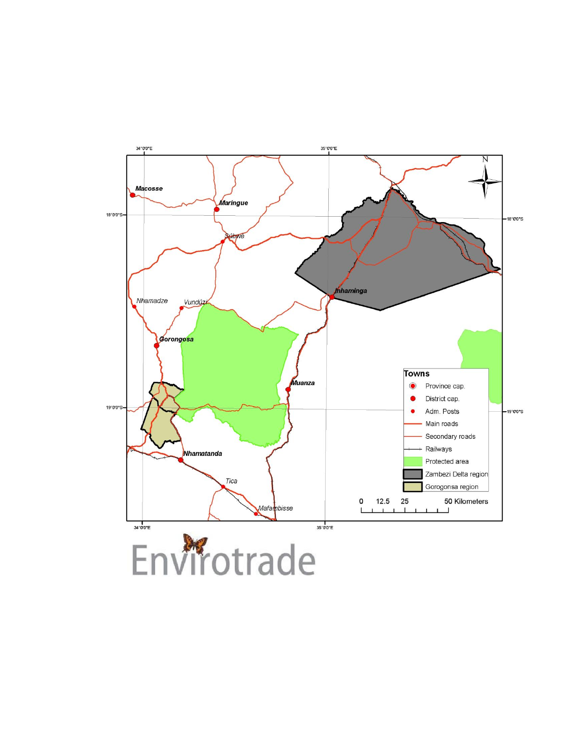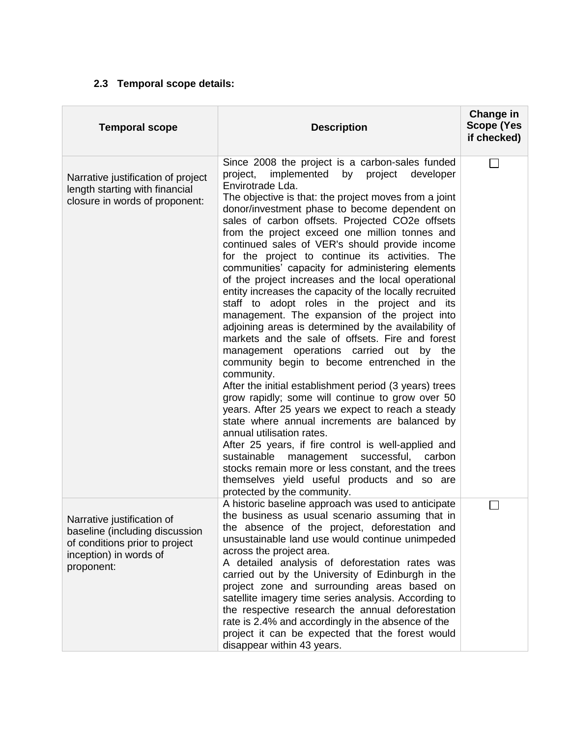## **2.3 Temporal scope details:**

<span id="page-30-0"></span>

| <b>Temporal scope</b>                                                                                                                  | <b>Description</b>                                                                                                                                                                                                                                                                                                                                                                                                                                                                                                                                                                                                                                                                                                                                                                                                                                                                                                                                                                                                                                                                                                                                                                                                                                                                                                                                                                                                                 | Change in<br><b>Scope (Yes</b><br>if checked) |
|----------------------------------------------------------------------------------------------------------------------------------------|------------------------------------------------------------------------------------------------------------------------------------------------------------------------------------------------------------------------------------------------------------------------------------------------------------------------------------------------------------------------------------------------------------------------------------------------------------------------------------------------------------------------------------------------------------------------------------------------------------------------------------------------------------------------------------------------------------------------------------------------------------------------------------------------------------------------------------------------------------------------------------------------------------------------------------------------------------------------------------------------------------------------------------------------------------------------------------------------------------------------------------------------------------------------------------------------------------------------------------------------------------------------------------------------------------------------------------------------------------------------------------------------------------------------------------|-----------------------------------------------|
| Narrative justification of project<br>length starting with financial<br>closure in words of proponent:                                 | Since 2008 the project is a carbon-sales funded<br>implemented<br>project developer<br>project,<br>by<br>Envirotrade Lda.<br>The objective is that: the project moves from a joint<br>donor/investment phase to become dependent on<br>sales of carbon offsets. Projected CO2e offsets<br>from the project exceed one million tonnes and<br>continued sales of VER's should provide income<br>for the project to continue its activities. The<br>communities' capacity for administering elements<br>of the project increases and the local operational<br>entity increases the capacity of the locally recruited<br>staff to adopt roles in the project and its<br>management. The expansion of the project into<br>adjoining areas is determined by the availability of<br>markets and the sale of offsets. Fire and forest<br>management operations carried out by the<br>community begin to become entrenched in the<br>community.<br>After the initial establishment period (3 years) trees<br>grow rapidly; some will continue to grow over 50<br>years. After 25 years we expect to reach a steady<br>state where annual increments are balanced by<br>annual utilisation rates.<br>After 25 years, if fire control is well-applied and<br>management successful, carbon<br>sustainable<br>stocks remain more or less constant, and the trees<br>themselves yield useful products and so are<br>protected by the community. | ΙI                                            |
| Narrative justification of<br>baseline (including discussion<br>of conditions prior to project<br>inception) in words of<br>proponent: | A historic baseline approach was used to anticipate<br>the business as usual scenario assuming that in<br>the absence of the project, deforestation and<br>unsustainable land use would continue unimpeded<br>across the project area.<br>A detailed analysis of deforestation rates was<br>carried out by the University of Edinburgh in the<br>project zone and surrounding areas based on<br>satellite imagery time series analysis. According to<br>the respective research the annual deforestation<br>rate is 2.4% and accordingly in the absence of the<br>project it can be expected that the forest would<br>disappear within 43 years.                                                                                                                                                                                                                                                                                                                                                                                                                                                                                                                                                                                                                                                                                                                                                                                   |                                               |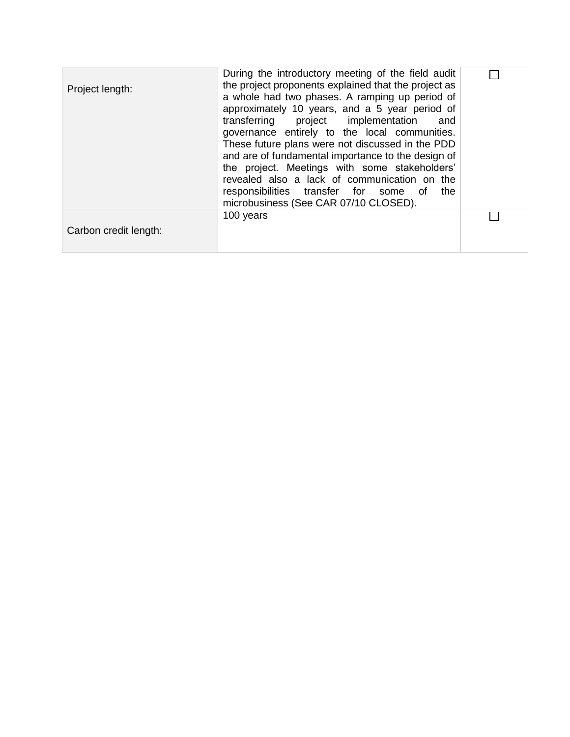| Project length:       | During the introductory meeting of the field audit<br>the project proponents explained that the project as<br>a whole had two phases. A ramping up period of<br>approximately 10 years, and a 5 year period of<br>transferring project implementation<br>and<br>governance entirely to the local communities.<br>These future plans were not discussed in the PDD<br>and are of fundamental importance to the design of<br>the project. Meetings with some stakeholders'<br>revealed also a lack of communication on the<br>responsibilities transfer for some of<br>the<br>microbusiness (See CAR 07/10 CLOSED). |  |
|-----------------------|-------------------------------------------------------------------------------------------------------------------------------------------------------------------------------------------------------------------------------------------------------------------------------------------------------------------------------------------------------------------------------------------------------------------------------------------------------------------------------------------------------------------------------------------------------------------------------------------------------------------|--|
| Carbon credit length: | 100 years                                                                                                                                                                                                                                                                                                                                                                                                                                                                                                                                                                                                         |  |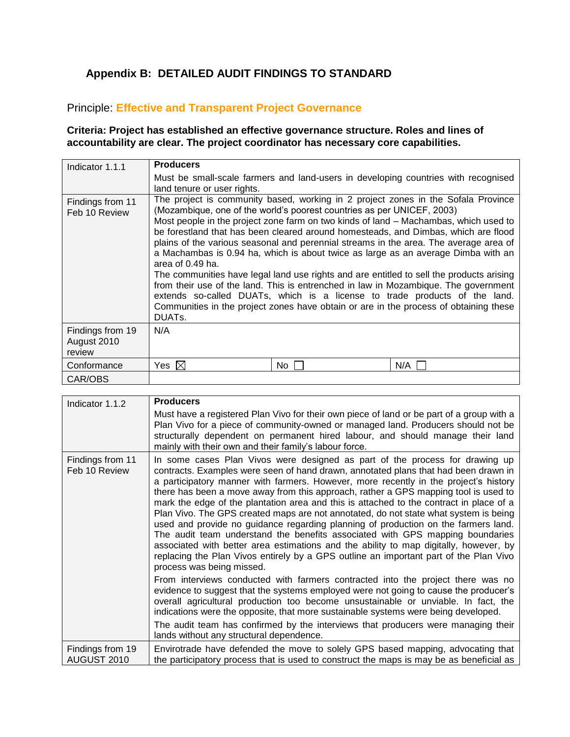# <span id="page-32-0"></span>**Appendix B: DETAILED AUDIT FINDINGS TO STANDARD**

## Principle: **Effective and Transparent Project Governance**

## **Criteria: Project has established an effective governance structure. Roles and lines of accountability are clear. The project coordinator has necessary core capabilities.**

| Indicator 1.1.1                           | <b>Producers</b>                                                                                                                                                                                                                                                                                                                                                                                                                                                                                                                                                                                                                                                                                                                                                                                                                                                                                                             |     |     |
|-------------------------------------------|------------------------------------------------------------------------------------------------------------------------------------------------------------------------------------------------------------------------------------------------------------------------------------------------------------------------------------------------------------------------------------------------------------------------------------------------------------------------------------------------------------------------------------------------------------------------------------------------------------------------------------------------------------------------------------------------------------------------------------------------------------------------------------------------------------------------------------------------------------------------------------------------------------------------------|-----|-----|
|                                           | Must be small-scale farmers and land-users in developing countries with recognised<br>land tenure or user rights.                                                                                                                                                                                                                                                                                                                                                                                                                                                                                                                                                                                                                                                                                                                                                                                                            |     |     |
| Findings from 11<br>Feb 10 Review         | The project is community based, working in 2 project zones in the Sofala Province<br>(Mozambique, one of the world's poorest countries as per UNICEF, 2003)<br>Most people in the project zone farm on two kinds of land - Machambas, which used to<br>be forestland that has been cleared around homesteads, and Dimbas, which are flood<br>plains of the various seasonal and perennial streams in the area. The average area of<br>a Machambas is 0.94 ha, which is about twice as large as an average Dimba with an<br>area of 0.49 ha.<br>The communities have legal land use rights and are entitled to sell the products arising<br>from their use of the land. This is entrenched in law in Mozambique. The government<br>extends so-called DUATs, which is a license to trade products of the land.<br>Communities in the project zones have obtain or are in the process of obtaining these<br>DUAT <sub>s</sub> . |     |     |
| Findings from 19<br>August 2010<br>review | N/A                                                                                                                                                                                                                                                                                                                                                                                                                                                                                                                                                                                                                                                                                                                                                                                                                                                                                                                          |     |     |
| Conformance                               | Yes $\boxtimes$                                                                                                                                                                                                                                                                                                                                                                                                                                                                                                                                                                                                                                                                                                                                                                                                                                                                                                              | No. | N/A |
| CAR/OBS                                   |                                                                                                                                                                                                                                                                                                                                                                                                                                                                                                                                                                                                                                                                                                                                                                                                                                                                                                                              |     |     |

| Indicator 1.1.2                   | <b>Producers</b>                                                                                                                                                                                                                                                                                                                                                                                                                                                                                                                                                                                                                                                                                                                                                                                                                                                                                                                                                                                                                                                                                                                                                                                                                                                                                                                                                                                                    |
|-----------------------------------|---------------------------------------------------------------------------------------------------------------------------------------------------------------------------------------------------------------------------------------------------------------------------------------------------------------------------------------------------------------------------------------------------------------------------------------------------------------------------------------------------------------------------------------------------------------------------------------------------------------------------------------------------------------------------------------------------------------------------------------------------------------------------------------------------------------------------------------------------------------------------------------------------------------------------------------------------------------------------------------------------------------------------------------------------------------------------------------------------------------------------------------------------------------------------------------------------------------------------------------------------------------------------------------------------------------------------------------------------------------------------------------------------------------------|
|                                   | Must have a registered Plan Vivo for their own piece of land or be part of a group with a<br>Plan Vivo for a piece of community-owned or managed land. Producers should not be<br>structurally dependent on permanent hired labour, and should manage their land<br>mainly with their own and their family's labour force.                                                                                                                                                                                                                                                                                                                                                                                                                                                                                                                                                                                                                                                                                                                                                                                                                                                                                                                                                                                                                                                                                          |
| Findings from 11<br>Feb 10 Review | In some cases Plan Vivos were designed as part of the process for drawing up<br>contracts. Examples were seen of hand drawn, annotated plans that had been drawn in<br>a participatory manner with farmers. However, more recently in the project's history<br>there has been a move away from this approach, rather a GPS mapping tool is used to<br>mark the edge of the plantation area and this is attached to the contract in place of a<br>Plan Vivo. The GPS created maps are not annotated, do not state what system is being<br>used and provide no guidance regarding planning of production on the farmers land.<br>The audit team understand the benefits associated with GPS mapping boundaries<br>associated with better area estimations and the ability to map digitally, however, by<br>replacing the Plan Vivos entirely by a GPS outline an important part of the Plan Vivo<br>process was being missed.<br>From interviews conducted with farmers contracted into the project there was no<br>evidence to suggest that the systems employed were not going to cause the producer's<br>overall agricultural production too become unsustainable or unviable. In fact, the<br>indications were the opposite, that more sustainable systems were being developed.<br>The audit team has confirmed by the interviews that producers were managing their<br>lands without any structural dependence. |
| Findings from 19                  | Envirotrade have defended the move to solely GPS based mapping, advocating that                                                                                                                                                                                                                                                                                                                                                                                                                                                                                                                                                                                                                                                                                                                                                                                                                                                                                                                                                                                                                                                                                                                                                                                                                                                                                                                                     |
| AUGUST 2010                       | the participatory process that is used to construct the maps is may be as beneficial as                                                                                                                                                                                                                                                                                                                                                                                                                                                                                                                                                                                                                                                                                                                                                                                                                                                                                                                                                                                                                                                                                                                                                                                                                                                                                                                             |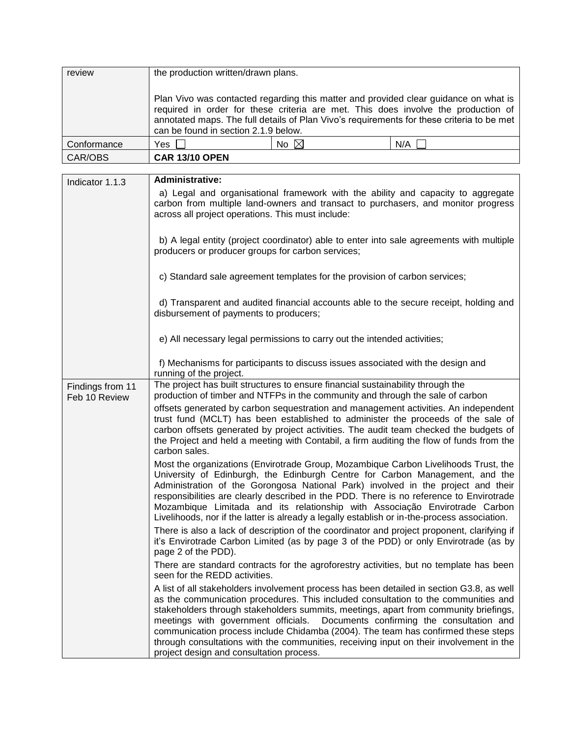| review      | the production written/drawn plans.  |                |                                                                                                                                                                                                                                                                        |
|-------------|--------------------------------------|----------------|------------------------------------------------------------------------------------------------------------------------------------------------------------------------------------------------------------------------------------------------------------------------|
|             | can be found in section 2.1.9 below. |                | Plan Vivo was contacted regarding this matter and provided clear guidance on what is<br>required in order for these criteria are met. This does involve the production of<br>annotated maps. The full details of Plan Vivo's requirements for these criteria to be met |
| Conformance | Yes $\Box$                           | No $\boxtimes$ | N/A                                                                                                                                                                                                                                                                    |
| CAR/OBS     | <b>CAR 13/10 OPEN</b>                |                |                                                                                                                                                                                                                                                                        |

| Indicator 1.1.3                   | <b>Administrative:</b>                                                                                                                                                                                                                                                                                                                                                                                                                                                                                                                                                                  |
|-----------------------------------|-----------------------------------------------------------------------------------------------------------------------------------------------------------------------------------------------------------------------------------------------------------------------------------------------------------------------------------------------------------------------------------------------------------------------------------------------------------------------------------------------------------------------------------------------------------------------------------------|
|                                   | a) Legal and organisational framework with the ability and capacity to aggregate<br>carbon from multiple land-owners and transact to purchasers, and monitor progress<br>across all project operations. This must include:                                                                                                                                                                                                                                                                                                                                                              |
|                                   |                                                                                                                                                                                                                                                                                                                                                                                                                                                                                                                                                                                         |
|                                   | b) A legal entity (project coordinator) able to enter into sale agreements with multiple<br>producers or producer groups for carbon services;                                                                                                                                                                                                                                                                                                                                                                                                                                           |
|                                   | c) Standard sale agreement templates for the provision of carbon services;                                                                                                                                                                                                                                                                                                                                                                                                                                                                                                              |
|                                   | d) Transparent and audited financial accounts able to the secure receipt, holding and<br>disbursement of payments to producers;                                                                                                                                                                                                                                                                                                                                                                                                                                                         |
|                                   | e) All necessary legal permissions to carry out the intended activities;                                                                                                                                                                                                                                                                                                                                                                                                                                                                                                                |
|                                   | f) Mechanisms for participants to discuss issues associated with the design and<br>running of the project.                                                                                                                                                                                                                                                                                                                                                                                                                                                                              |
| Findings from 11<br>Feb 10 Review | The project has built structures to ensure financial sustainability through the<br>production of timber and NTFPs in the community and through the sale of carbon                                                                                                                                                                                                                                                                                                                                                                                                                       |
|                                   | offsets generated by carbon sequestration and management activities. An independent<br>trust fund (MCLT) has been established to administer the proceeds of the sale of<br>carbon offsets generated by project activities. The audit team checked the budgets of<br>the Project and held a meeting with Contabil, a firm auditing the flow of funds from the<br>carbon sales.                                                                                                                                                                                                           |
|                                   | Most the organizations (Envirotrade Group, Mozambique Carbon Livelihoods Trust, the<br>University of Edinburgh, the Edinburgh Centre for Carbon Management, and the<br>Administration of the Gorongosa National Park) involved in the project and their<br>responsibilities are clearly described in the PDD. There is no reference to Envirotrade<br>Mozambique Limitada and its relationship with Associação Envirotrade Carbon<br>Livelihoods, nor if the latter is already a legally establish or in-the-process association.                                                       |
|                                   | There is also a lack of description of the coordinator and project proponent, clarifying if<br>it's Envirotrade Carbon Limited (as by page 3 of the PDD) or only Envirotrade (as by<br>page 2 of the PDD).                                                                                                                                                                                                                                                                                                                                                                              |
|                                   | There are standard contracts for the agroforestry activities, but no template has been<br>seen for the REDD activities.                                                                                                                                                                                                                                                                                                                                                                                                                                                                 |
|                                   | A list of all stakeholders involvement process has been detailed in section G3.8, as well<br>as the communication procedures. This included consultation to the communities and<br>stakeholders through stakeholders summits, meetings, apart from community briefings,<br>meetings with government officials.<br>Documents confirming the consultation and<br>communication process include Chidamba (2004). The team has confirmed these steps<br>through consultations with the communities, receiving input on their involvement in the<br>project design and consultation process. |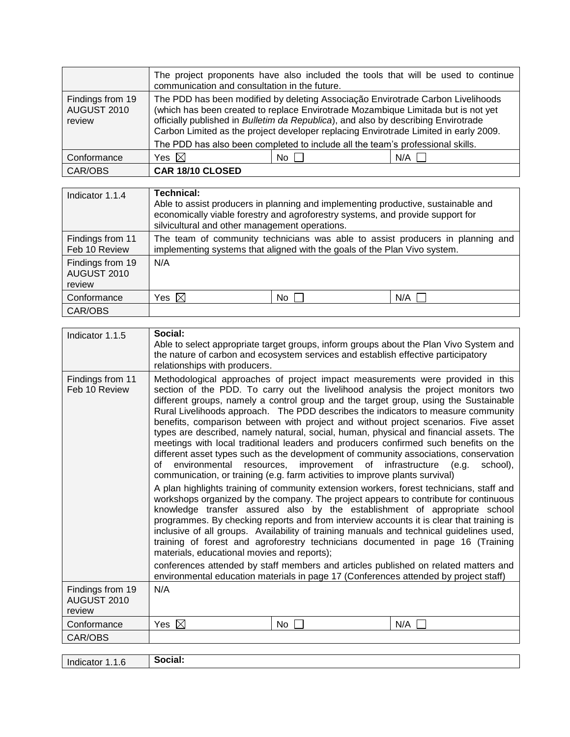|                                           | The project proponents have also included the tools that will be used to continue<br>communication and consultation in the future.                                                                                                                                                                                                                                                                                                   |      |     |
|-------------------------------------------|--------------------------------------------------------------------------------------------------------------------------------------------------------------------------------------------------------------------------------------------------------------------------------------------------------------------------------------------------------------------------------------------------------------------------------------|------|-----|
| Findings from 19<br>AUGUST 2010<br>review | The PDD has been modified by deleting Associação Envirotrade Carbon Livelihoods<br>(which has been created to replace Envirotrade Mozambique Limitada but is not yet<br>officially published in Bulletim da Republica), and also by describing Envirotrade<br>Carbon Limited as the project developer replacing Envirotrade Limited in early 2009.<br>The PDD has also been completed to include all the team's professional skills. |      |     |
| Conformance                               | Yes $\boxtimes$                                                                                                                                                                                                                                                                                                                                                                                                                      | No I | N/A |
| CAR/OBS                                   | CAR 18/10 CLOSED                                                                                                                                                                                                                                                                                                                                                                                                                     |      |     |

| Indicator 1.1.4                           | Technical:<br>Able to assist producers in planning and implementing productive, sustainable and<br>economically viable forestry and agroforestry systems, and provide support for<br>silvicultural and other management operations. |    |     |
|-------------------------------------------|-------------------------------------------------------------------------------------------------------------------------------------------------------------------------------------------------------------------------------------|----|-----|
| Findings from 11<br>Feb 10 Review         | The team of community technicians was able to assist producers in planning and<br>implementing systems that aligned with the goals of the Plan Vivo system.                                                                         |    |     |
| Findings from 19<br>AUGUST 2010<br>review | N/A                                                                                                                                                                                                                                 |    |     |
| Conformance                               | Yes $\boxtimes$                                                                                                                                                                                                                     | No | N/A |
| CAR/OBS                                   |                                                                                                                                                                                                                                     |    |     |

| Indicator 1.1.5                           | Social:<br>relationships with producers.                                         | the nature of carbon and ecosystem services and establish effective participatory                                                                                                      | Able to select appropriate target groups, inform groups about the Plan Vivo System and                                                                                                                                                                                                                                                                                                                                                                                                                                                                                                                                                                                                                                                                                                                                                                                                                                                                                                                                                                                                                                                                                                                                                                                                                                                                                                        |
|-------------------------------------------|----------------------------------------------------------------------------------|----------------------------------------------------------------------------------------------------------------------------------------------------------------------------------------|-----------------------------------------------------------------------------------------------------------------------------------------------------------------------------------------------------------------------------------------------------------------------------------------------------------------------------------------------------------------------------------------------------------------------------------------------------------------------------------------------------------------------------------------------------------------------------------------------------------------------------------------------------------------------------------------------------------------------------------------------------------------------------------------------------------------------------------------------------------------------------------------------------------------------------------------------------------------------------------------------------------------------------------------------------------------------------------------------------------------------------------------------------------------------------------------------------------------------------------------------------------------------------------------------------------------------------------------------------------------------------------------------|
| Findings from 11<br>Feb 10 Review         | environmental<br>of<br>resources,<br>materials, educational movies and reports); | improvement of<br>communication, or training (e.g. farm activities to improve plants survival)<br>environmental education materials in page 17 (Conferences attended by project staff) | Methodological approaches of project impact measurements were provided in this<br>section of the PDD. To carry out the livelihood analysis the project monitors two<br>different groups, namely a control group and the target group, using the Sustainable<br>Rural Livelihoods approach. The PDD describes the indicators to measure community<br>benefits, comparison between with project and without project scenarios. Five asset<br>types are described, namely natural, social, human, physical and financial assets. The<br>meetings with local traditional leaders and producers confirmed such benefits on the<br>different asset types such as the development of community associations, conservation<br>infrastructure<br>(e.g.<br>school),<br>A plan highlights training of community extension workers, forest technicians, staff and<br>workshops organized by the company. The project appears to contribute for continuous<br>knowledge transfer assured also by the establishment of appropriate school<br>programmes. By checking reports and from interview accounts it is clear that training is<br>inclusive of all groups. Availability of training manuals and technical guidelines used,<br>training of forest and agroforestry technicians documented in page 16 (Training<br>conferences attended by staff members and articles published on related matters and |
| Findings from 19<br>AUGUST 2010<br>review | N/A                                                                              |                                                                                                                                                                                        |                                                                                                                                                                                                                                                                                                                                                                                                                                                                                                                                                                                                                                                                                                                                                                                                                                                                                                                                                                                                                                                                                                                                                                                                                                                                                                                                                                                               |
| Conformance                               | Yes $\boxtimes$                                                                  | No.                                                                                                                                                                                    | N/A                                                                                                                                                                                                                                                                                                                                                                                                                                                                                                                                                                                                                                                                                                                                                                                                                                                                                                                                                                                                                                                                                                                                                                                                                                                                                                                                                                                           |
| CAR/OBS                                   |                                                                                  |                                                                                                                                                                                        |                                                                                                                                                                                                                                                                                                                                                                                                                                                                                                                                                                                                                                                                                                                                                                                                                                                                                                                                                                                                                                                                                                                                                                                                                                                                                                                                                                                               |
|                                           | Social:                                                                          |                                                                                                                                                                                        |                                                                                                                                                                                                                                                                                                                                                                                                                                                                                                                                                                                                                                                                                                                                                                                                                                                                                                                                                                                                                                                                                                                                                                                                                                                                                                                                                                                               |
| Indicator 1.1.6                           |                                                                                  |                                                                                                                                                                                        |                                                                                                                                                                                                                                                                                                                                                                                                                                                                                                                                                                                                                                                                                                                                                                                                                                                                                                                                                                                                                                                                                                                                                                                                                                                                                                                                                                                               |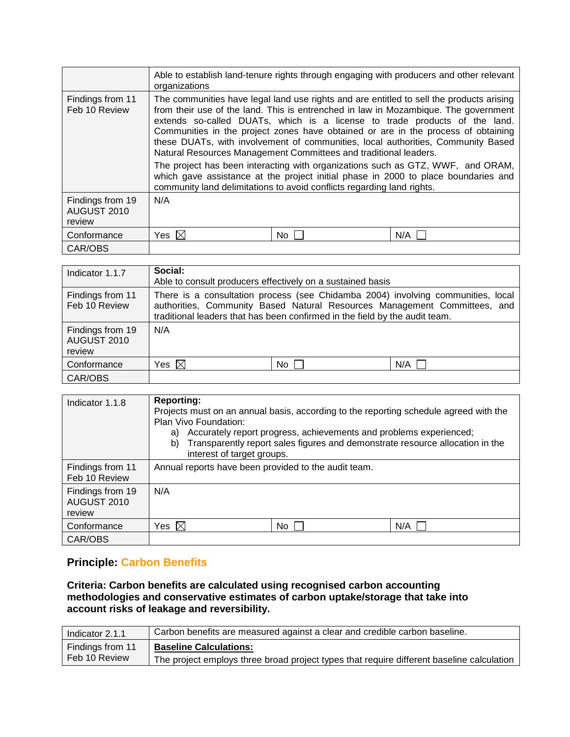|                                           | organizations                                                                                                                              |      | Able to establish land-tenure rights through engaging with producers and other relevant                                                                                                                                                                                                                                                                                                                                                                                                                                                                                                                         |
|-------------------------------------------|--------------------------------------------------------------------------------------------------------------------------------------------|------|-----------------------------------------------------------------------------------------------------------------------------------------------------------------------------------------------------------------------------------------------------------------------------------------------------------------------------------------------------------------------------------------------------------------------------------------------------------------------------------------------------------------------------------------------------------------------------------------------------------------|
| Findings from 11<br>Feb 10 Review         | Natural Resources Management Committees and traditional leaders.<br>community land delimitations to avoid conflicts regarding land rights. |      | The communities have legal land use rights and are entitled to sell the products arising<br>from their use of the land. This is entrenched in law in Mozambique. The government<br>extends so-called DUATs, which is a license to trade products of the land.<br>Communities in the project zones have obtained or are in the process of obtaining<br>these DUATs, with involvement of communities, local authorities, Community Based<br>The project has been interacting with organizations such as GTZ, WWF, and ORAM,<br>which gave assistance at the project initial phase in 2000 to place boundaries and |
| Findings from 19<br>AUGUST 2010<br>review | N/A                                                                                                                                        |      |                                                                                                                                                                                                                                                                                                                                                                                                                                                                                                                                                                                                                 |
| Conformance                               | Yes $\boxtimes$                                                                                                                            | No l | N/A                                                                                                                                                                                                                                                                                                                                                                                                                                                                                                                                                                                                             |
| CAR/OBS                                   |                                                                                                                                            |      |                                                                                                                                                                                                                                                                                                                                                                                                                                                                                                                                                                                                                 |

| Indicator 1.1.7                           | Social:<br>Able to consult producers effectively on a sustained basis                                                                                                                                                                        |                 |     |
|-------------------------------------------|----------------------------------------------------------------------------------------------------------------------------------------------------------------------------------------------------------------------------------------------|-----------------|-----|
| Findings from 11<br>Feb 10 Review         | There is a consultation process (see Chidamba 2004) involving communities, local<br>authorities, Community Based Natural Resources Management Committees, and<br>traditional leaders that has been confirmed in the field by the audit team. |                 |     |
| Findings from 19<br>AUGUST 2010<br>review | N/A                                                                                                                                                                                                                                          |                 |     |
| Conformance                               | Yes $\boxtimes$                                                                                                                                                                                                                              | No <sub>1</sub> | N/A |
| CAR/OBS                                   |                                                                                                                                                                                                                                              |                 |     |

| Indicator 1.1.8                           | <b>Reporting:</b><br>Projects must on an annual basis, according to the reporting schedule agreed with the<br>Plan Vivo Foundation:<br>Accurately report progress, achievements and problems experienced;<br>a)<br>Transparently report sales figures and demonstrate resource allocation in the<br>b)<br>interest of target groups. |     |     |
|-------------------------------------------|--------------------------------------------------------------------------------------------------------------------------------------------------------------------------------------------------------------------------------------------------------------------------------------------------------------------------------------|-----|-----|
| Findings from 11<br>Feb 10 Review         | Annual reports have been provided to the audit team.                                                                                                                                                                                                                                                                                 |     |     |
| Findings from 19<br>AUGUST 2010<br>review | N/A                                                                                                                                                                                                                                                                                                                                  |     |     |
| Conformance                               | Yes $\boxtimes$                                                                                                                                                                                                                                                                                                                      | No. | N/A |
| CAR/OBS                                   |                                                                                                                                                                                                                                                                                                                                      |     |     |

## **Principle: Carbon Benefits**

**Criteria: Carbon benefits are calculated using recognised carbon accounting methodologies and conservative estimates of carbon uptake/storage that take into account risks of leakage and reversibility.**

| Indicator 2.1.1  | Carbon benefits are measured against a clear and credible carbon baseline.                |
|------------------|-------------------------------------------------------------------------------------------|
| Findings from 11 | <b>Baseline Calculations:</b>                                                             |
| Feb 10 Review    | The project employs three broad project types that require different baseline calculation |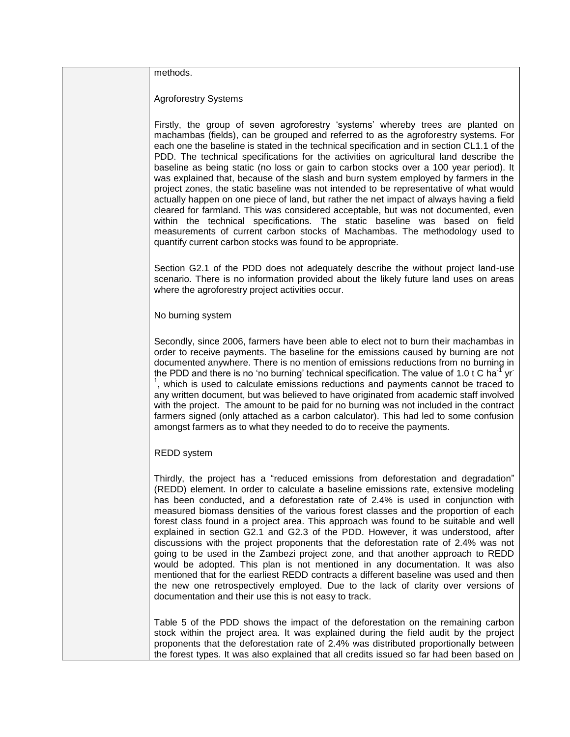methods.

Agroforestry Systems

Firstly, the group of seven agroforestry 'systems' whereby trees are planted on machambas (fields), can be grouped and referred to as the agroforestry systems. For each one the baseline is stated in the technical specification and in section CL1.1 of the PDD. The technical specifications for the activities on agricultural land describe the baseline as being static (no loss or gain to carbon stocks over a 100 year period). It was explained that, because of the slash and burn system employed by farmers in the project zones, the static baseline was not intended to be representative of what would actually happen on one piece of land, but rather the net impact of always having a field cleared for farmland. This was considered acceptable, but was not documented, even within the technical specifications. The static baseline was based on field measurements of current carbon stocks of Machambas. The methodology used to quantify current carbon stocks was found to be appropriate.

Section G2.1 of the PDD does not adequately describe the without project land-use scenario. There is no information provided about the likely future land uses on areas where the agroforestry project activities occur.

No burning system

Secondly, since 2006, farmers have been able to elect not to burn their machambas in order to receive payments. The baseline for the emissions caused by burning are not documented anywhere. There is no mention of emissions reductions from no burning in the PDD and there is no 'no burning' technical specification. The value of 1.0 t C ha<sup>-f</sup> yr<sup>-</sup> <sup>1</sup>, which is used to calculate emissions reductions and payments cannot be traced to any written document, but was believed to have originated from academic staff involved with the project. The amount to be paid for no burning was not included in the contract farmers signed (only attached as a carbon calculator). This had led to some confusion amongst farmers as to what they needed to do to receive the payments.

#### REDD system

Thirdly, the project has a "reduced emissions from deforestation and degradation" (REDD) element. In order to calculate a baseline emissions rate, extensive modeling has been conducted, and a deforestation rate of 2.4% is used in conjunction with measured biomass densities of the various forest classes and the proportion of each forest class found in a project area. This approach was found to be suitable and well explained in section G2.1 and G2.3 of the PDD. However, it was understood, after discussions with the project proponents that the deforestation rate of 2.4% was not going to be used in the Zambezi project zone, and that another approach to REDD would be adopted. This plan is not mentioned in any documentation. It was also mentioned that for the earliest REDD contracts a different baseline was used and then the new one retrospectively employed. Due to the lack of clarity over versions of documentation and their use this is not easy to track.

Table 5 of the PDD shows the impact of the deforestation on the remaining carbon stock within the project area. It was explained during the field audit by the project proponents that the deforestation rate of 2.4% was distributed proportionally between the forest types. It was also explained that all credits issued so far had been based on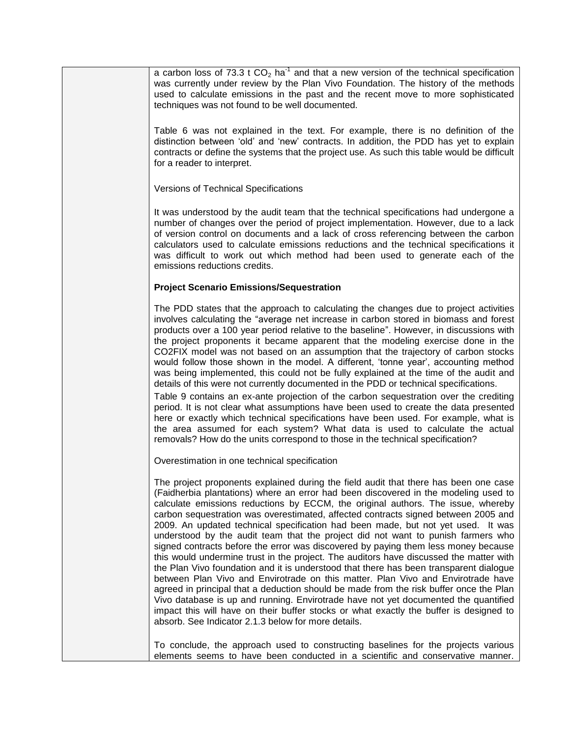a carbon loss of 73.3 t  $CO<sub>2</sub>$  ha<sup>-1</sup> and that a new version of the technical specification was currently under review by the Plan Vivo Foundation. The history of the methods used to calculate emissions in the past and the recent move to more sophisticated techniques was not found to be well documented.

Table 6 was not explained in the text. For example, there is no definition of the distinction between "old" and "new" contracts. In addition, the PDD has yet to explain contracts or define the systems that the project use. As such this table would be difficult for a reader to interpret.

Versions of Technical Specifications

It was understood by the audit team that the technical specifications had undergone a number of changes over the period of project implementation. However, due to a lack of version control on documents and a lack of cross referencing between the carbon calculators used to calculate emissions reductions and the technical specifications it was difficult to work out which method had been used to generate each of the emissions reductions credits.

#### **Project Scenario Emissions/Sequestration**

The PDD states that the approach to calculating the changes due to project activities involves calculating the "average net increase in carbon stored in biomass and forest products over a 100 year period relative to the baseline". However, in discussions with the project proponents it became apparent that the modeling exercise done in the CO2FIX model was not based on an assumption that the trajectory of carbon stocks would follow those shown in the model. A different, "tonne year", accounting method was being implemented, this could not be fully explained at the time of the audit and details of this were not currently documented in the PDD or technical specifications.

Table 9 contains an ex-ante projection of the carbon sequestration over the crediting period. It is not clear what assumptions have been used to create the data presented here or exactly which technical specifications have been used. For example, what is the area assumed for each system? What data is used to calculate the actual removals? How do the units correspond to those in the technical specification?

Overestimation in one technical specification

The project proponents explained during the field audit that there has been one case (Faidherbia plantations) where an error had been discovered in the modeling used to calculate emissions reductions by ECCM, the original authors. The issue, whereby carbon sequestration was overestimated, affected contracts signed between 2005 and 2009. An updated technical specification had been made, but not yet used. It was understood by the audit team that the project did not want to punish farmers who signed contracts before the error was discovered by paying them less money because this would undermine trust in the project. The auditors have discussed the matter with the Plan Vivo foundation and it is understood that there has been transparent dialogue between Plan Vivo and Envirotrade on this matter. Plan Vivo and Envirotrade have agreed in principal that a deduction should be made from the risk buffer once the Plan Vivo database is up and running. Envirotrade have not yet documented the quantified impact this will have on their buffer stocks or what exactly the buffer is designed to absorb. See Indicator 2.1.3 below for more details.

To conclude, the approach used to constructing baselines for the projects various elements seems to have been conducted in a scientific and conservative manner.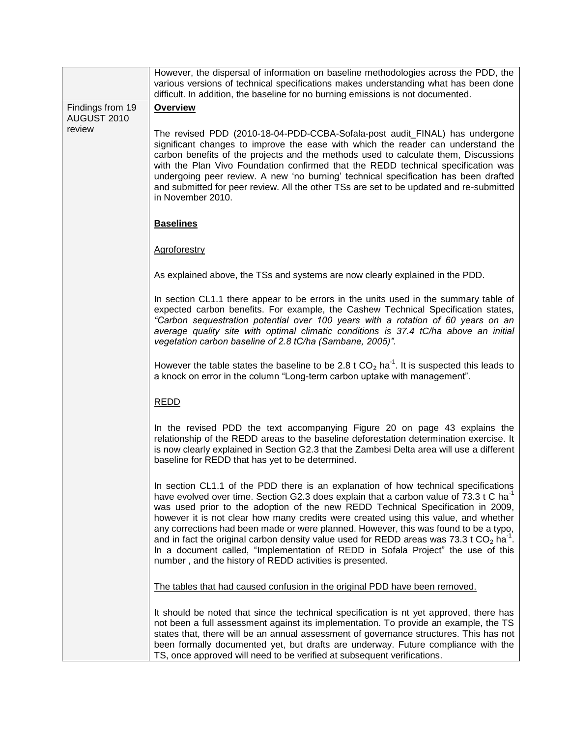|                                 | However, the dispersal of information on baseline methodologies across the PDD, the<br>various versions of technical specifications makes understanding what has been done<br>difficult. In addition, the baseline for no burning emissions is not documented.                                                                                                                                                                                                                                                                                                                                                                                                                                                       |  |  |
|---------------------------------|----------------------------------------------------------------------------------------------------------------------------------------------------------------------------------------------------------------------------------------------------------------------------------------------------------------------------------------------------------------------------------------------------------------------------------------------------------------------------------------------------------------------------------------------------------------------------------------------------------------------------------------------------------------------------------------------------------------------|--|--|
| Findings from 19<br>AUGUST 2010 | <b>Overview</b>                                                                                                                                                                                                                                                                                                                                                                                                                                                                                                                                                                                                                                                                                                      |  |  |
| review                          | The revised PDD (2010-18-04-PDD-CCBA-Sofala-post audit_FINAL) has undergone<br>significant changes to improve the ease with which the reader can understand the<br>carbon benefits of the projects and the methods used to calculate them, Discussions<br>with the Plan Vivo Foundation confirmed that the REDD technical specification was<br>undergoing peer review. A new 'no burning' technical specification has been drafted<br>and submitted for peer review. All the other TSs are set to be updated and re-submitted<br>in November 2010.                                                                                                                                                                   |  |  |
|                                 | <b>Baselines</b>                                                                                                                                                                                                                                                                                                                                                                                                                                                                                                                                                                                                                                                                                                     |  |  |
|                                 | Agroforestry                                                                                                                                                                                                                                                                                                                                                                                                                                                                                                                                                                                                                                                                                                         |  |  |
|                                 | As explained above, the TSs and systems are now clearly explained in the PDD.                                                                                                                                                                                                                                                                                                                                                                                                                                                                                                                                                                                                                                        |  |  |
|                                 | In section CL1.1 there appear to be errors in the units used in the summary table of<br>expected carbon benefits. For example, the Cashew Technical Specification states,<br>"Carbon sequestration potential over 100 years with a rotation of 60 years on an<br>average quality site with optimal climatic conditions is 37.4 tC/ha above an initial<br>vegetation carbon baseline of 2.8 tC/ha (Sambane, 2005)".                                                                                                                                                                                                                                                                                                   |  |  |
|                                 | However the table states the baseline to be 2.8 t $CO_2$ ha <sup>-1</sup> . It is suspected this leads to<br>a knock on error in the column "Long-term carbon uptake with management".                                                                                                                                                                                                                                                                                                                                                                                                                                                                                                                               |  |  |
|                                 | <b>REDD</b>                                                                                                                                                                                                                                                                                                                                                                                                                                                                                                                                                                                                                                                                                                          |  |  |
|                                 | In the revised PDD the text accompanying Figure 20 on page 43 explains the<br>relationship of the REDD areas to the baseline deforestation determination exercise. It<br>is now clearly explained in Section G2.3 that the Zambesi Delta area will use a different<br>baseline for REDD that has yet to be determined.                                                                                                                                                                                                                                                                                                                                                                                               |  |  |
|                                 | In section CL1.1 of the PDD there is an explanation of how technical specifications<br>have evolved over time. Section G2.3 does explain that a carbon value of 73.3 t C ha <sup>-1</sup><br>was used prior to the adoption of the new REDD Technical Specification in 2009,<br>however it is not clear how many credits were created using this value, and whether<br>any corrections had been made or were planned. However, this was found to be a typo,<br>and in fact the original carbon density value used for REDD areas was 73.3 t $CO2$ ha <sup>-1</sup> .<br>In a document called, "Implementation of REDD in Sofala Project" the use of this<br>number, and the history of REDD activities is presented. |  |  |
|                                 | The tables that had caused confusion in the original PDD have been removed.                                                                                                                                                                                                                                                                                                                                                                                                                                                                                                                                                                                                                                          |  |  |
|                                 | It should be noted that since the technical specification is nt yet approved, there has<br>not been a full assessment against its implementation. To provide an example, the TS<br>states that, there will be an annual assessment of governance structures. This has not<br>been formally documented yet, but drafts are underway. Future compliance with the<br>TS, once approved will need to be verified at subsequent verifications.                                                                                                                                                                                                                                                                            |  |  |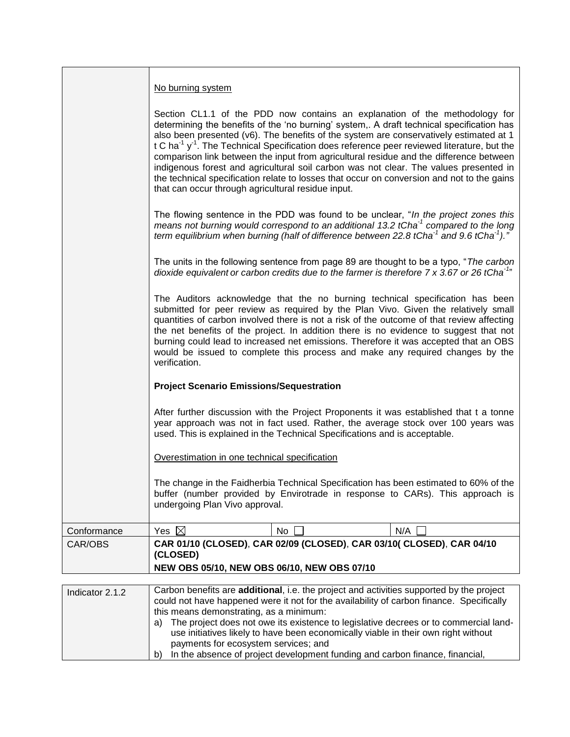|                 | No burning system                                                                                                                                                                                                                                                                                                                                                                                                                                                                                                                                                                                                                                                                                                                  |     |                                                                                                                                                                                                                                                                                                             |
|-----------------|------------------------------------------------------------------------------------------------------------------------------------------------------------------------------------------------------------------------------------------------------------------------------------------------------------------------------------------------------------------------------------------------------------------------------------------------------------------------------------------------------------------------------------------------------------------------------------------------------------------------------------------------------------------------------------------------------------------------------------|-----|-------------------------------------------------------------------------------------------------------------------------------------------------------------------------------------------------------------------------------------------------------------------------------------------------------------|
|                 | Section CL1.1 of the PDD now contains an explanation of the methodology for<br>determining the benefits of the 'no burning' system,. A draft technical specification has<br>also been presented (v6). The benefits of the system are conservatively estimated at 1<br>t C ha <sup>-1</sup> $y$ <sup>-1</sup> . The Technical Specification does reference peer reviewed literature, but the<br>comparison link between the input from agricultural residue and the difference between<br>indigenous forest and agricultural soil carbon was not clear. The values presented in<br>the technical specification relate to losses that occur on conversion and not to the gains<br>that can occur through agricultural residue input. |     |                                                                                                                                                                                                                                                                                                             |
|                 |                                                                                                                                                                                                                                                                                                                                                                                                                                                                                                                                                                                                                                                                                                                                    |     | The flowing sentence in the PDD was found to be unclear, "In the project zones this<br>means not burning would correspond to an additional 13.2 tCha <sup>-1</sup> compared to the long<br>term equilibrium when burning (half of difference between 22.8 tCha <sup>-1</sup> and 9.6 tCha <sup>-1</sup> )." |
|                 |                                                                                                                                                                                                                                                                                                                                                                                                                                                                                                                                                                                                                                                                                                                                    |     | The units in the following sentence from page 89 are thought to be a typo, "The carbon<br>dioxide equivalent or carbon credits due to the farmer is therefore $7 \times 3.67$ or 26 tCha <sup>-1</sup> "                                                                                                    |
|                 | The Auditors acknowledge that the no burning technical specification has been<br>submitted for peer review as required by the Plan Vivo. Given the relatively small<br>quantities of carbon involved there is not a risk of the outcome of that review affecting<br>the net benefits of the project. In addition there is no evidence to suggest that not<br>burning could lead to increased net emissions. Therefore it was accepted that an OBS<br>would be issued to complete this process and make any required changes by the<br>verification.                                                                                                                                                                                |     |                                                                                                                                                                                                                                                                                                             |
|                 | <b>Project Scenario Emissions/Sequestration</b>                                                                                                                                                                                                                                                                                                                                                                                                                                                                                                                                                                                                                                                                                    |     |                                                                                                                                                                                                                                                                                                             |
|                 | After further discussion with the Project Proponents it was established that t a tonne<br>year approach was not in fact used. Rather, the average stock over 100 years was<br>used. This is explained in the Technical Specifications and is acceptable.                                                                                                                                                                                                                                                                                                                                                                                                                                                                           |     |                                                                                                                                                                                                                                                                                                             |
|                 | Overestimation in one technical specification                                                                                                                                                                                                                                                                                                                                                                                                                                                                                                                                                                                                                                                                                      |     |                                                                                                                                                                                                                                                                                                             |
|                 | The change in the Faidherbia Technical Specification has been estimated to 60% of the<br>buffer (number provided by Envirotrade in response to CARs). This approach is<br>undergoing Plan Vivo approval.                                                                                                                                                                                                                                                                                                                                                                                                                                                                                                                           |     |                                                                                                                                                                                                                                                                                                             |
| Conformance     | Yes $\boxtimes$                                                                                                                                                                                                                                                                                                                                                                                                                                                                                                                                                                                                                                                                                                                    | No. | N/A                                                                                                                                                                                                                                                                                                         |
| CAR/OBS         | CAR 01/10 (CLOSED), CAR 02/09 (CLOSED), CAR 03/10( CLOSED), CAR 04/10<br>(CLOSED)<br>NEW OBS 05/10, NEW OBS 06/10, NEW OBS 07/10                                                                                                                                                                                                                                                                                                                                                                                                                                                                                                                                                                                                   |     |                                                                                                                                                                                                                                                                                                             |
|                 |                                                                                                                                                                                                                                                                                                                                                                                                                                                                                                                                                                                                                                                                                                                                    |     |                                                                                                                                                                                                                                                                                                             |
| Indicator 2.1.2 | Carbon benefits are additional, i.e. the project and activities supported by the project<br>could not have happened were it not for the availability of carbon finance. Specifically                                                                                                                                                                                                                                                                                                                                                                                                                                                                                                                                               |     |                                                                                                                                                                                                                                                                                                             |

| Indicator $2.1.2$ | <u>Carbott bottomo are auditional, i.e. the project and activities supported by the project</u> |
|-------------------|-------------------------------------------------------------------------------------------------|
|                   | could not have happened were it not for the availability of carbon finance. Specifically        |
|                   | this means demonstrating, as a minimum:                                                         |
|                   | a) The project does not owe its existence to legislative decrees or to commercial land-         |
|                   | use initiatives likely to have been economically viable in their own right without              |
|                   | payments for ecosystem services; and                                                            |
|                   | In the absence of project development funding and carbon finance, financial,<br>b)              |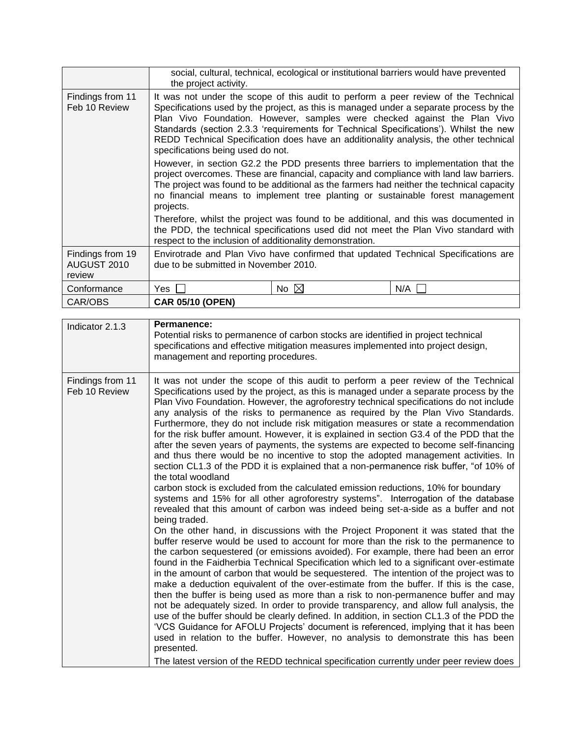|                                           | social, cultural, technical, ecological or institutional barriers would have prevented<br>the project activity.                                                                                                                                                                                                                                                                                                                                                                  |                |     |
|-------------------------------------------|----------------------------------------------------------------------------------------------------------------------------------------------------------------------------------------------------------------------------------------------------------------------------------------------------------------------------------------------------------------------------------------------------------------------------------------------------------------------------------|----------------|-----|
| Findings from 11<br>Feb 10 Review         | It was not under the scope of this audit to perform a peer review of the Technical<br>Specifications used by the project, as this is managed under a separate process by the<br>Plan Vivo Foundation. However, samples were checked against the Plan Vivo<br>Standards (section 2.3.3 'requirements for Technical Specifications'). Whilst the new<br>REDD Technical Specification does have an additionality analysis, the other technical<br>specifications being used do not. |                |     |
|                                           | However, in section G2.2 the PDD presents three barriers to implementation that the<br>project overcomes. These are financial, capacity and compliance with land law barriers.<br>The project was found to be additional as the farmers had neither the technical capacity<br>no financial means to implement tree planting or sustainable forest management<br>projects.                                                                                                        |                |     |
|                                           | Therefore, whilst the project was found to be additional, and this was documented in<br>the PDD, the technical specifications used did not meet the Plan Vivo standard with<br>respect to the inclusion of additionality demonstration.                                                                                                                                                                                                                                          |                |     |
| Findings from 19<br>AUGUST 2010<br>review | Envirotrade and Plan Vivo have confirmed that updated Technical Specifications are<br>due to be submitted in November 2010.                                                                                                                                                                                                                                                                                                                                                      |                |     |
| Conformance                               | Yes                                                                                                                                                                                                                                                                                                                                                                                                                                                                              | No $\boxtimes$ | N/A |
| CAR/OBS                                   | <b>CAR 05/10 (OPEN)</b>                                                                                                                                                                                                                                                                                                                                                                                                                                                          |                |     |

| Indicator 2.1.3                   | Permanence:<br>Potential risks to permanence of carbon stocks are identified in project technical<br>specifications and effective mitigation measures implemented into project design,<br>management and reporting procedures.                                                                                                                                                                                                                                                                                                                                                                                                                                                                                                                                                                                                                                                                                                                                                                                                                                                                                                                                                                                                                                                                                                                                                                                                                                                                                                                                                                                                                                                                                                                                                                                                                                                                                                                                                                                                                                                                                                                                                                                                                          |
|-----------------------------------|---------------------------------------------------------------------------------------------------------------------------------------------------------------------------------------------------------------------------------------------------------------------------------------------------------------------------------------------------------------------------------------------------------------------------------------------------------------------------------------------------------------------------------------------------------------------------------------------------------------------------------------------------------------------------------------------------------------------------------------------------------------------------------------------------------------------------------------------------------------------------------------------------------------------------------------------------------------------------------------------------------------------------------------------------------------------------------------------------------------------------------------------------------------------------------------------------------------------------------------------------------------------------------------------------------------------------------------------------------------------------------------------------------------------------------------------------------------------------------------------------------------------------------------------------------------------------------------------------------------------------------------------------------------------------------------------------------------------------------------------------------------------------------------------------------------------------------------------------------------------------------------------------------------------------------------------------------------------------------------------------------------------------------------------------------------------------------------------------------------------------------------------------------------------------------------------------------------------------------------------------------|
| Findings from 11<br>Feb 10 Review | It was not under the scope of this audit to perform a peer review of the Technical<br>Specifications used by the project, as this is managed under a separate process by the<br>Plan Vivo Foundation. However, the agroforestry technical specifications do not include<br>any analysis of the risks to permanence as required by the Plan Vivo Standards.<br>Furthermore, they do not include risk mitigation measures or state a recommendation<br>for the risk buffer amount. However, it is explained in section G3.4 of the PDD that the<br>after the seven years of payments, the systems are expected to become self-financing<br>and thus there would be no incentive to stop the adopted management activities. In<br>section CL1.3 of the PDD it is explained that a non-permanence risk buffer, "of 10% of<br>the total woodland<br>carbon stock is excluded from the calculated emission reductions, 10% for boundary<br>systems and 15% for all other agroforestry systems". Interrogation of the database<br>revealed that this amount of carbon was indeed being set-a-side as a buffer and not<br>being traded.<br>On the other hand, in discussions with the Project Proponent it was stated that the<br>buffer reserve would be used to account for more than the risk to the permanence to<br>the carbon sequestered (or emissions avoided). For example, there had been an error<br>found in the Faidherbia Technical Specification which led to a significant over-estimate<br>in the amount of carbon that would be sequestered. The intention of the project was to<br>make a deduction equivalent of the over-estimate from the buffer. If this is the case,<br>then the buffer is being used as more than a risk to non-permanence buffer and may<br>not be adequately sized. In order to provide transparency, and allow full analysis, the<br>use of the buffer should be clearly defined. In addition, in section CL1.3 of the PDD the<br>'VCS Guidance for AFOLU Projects' document is referenced, implying that it has been<br>used in relation to the buffer. However, no analysis to demonstrate this has been<br>presented.<br>The latest version of the REDD technical specification currently under peer review does |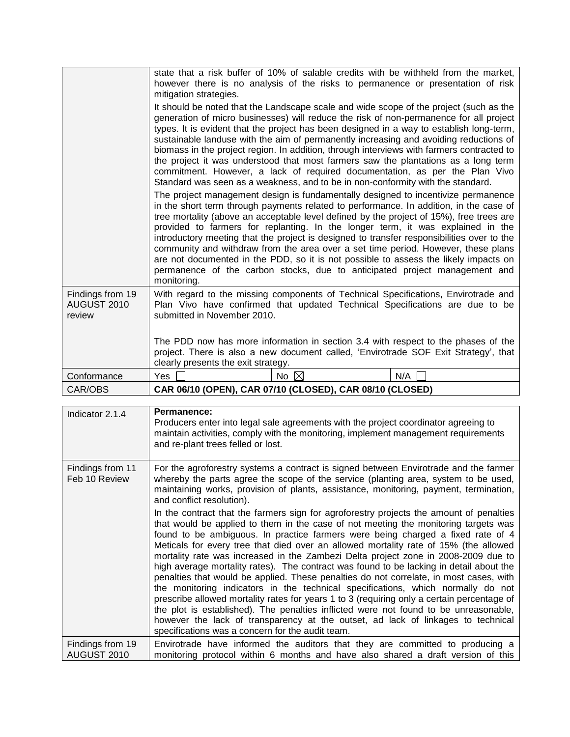|                                           | state that a risk buffer of 10% of salable credits with be withheld from the market,<br>however there is no analysis of the risks to permanence or presentation of risk<br>mitigation strategies.                                                                                                                                                                                                                                                                                                                                                                                                                                                                                                                                                                                                                                                                                                                                                                                                                                                                                                                                                                                                                                                                                                                                                                                                                                                                |  |
|-------------------------------------------|------------------------------------------------------------------------------------------------------------------------------------------------------------------------------------------------------------------------------------------------------------------------------------------------------------------------------------------------------------------------------------------------------------------------------------------------------------------------------------------------------------------------------------------------------------------------------------------------------------------------------------------------------------------------------------------------------------------------------------------------------------------------------------------------------------------------------------------------------------------------------------------------------------------------------------------------------------------------------------------------------------------------------------------------------------------------------------------------------------------------------------------------------------------------------------------------------------------------------------------------------------------------------------------------------------------------------------------------------------------------------------------------------------------------------------------------------------------|--|
|                                           | It should be noted that the Landscape scale and wide scope of the project (such as the<br>generation of micro businesses) will reduce the risk of non-permanence for all project<br>types. It is evident that the project has been designed in a way to establish long-term,<br>sustainable landuse with the aim of permanently increasing and avoiding reductions of<br>biomass in the project region. In addition, through interviews with farmers contracted to<br>the project it was understood that most farmers saw the plantations as a long term<br>commitment. However, a lack of required documentation, as per the Plan Vivo<br>Standard was seen as a weakness, and to be in non-conformity with the standard.<br>The project management design is fundamentally designed to incentivize permanence<br>in the short term through payments related to performance. In addition, in the case of<br>tree mortality (above an acceptable level defined by the project of 15%), free trees are<br>provided to farmers for replanting. In the longer term, it was explained in the<br>introductory meeting that the project is designed to transfer responsibilities over to the<br>community and withdraw from the area over a set time period. However, these plans<br>are not documented in the PDD, so it is not possible to assess the likely impacts on<br>permanence of the carbon stocks, due to anticipated project management and<br>monitoring. |  |
| Findings from 19<br>AUGUST 2010<br>review | With regard to the missing components of Technical Specifications, Envirotrade and<br>Plan Vivo have confirmed that updated Technical Specifications are due to be<br>submitted in November 2010.                                                                                                                                                                                                                                                                                                                                                                                                                                                                                                                                                                                                                                                                                                                                                                                                                                                                                                                                                                                                                                                                                                                                                                                                                                                                |  |
|                                           | The PDD now has more information in section 3.4 with respect to the phases of the<br>project. There is also a new document called, 'Envirotrade SOF Exit Strategy', that<br>clearly presents the exit strategy.                                                                                                                                                                                                                                                                                                                                                                                                                                                                                                                                                                                                                                                                                                                                                                                                                                                                                                                                                                                                                                                                                                                                                                                                                                                  |  |
| Conformance                               | No $\boxtimes$<br>Yes<br>N/A                                                                                                                                                                                                                                                                                                                                                                                                                                                                                                                                                                                                                                                                                                                                                                                                                                                                                                                                                                                                                                                                                                                                                                                                                                                                                                                                                                                                                                     |  |
| CAR/OBS                                   | CAR 06/10 (OPEN), CAR 07/10 (CLOSED), CAR 08/10 (CLOSED)                                                                                                                                                                                                                                                                                                                                                                                                                                                                                                                                                                                                                                                                                                                                                                                                                                                                                                                                                                                                                                                                                                                                                                                                                                                                                                                                                                                                         |  |

| Indicator 2.1.4                   | Permanence:<br>Producers enter into legal sale agreements with the project coordinator agreeing to<br>maintain activities, comply with the monitoring, implement management requirements<br>and re-plant trees felled or lost.                                                                                                                                                                                                                                                                                                                                                                                                                                                                                                                                                                                                                                                                                                                                                                                                                         |
|-----------------------------------|--------------------------------------------------------------------------------------------------------------------------------------------------------------------------------------------------------------------------------------------------------------------------------------------------------------------------------------------------------------------------------------------------------------------------------------------------------------------------------------------------------------------------------------------------------------------------------------------------------------------------------------------------------------------------------------------------------------------------------------------------------------------------------------------------------------------------------------------------------------------------------------------------------------------------------------------------------------------------------------------------------------------------------------------------------|
| Findings from 11<br>Feb 10 Review | For the agroforestry systems a contract is signed between Envirotrade and the farmer<br>whereby the parts agree the scope of the service (planting area, system to be used,<br>maintaining works, provision of plants, assistance, monitoring, payment, termination,<br>and conflict resolution).                                                                                                                                                                                                                                                                                                                                                                                                                                                                                                                                                                                                                                                                                                                                                      |
|                                   | In the contract that the farmers sign for agroforestry projects the amount of penalties<br>that would be applied to them in the case of not meeting the monitoring targets was<br>found to be ambiguous. In practice farmers were being charged a fixed rate of 4<br>Meticals for every tree that died over an allowed mortality rate of 15% (the allowed<br>mortality rate was increased in the Zambezi Delta project zone in 2008-2009 due to<br>high average mortality rates). The contract was found to be lacking in detail about the<br>penalties that would be applied. These penalties do not correlate, in most cases, with<br>the monitoring indicators in the technical specifications, which normally do not<br>prescribe allowed mortality rates for years 1 to 3 (requiring only a certain percentage of<br>the plot is established). The penalties inflicted were not found to be unreasonable,<br>however the lack of transparency at the outset, ad lack of linkages to technical<br>specifications was a concern for the audit team. |
| Findings from 19<br>AUGUST 2010   | Envirotrade have informed the auditors that they are committed to producing a<br>monitoring protocol within 6 months and have also shared a draft version of this                                                                                                                                                                                                                                                                                                                                                                                                                                                                                                                                                                                                                                                                                                                                                                                                                                                                                      |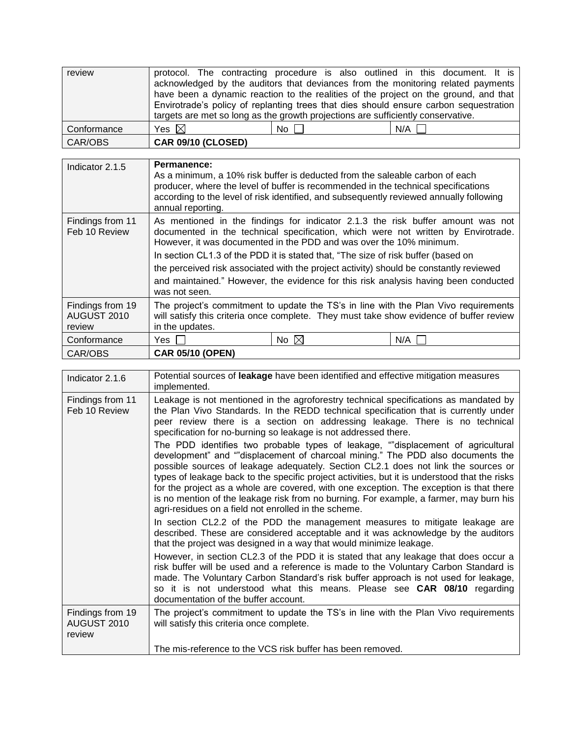| review      |                                                                                       |      | protocol. The contracting procedure is also outlined in this document. It is         |
|-------------|---------------------------------------------------------------------------------------|------|--------------------------------------------------------------------------------------|
|             |                                                                                       |      | acknowledged by the auditors that deviances from the monitoring related payments     |
|             |                                                                                       |      | have been a dynamic reaction to the realities of the project on the ground, and that |
|             | Envirotrade's policy of replanting trees that dies should ensure carbon sequestration |      |                                                                                      |
|             | targets are met so long as the growth projections are sufficiently conservative.      |      |                                                                                      |
| Conformance | Yes $\boxtimes$                                                                       | No l | N/A                                                                                  |
| CAR/OBS     | <b>CAR 09/10 (CLOSED)</b>                                                             |      |                                                                                      |

| Indicator 2.1.5                           | <b>Permanence:</b><br>As a minimum, a 10% risk buffer is deducted from the saleable carbon of each<br>producer, where the level of buffer is recommended in the technical specifications<br>according to the level of risk identified, and subsequently reviewed annually following<br>annual reporting.                                                                                                                                                                                                                           |  |  |
|-------------------------------------------|------------------------------------------------------------------------------------------------------------------------------------------------------------------------------------------------------------------------------------------------------------------------------------------------------------------------------------------------------------------------------------------------------------------------------------------------------------------------------------------------------------------------------------|--|--|
| Findings from 11<br>Feb 10 Review         | As mentioned in the findings for indicator 2.1.3 the risk buffer amount was not<br>documented in the technical specification, which were not written by Envirotrade.<br>However, it was documented in the PDD and was over the 10% minimum.<br>In section CL1.3 of the PDD it is stated that, "The size of risk buffer (based on<br>the perceived risk associated with the project activity) should be constantly reviewed<br>and maintained." However, the evidence for this risk analysis having been conducted<br>was not seen. |  |  |
| Findings from 19<br>AUGUST 2010<br>review | The project's commitment to update the TS's in line with the Plan Vivo requirements<br>will satisfy this criteria once complete. They must take show evidence of buffer review<br>in the updates.                                                                                                                                                                                                                                                                                                                                  |  |  |
| Conformance                               | No $\boxtimes$<br>N/A<br>Yes.                                                                                                                                                                                                                                                                                                                                                                                                                                                                                                      |  |  |
| CAR/OBS                                   | <b>CAR 05/10 (OPEN)</b>                                                                                                                                                                                                                                                                                                                                                                                                                                                                                                            |  |  |

| Indicator 2.1.6                           | Potential sources of leakage have been identified and effective mitigation measures<br>implemented.                                                                                                                                                                                                                                                                                                                                                                                                                                                                                                                                                                                                                                                                                                                                                                               |  |
|-------------------------------------------|-----------------------------------------------------------------------------------------------------------------------------------------------------------------------------------------------------------------------------------------------------------------------------------------------------------------------------------------------------------------------------------------------------------------------------------------------------------------------------------------------------------------------------------------------------------------------------------------------------------------------------------------------------------------------------------------------------------------------------------------------------------------------------------------------------------------------------------------------------------------------------------|--|
| Findings from 11<br>Feb 10 Review         | Leakage is not mentioned in the agroforestry technical specifications as mandated by<br>the Plan Vivo Standards. In the REDD technical specification that is currently under<br>peer review there is a section on addressing leakage. There is no technical<br>specification for no-burning so leakage is not addressed there.<br>The PDD identifies two probable types of leakage, ""displacement of agricultural<br>development" and ""displacement of charcoal mining." The PDD also documents the<br>possible sources of leakage adequately. Section CL2.1 does not link the sources or<br>types of leakage back to the specific project activities, but it is understood that the risks<br>for the project as a whole are covered, with one exception. The exception is that there<br>is no mention of the leakage risk from no burning. For example, a farmer, may burn his |  |
|                                           | agri-residues on a field not enrolled in the scheme.<br>In section CL2.2 of the PDD the management measures to mitigate leakage are<br>described. These are considered acceptable and it was acknowledge by the auditors<br>that the project was designed in a way that would minimize leakage.<br>However, in section CL2.3 of the PDD it is stated that any leakage that does occur a<br>risk buffer will be used and a reference is made to the Voluntary Carbon Standard is<br>made. The Voluntary Carbon Standard's risk buffer approach is not used for leakage,<br>so it is not understood what this means. Please see CAR 08/10 regarding                                                                                                                                                                                                                                 |  |
|                                           | documentation of the buffer account.                                                                                                                                                                                                                                                                                                                                                                                                                                                                                                                                                                                                                                                                                                                                                                                                                                              |  |
| Findings from 19<br>AUGUST 2010<br>review | The project's commitment to update the TS's in line with the Plan Vivo requirements<br>will satisfy this criteria once complete.                                                                                                                                                                                                                                                                                                                                                                                                                                                                                                                                                                                                                                                                                                                                                  |  |
|                                           | The mis-reference to the VCS risk buffer has been removed.                                                                                                                                                                                                                                                                                                                                                                                                                                                                                                                                                                                                                                                                                                                                                                                                                        |  |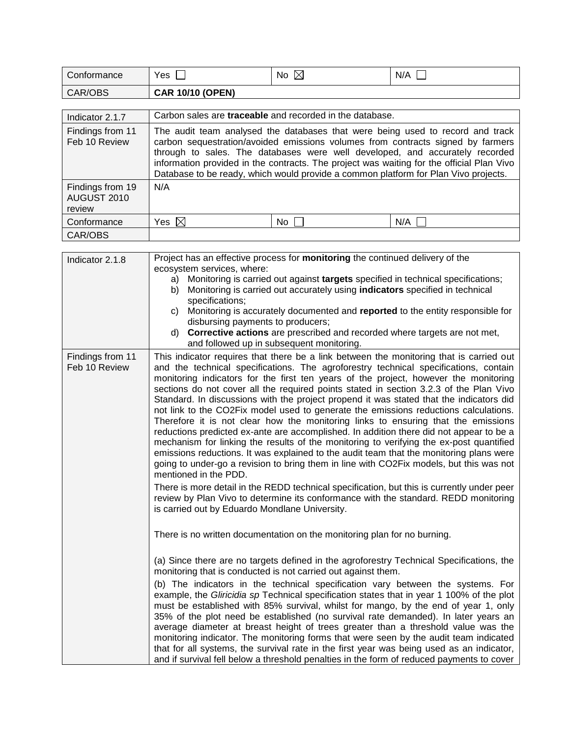| Conformance                               | Yes                                                                                                                                                                                                                                                                                                                                                                                                                                   | No $\boxtimes$ | N/A |
|-------------------------------------------|---------------------------------------------------------------------------------------------------------------------------------------------------------------------------------------------------------------------------------------------------------------------------------------------------------------------------------------------------------------------------------------------------------------------------------------|----------------|-----|
| CAR/OBS                                   | <b>CAR 10/10 (OPEN)</b>                                                                                                                                                                                                                                                                                                                                                                                                               |                |     |
|                                           |                                                                                                                                                                                                                                                                                                                                                                                                                                       |                |     |
| Indicator 2.1.7                           | Carbon sales are <b>traceable</b> and recorded in the database.                                                                                                                                                                                                                                                                                                                                                                       |                |     |
| Findings from 11<br>Feb 10 Review         | The audit team analysed the databases that were being used to record and track<br>carbon sequestration/avoided emissions volumes from contracts signed by farmers<br>through to sales. The databases were well developed, and accurately recorded<br>information provided in the contracts. The project was waiting for the official Plan Vivo<br>Database to be ready, which would provide a common platform for Plan Vivo projects. |                |     |
| Findings from 19<br>AUGUST 2010<br>review | N/A                                                                                                                                                                                                                                                                                                                                                                                                                                   |                |     |
| Conformance                               | Yes $\boxtimes$                                                                                                                                                                                                                                                                                                                                                                                                                       | No l           | N/A |
| CAR/OBS                                   |                                                                                                                                                                                                                                                                                                                                                                                                                                       |                |     |

| Indicator 2.1.8                   | Project has an effective process for monitoring the continued delivery of the                                                                                                                                                                                                                                                                                                                                                                                                                                                                                                                                                                                                                                                                                                                                                                                                                                                                                                                                                                                                                                                                                                                                                                                                         |
|-----------------------------------|---------------------------------------------------------------------------------------------------------------------------------------------------------------------------------------------------------------------------------------------------------------------------------------------------------------------------------------------------------------------------------------------------------------------------------------------------------------------------------------------------------------------------------------------------------------------------------------------------------------------------------------------------------------------------------------------------------------------------------------------------------------------------------------------------------------------------------------------------------------------------------------------------------------------------------------------------------------------------------------------------------------------------------------------------------------------------------------------------------------------------------------------------------------------------------------------------------------------------------------------------------------------------------------|
|                                   | ecosystem services, where:<br>Monitoring is carried out against targets specified in technical specifications;<br>a)<br>Monitoring is carried out accurately using indicators specified in technical<br>b)<br>specifications;<br>c) Monitoring is accurately documented and reported to the entity responsible for<br>disbursing payments to producers;<br>Corrective actions are prescribed and recorded where targets are not met,<br>d)<br>and followed up in subsequent monitoring.                                                                                                                                                                                                                                                                                                                                                                                                                                                                                                                                                                                                                                                                                                                                                                                               |
| Findings from 11<br>Feb 10 Review | This indicator requires that there be a link between the monitoring that is carried out<br>and the technical specifications. The agroforestry technical specifications, contain<br>monitoring indicators for the first ten years of the project, however the monitoring<br>sections do not cover all the required points stated in section 3.2.3 of the Plan Vivo<br>Standard. In discussions with the project propend it was stated that the indicators did<br>not link to the CO2Fix model used to generate the emissions reductions calculations.<br>Therefore it is not clear how the monitoring links to ensuring that the emissions<br>reductions predicted ex-ante are accomplished. In addition there did not appear to be a<br>mechanism for linking the results of the monitoring to verifying the ex-post quantified<br>emissions reductions. It was explained to the audit team that the monitoring plans were<br>going to under-go a revision to bring them in line with CO2Fix models, but this was not<br>mentioned in the PDD.<br>There is more detail in the REDD technical specification, but this is currently under peer<br>review by Plan Vivo to determine its conformance with the standard. REDD monitoring<br>is carried out by Eduardo Mondlane University. |
|                                   | There is no written documentation on the monitoring plan for no burning.                                                                                                                                                                                                                                                                                                                                                                                                                                                                                                                                                                                                                                                                                                                                                                                                                                                                                                                                                                                                                                                                                                                                                                                                              |
|                                   | (a) Since there are no targets defined in the agroforestry Technical Specifications, the<br>monitoring that is conducted is not carried out against them.                                                                                                                                                                                                                                                                                                                                                                                                                                                                                                                                                                                                                                                                                                                                                                                                                                                                                                                                                                                                                                                                                                                             |
|                                   | (b) The indicators in the technical specification vary between the systems. For<br>example, the Gliricidia sp Technical specification states that in year 1 100% of the plot<br>must be established with 85% survival, whilst for mango, by the end of year 1, only<br>35% of the plot need be established (no survival rate demanded). In later years an<br>average diameter at breast height of trees greater than a threshold value was the<br>monitoring indicator. The monitoring forms that were seen by the audit team indicated<br>that for all systems, the survival rate in the first year was being used as an indicator,<br>and if survival fell below a threshold penalties in the form of reduced payments to cover                                                                                                                                                                                                                                                                                                                                                                                                                                                                                                                                                     |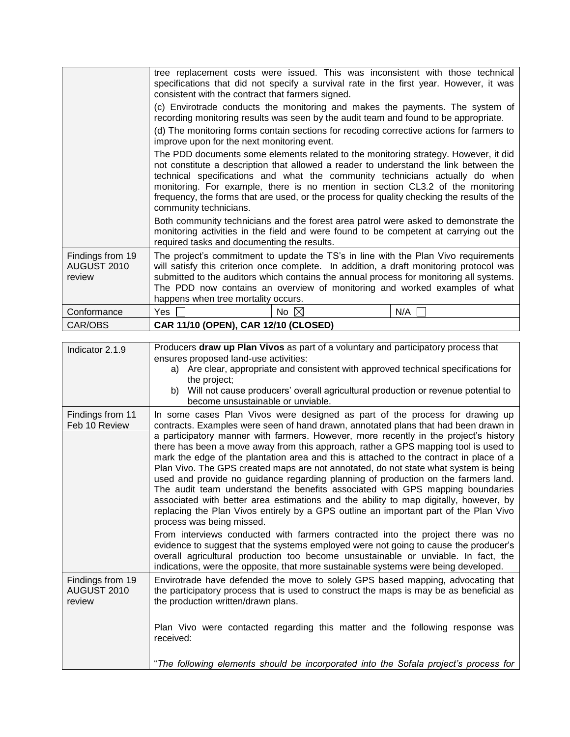|                                           | tree replacement costs were issued. This was inconsistent with those technical<br>specifications that did not specify a survival rate in the first year. However, it was<br>consistent with the contract that farmers signed.                                                                                                                                                                                                                                                                                                                                                                                                                                                                                                                                                                                                                                                                                                                                                                                                                                                                                                                                                                                                                                                       |  |  |
|-------------------------------------------|-------------------------------------------------------------------------------------------------------------------------------------------------------------------------------------------------------------------------------------------------------------------------------------------------------------------------------------------------------------------------------------------------------------------------------------------------------------------------------------------------------------------------------------------------------------------------------------------------------------------------------------------------------------------------------------------------------------------------------------------------------------------------------------------------------------------------------------------------------------------------------------------------------------------------------------------------------------------------------------------------------------------------------------------------------------------------------------------------------------------------------------------------------------------------------------------------------------------------------------------------------------------------------------|--|--|
|                                           | (c) Envirotrade conducts the monitoring and makes the payments. The system of<br>recording monitoring results was seen by the audit team and found to be appropriate.                                                                                                                                                                                                                                                                                                                                                                                                                                                                                                                                                                                                                                                                                                                                                                                                                                                                                                                                                                                                                                                                                                               |  |  |
|                                           | (d) The monitoring forms contain sections for recoding corrective actions for farmers to<br>improve upon for the next monitoring event.                                                                                                                                                                                                                                                                                                                                                                                                                                                                                                                                                                                                                                                                                                                                                                                                                                                                                                                                                                                                                                                                                                                                             |  |  |
|                                           | The PDD documents some elements related to the monitoring strategy. However, it did<br>not constitute a description that allowed a reader to understand the link between the<br>technical specifications and what the community technicians actually do when<br>monitoring. For example, there is no mention in section CL3.2 of the monitoring<br>frequency, the forms that are used, or the process for quality checking the results of the<br>community technicians.                                                                                                                                                                                                                                                                                                                                                                                                                                                                                                                                                                                                                                                                                                                                                                                                             |  |  |
|                                           | Both community technicians and the forest area patrol were asked to demonstrate the<br>monitoring activities in the field and were found to be competent at carrying out the<br>required tasks and documenting the results.                                                                                                                                                                                                                                                                                                                                                                                                                                                                                                                                                                                                                                                                                                                                                                                                                                                                                                                                                                                                                                                         |  |  |
| Findings from 19<br>AUGUST 2010<br>review | The project's commitment to update the TS's in line with the Plan Vivo requirements<br>will satisfy this criterion once complete. In addition, a draft monitoring protocol was<br>submitted to the auditors which contains the annual process for monitoring all systems.<br>The PDD now contains an overview of monitoring and worked examples of what<br>happens when tree mortality occurs.                                                                                                                                                                                                                                                                                                                                                                                                                                                                                                                                                                                                                                                                                                                                                                                                                                                                                      |  |  |
| Conformance                               | N/A<br>Yes<br>No $\boxtimes$                                                                                                                                                                                                                                                                                                                                                                                                                                                                                                                                                                                                                                                                                                                                                                                                                                                                                                                                                                                                                                                                                                                                                                                                                                                        |  |  |
| CAR/OBS                                   | CAR 11/10 (OPEN), CAR 12/10 (CLOSED)                                                                                                                                                                                                                                                                                                                                                                                                                                                                                                                                                                                                                                                                                                                                                                                                                                                                                                                                                                                                                                                                                                                                                                                                                                                |  |  |
| Indicator 2.1.9                           | Producers draw up Plan Vivos as part of a voluntary and participatory process that<br>ensures proposed land-use activities:<br>Are clear, appropriate and consistent with approved technical specifications for<br>a)<br>the project;<br>b) Will not cause producers' overall agricultural production or revenue potential to<br>become unsustainable or unviable.                                                                                                                                                                                                                                                                                                                                                                                                                                                                                                                                                                                                                                                                                                                                                                                                                                                                                                                  |  |  |
| Findings from 11<br>Feb 10 Review         | In some cases Plan Vivos were designed as part of the process for drawing up<br>contracts. Examples were seen of hand drawn, annotated plans that had been drawn in<br>a participatory manner with farmers. However, more recently in the project's history<br>there has been a move away from this approach, rather a GPS mapping tool is used to<br>mark the edge of the plantation area and this is attached to the contract in place of a<br>Plan Vivo. The GPS created maps are not annotated, do not state what system is being<br>used and provide no guidance regarding planning of production on the farmers land.<br>The audit team understand the benefits associated with GPS mapping boundaries<br>associated with better area estimations and the ability to map digitally, however, by<br>replacing the Plan Vivos entirely by a GPS outline an important part of the Plan Vivo<br>process was being missed.<br>From interviews conducted with farmers contracted into the project there was no<br>evidence to suggest that the systems employed were not going to cause the producer's<br>overall agricultural production too become unsustainable or unviable. In fact, the<br>indications, were the opposite, that more sustainable systems were being developed. |  |  |
| Findings from 19<br>AUGUST 2010<br>review | Envirotrade have defended the move to solely GPS based mapping, advocating that<br>the participatory process that is used to construct the maps is may be as beneficial as<br>the production written/drawn plans.                                                                                                                                                                                                                                                                                                                                                                                                                                                                                                                                                                                                                                                                                                                                                                                                                                                                                                                                                                                                                                                                   |  |  |
|                                           | Plan Vivo were contacted regarding this matter and the following response was<br>received:                                                                                                                                                                                                                                                                                                                                                                                                                                                                                                                                                                                                                                                                                                                                                                                                                                                                                                                                                                                                                                                                                                                                                                                          |  |  |
|                                           | "The following elements should be incorporated into the Sofala project's process for                                                                                                                                                                                                                                                                                                                                                                                                                                                                                                                                                                                                                                                                                                                                                                                                                                                                                                                                                                                                                                                                                                                                                                                                |  |  |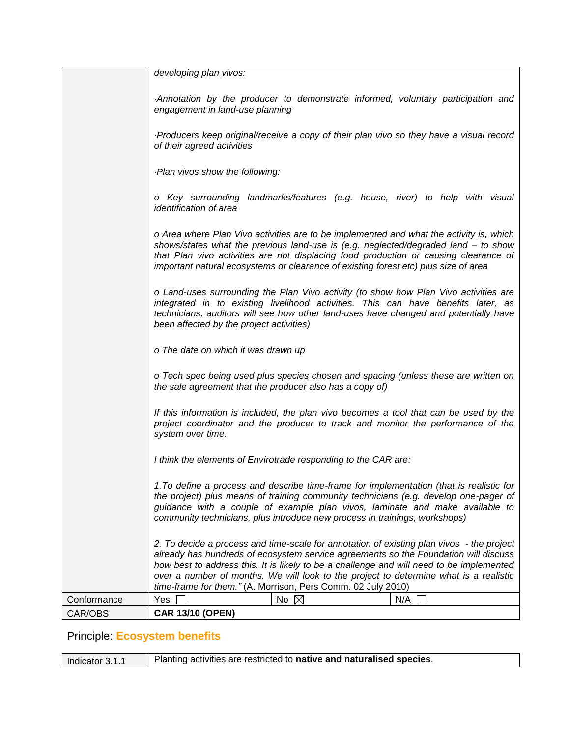|             | developing plan vivos:                                                                                                                                                                                                                                                                                                                                                                                                                |
|-------------|---------------------------------------------------------------------------------------------------------------------------------------------------------------------------------------------------------------------------------------------------------------------------------------------------------------------------------------------------------------------------------------------------------------------------------------|
|             | Annotation by the producer to demonstrate informed, voluntary participation and<br>engagement in land-use planning                                                                                                                                                                                                                                                                                                                    |
|             | Producers keep original/receive a copy of their plan vivo so they have a visual record<br>of their agreed activities                                                                                                                                                                                                                                                                                                                  |
|             | -Plan vivos show the following:                                                                                                                                                                                                                                                                                                                                                                                                       |
|             | o Key surrounding landmarks/features (e.g. house, river) to help with visual<br>identification of area                                                                                                                                                                                                                                                                                                                                |
|             | o Area where Plan Vivo activities are to be implemented and what the activity is, which<br>shows/states what the previous land-use is (e.g. neglected/degraded land - to show<br>that Plan vivo activities are not displacing food production or causing clearance of<br>important natural ecosystems or clearance of existing forest etc) plus size of area                                                                          |
|             | o Land-uses surrounding the Plan Vivo activity (to show how Plan Vivo activities are<br>integrated in to existing livelihood activities. This can have benefits later, as<br>technicians, auditors will see how other land-uses have changed and potentially have<br>been affected by the project activities)                                                                                                                         |
|             | o The date on which it was drawn up                                                                                                                                                                                                                                                                                                                                                                                                   |
|             | o Tech spec being used plus species chosen and spacing (unless these are written on<br>the sale agreement that the producer also has a copy of)                                                                                                                                                                                                                                                                                       |
|             | If this information is included, the plan vivo becomes a tool that can be used by the<br>project coordinator and the producer to track and monitor the performance of the<br>system over time.                                                                                                                                                                                                                                        |
|             | I think the elements of Envirotrade responding to the CAR are:                                                                                                                                                                                                                                                                                                                                                                        |
|             | 1. To define a process and describe time-frame for implementation (that is realistic for<br>the project) plus means of training community technicians (e.g. develop one-pager of<br>guidance with a couple of example plan vivos, laminate and make available to<br>community technicians, plus introduce new process in trainings, workshops)                                                                                        |
|             | 2. To decide a process and time-scale for annotation of existing plan vivos - the project<br>already has hundreds of ecosystem service agreements so the Foundation will discuss<br>how best to address this. It is likely to be a challenge and will need to be implemented<br>over a number of months. We will look to the project to determine what is a realistic<br>time-frame for them." (A. Morrison, Pers Comm. 02 July 2010) |
| Conformance | No $\nabla$<br>N/A<br>Yes                                                                                                                                                                                                                                                                                                                                                                                                             |
| CAR/OBS     | <b>CAR 13/10 (OPEN)</b>                                                                                                                                                                                                                                                                                                                                                                                                               |

# Principle: **Ecosystem benefits**

| Planting activities are restricted to native and naturalised species.<br>Indicator 3.1.1 |  |
|------------------------------------------------------------------------------------------|--|
|------------------------------------------------------------------------------------------|--|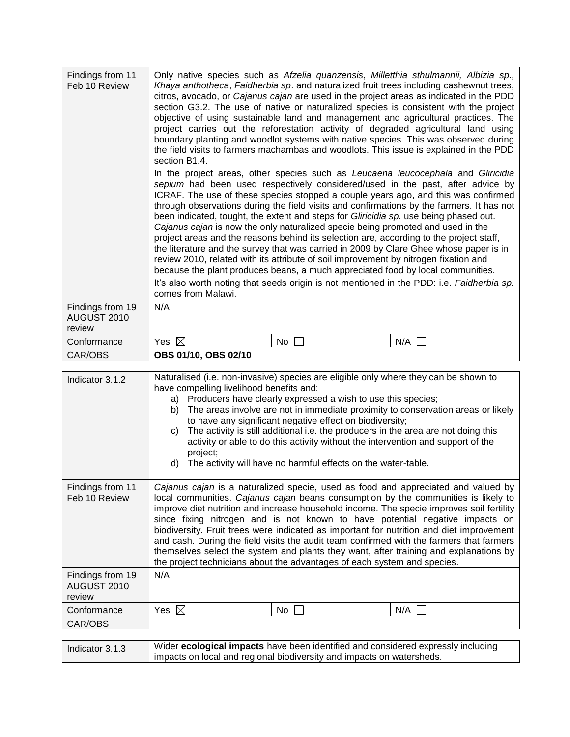| Findings from 11<br>Feb 10 Review         | section B1.4.<br>project areas and the reasons behind its selection are, according to the project staff, | been indicated, tought, the extent and steps for <i>Gliricidia sp.</i> use being phased out.<br>Cajanus cajan is now the only naturalized specie being promoted and used in the<br>review 2010, related with its attribute of soil improvement by nitrogen fixation and<br>because the plant produces beans, a much appreciated food by local communities. | Only native species such as Afzelia quanzensis, Milletthia sthulmannii, Albizia sp.,<br>Khaya anthotheca, Faidherbia sp. and naturalized fruit trees including cashewnut trees,<br>citros, avocado, or Cajanus cajan are used in the project areas as indicated in the PDD<br>section G3.2. The use of native or naturalized species is consistent with the project<br>objective of using sustainable land and management and agricultural practices. The<br>project carries out the reforestation activity of degraded agricultural land using<br>boundary planting and woodlot systems with native species. This was observed during<br>the field visits to farmers machambas and woodlots. This issue is explained in the PDD<br>In the project areas, other species such as Leucaena leucocephala and Gliricidia<br>sepium had been used respectively considered/used in the past, after advice by<br>ICRAF. The use of these species stopped a couple years ago, and this was confirmed<br>through observations during the field visits and confirmations by the farmers. It has not<br>the literature and the survey that was carried in 2009 by Clare Ghee whose paper is in<br>It's also worth noting that seeds origin is not mentioned in the PDD: i.e. Faidherbia sp. |
|-------------------------------------------|----------------------------------------------------------------------------------------------------------|------------------------------------------------------------------------------------------------------------------------------------------------------------------------------------------------------------------------------------------------------------------------------------------------------------------------------------------------------------|----------------------------------------------------------------------------------------------------------------------------------------------------------------------------------------------------------------------------------------------------------------------------------------------------------------------------------------------------------------------------------------------------------------------------------------------------------------------------------------------------------------------------------------------------------------------------------------------------------------------------------------------------------------------------------------------------------------------------------------------------------------------------------------------------------------------------------------------------------------------------------------------------------------------------------------------------------------------------------------------------------------------------------------------------------------------------------------------------------------------------------------------------------------------------------------------------------------------------------------------------------------------------------|
|                                           | comes from Malawi.                                                                                       |                                                                                                                                                                                                                                                                                                                                                            |                                                                                                                                                                                                                                                                                                                                                                                                                                                                                                                                                                                                                                                                                                                                                                                                                                                                                                                                                                                                                                                                                                                                                                                                                                                                                  |
| Findings from 19<br>AUGUST 2010<br>review | N/A                                                                                                      |                                                                                                                                                                                                                                                                                                                                                            |                                                                                                                                                                                                                                                                                                                                                                                                                                                                                                                                                                                                                                                                                                                                                                                                                                                                                                                                                                                                                                                                                                                                                                                                                                                                                  |
| Conformance                               | Yes $\boxtimes$                                                                                          | No                                                                                                                                                                                                                                                                                                                                                         | N/A                                                                                                                                                                                                                                                                                                                                                                                                                                                                                                                                                                                                                                                                                                                                                                                                                                                                                                                                                                                                                                                                                                                                                                                                                                                                              |
| CAR/OBS                                   | OBS 01/10, OBS 02/10                                                                                     |                                                                                                                                                                                                                                                                                                                                                            |                                                                                                                                                                                                                                                                                                                                                                                                                                                                                                                                                                                                                                                                                                                                                                                                                                                                                                                                                                                                                                                                                                                                                                                                                                                                                  |

| Indicator 3.1.2                           | Naturalised (i.e. non-invasive) species are eligible only where they can be shown to<br>have compelling livelihood benefits and:<br>a) Producers have clearly expressed a wish to use this species;<br>The areas involve are not in immediate proximity to conservation areas or likely<br>b)<br>to have any significant negative effect on biodiversity;<br>The activity is still additional i.e. the producers in the area are not doing this<br>C)<br>activity or able to do this activity without the intervention and support of the<br>project;<br>The activity will have no harmful effects on the water-table.<br>d)                                                                                     |  |
|-------------------------------------------|------------------------------------------------------------------------------------------------------------------------------------------------------------------------------------------------------------------------------------------------------------------------------------------------------------------------------------------------------------------------------------------------------------------------------------------------------------------------------------------------------------------------------------------------------------------------------------------------------------------------------------------------------------------------------------------------------------------|--|
| Findings from 11<br>Feb 10 Review         | Cajanus cajan is a naturalized specie, used as food and appreciated and valued by<br>local communities. Cajanus cajan beans consumption by the communities is likely to<br>improve diet nutrition and increase household income. The specie improves soil fertility<br>since fixing nitrogen and is not known to have potential negative impacts on<br>biodiversity. Fruit trees were indicated as important for nutrition and diet improvement<br>and cash. During the field visits the audit team confirmed with the farmers that farmers<br>themselves select the system and plants they want, after training and explanations by<br>the project technicians about the advantages of each system and species. |  |
| Findings from 19<br>AUGUST 2010<br>review | N/A                                                                                                                                                                                                                                                                                                                                                                                                                                                                                                                                                                                                                                                                                                              |  |
| Conformance                               | Yes $\boxtimes$<br>N/A<br>No                                                                                                                                                                                                                                                                                                                                                                                                                                                                                                                                                                                                                                                                                     |  |
| CAR/OBS                                   |                                                                                                                                                                                                                                                                                                                                                                                                                                                                                                                                                                                                                                                                                                                  |  |
|                                           |                                                                                                                                                                                                                                                                                                                                                                                                                                                                                                                                                                                                                                                                                                                  |  |

| Indicator 3.1.3 | Wider ecological impacts have been identified and considered expressly including |
|-----------------|----------------------------------------------------------------------------------|
|                 | impacts on local and regional biodiversity and impacts on watersheds.            |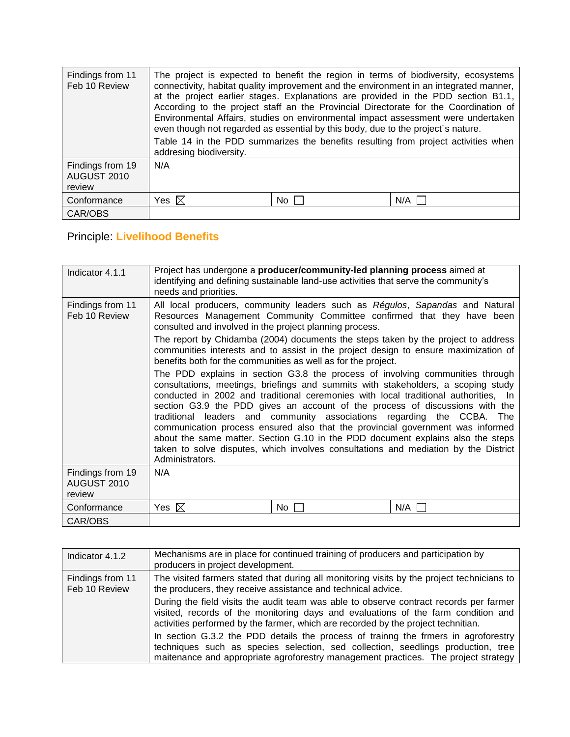| Findings from 11<br>Feb 10 Review         | The project is expected to benefit the region in terms of biodiversity, ecosystems<br>connectivity, habitat quality improvement and the environment in an integrated manner,<br>at the project earlier stages. Explanations are provided in the PDD section B1.1,<br>According to the project staff an the Provincial Directorate for the Coordination of<br>Environmental Affairs, studies on environmental impact assessment were undertaken<br>even though not regarded as essential by this body, due to the project's nature.<br>Table 14 in the PDD summarizes the benefits resulting from project activities when<br>addresing biodiversity. |      |     |
|-------------------------------------------|-----------------------------------------------------------------------------------------------------------------------------------------------------------------------------------------------------------------------------------------------------------------------------------------------------------------------------------------------------------------------------------------------------------------------------------------------------------------------------------------------------------------------------------------------------------------------------------------------------------------------------------------------------|------|-----|
| Findings from 19<br>AUGUST 2010<br>review | N/A                                                                                                                                                                                                                                                                                                                                                                                                                                                                                                                                                                                                                                                 |      |     |
| Conformance                               | Yes $\boxtimes$                                                                                                                                                                                                                                                                                                                                                                                                                                                                                                                                                                                                                                     | No I | N/A |
| CAR/OBS                                   |                                                                                                                                                                                                                                                                                                                                                                                                                                                                                                                                                                                                                                                     |      |     |

# Principle: **Livelihood Benefits**

| Indicator 4.1.1                           | Project has undergone a producer/community-led planning process aimed at<br>identifying and defining sustainable land-use activities that serve the community's<br>needs and priorities.                                                                                                                                                                                                                                                                                                                                                                                                                                                                                                           |     |     |
|-------------------------------------------|----------------------------------------------------------------------------------------------------------------------------------------------------------------------------------------------------------------------------------------------------------------------------------------------------------------------------------------------------------------------------------------------------------------------------------------------------------------------------------------------------------------------------------------------------------------------------------------------------------------------------------------------------------------------------------------------------|-----|-----|
| Findings from 11<br>Feb 10 Review         | All local producers, community leaders such as Régulos, Sapandas and Natural<br>Resources Management Community Committee confirmed that they have been<br>consulted and involved in the project planning process.                                                                                                                                                                                                                                                                                                                                                                                                                                                                                  |     |     |
|                                           | The report by Chidamba (2004) documents the steps taken by the project to address<br>communities interests and to assist in the project design to ensure maximization of<br>benefits both for the communities as well as for the project.                                                                                                                                                                                                                                                                                                                                                                                                                                                          |     |     |
|                                           | The PDD explains in section G3.8 the process of involving communities through<br>consultations, meetings, briefings and summits with stakeholders, a scoping study<br>conducted in 2002 and traditional ceremonies with local traditional authorities, In<br>section G3.9 the PDD gives an account of the process of discussions with the<br>traditional leaders and community associations regarding the CCBA. The<br>communication process ensured also that the provincial government was informed<br>about the same matter. Section G.10 in the PDD document explains also the steps<br>taken to solve disputes, which involves consultations and mediation by the District<br>Administrators. |     |     |
| Findings from 19<br>AUGUST 2010<br>review | N/A                                                                                                                                                                                                                                                                                                                                                                                                                                                                                                                                                                                                                                                                                                |     |     |
| Conformance                               | Yes $\boxtimes$                                                                                                                                                                                                                                                                                                                                                                                                                                                                                                                                                                                                                                                                                    | No. | N/A |
| CAR/OBS                                   |                                                                                                                                                                                                                                                                                                                                                                                                                                                                                                                                                                                                                                                                                                    |     |     |

| Indicator 4.1.2                   | Mechanisms are in place for continued training of producers and participation by<br>producers in project development.                                                                                                                                            |
|-----------------------------------|------------------------------------------------------------------------------------------------------------------------------------------------------------------------------------------------------------------------------------------------------------------|
| Findings from 11<br>Feb 10 Review | The visited farmers stated that during all monitoring visits by the project technicians to<br>the producers, they receive assistance and technical advice.                                                                                                       |
|                                   | During the field visits the audit team was able to observe contract records per farmer<br>visited, records of the monitoring days and evaluations of the farm condition and<br>activities performed by the farmer, which are recorded by the project technitian. |
|                                   | In section G.3.2 the PDD details the process of training the frmers in agroforestry<br>techniques such as species selection, sed collection, seedlings production, tree<br>maitenance and appropriate agroforestry management practices. The project strategy    |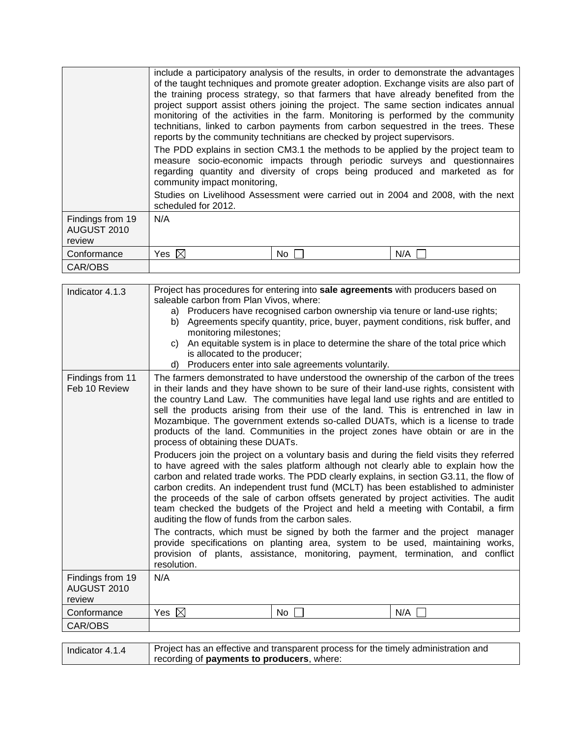|                                           | include a participatory analysis of the results, in order to demonstrate the advantages<br>of the taught techniques and promote greater adoption. Exchange visits are also part of<br>the training process strategy, so that farmers that have already benefited from the<br>project support assist others joining the project. The same section indicates annual<br>monitoring of the activities in the farm. Monitoring is performed by the community<br>technitians, linked to carbon payments from carbon sequestred in the trees. These<br>reports by the community technitians are checked by project supervisors.<br>The PDD explains in section CM3.1 the methods to be applied by the project team to<br>measure socio-economic impacts through periodic surveys and questionnaires<br>regarding quantity and diversity of crops being produced and marketed as for<br>community impact monitoring,<br>Studies on Livelihood Assessment were carried out in 2004 and 2008, with the next<br>scheduled for 2012. |     |
|-------------------------------------------|--------------------------------------------------------------------------------------------------------------------------------------------------------------------------------------------------------------------------------------------------------------------------------------------------------------------------------------------------------------------------------------------------------------------------------------------------------------------------------------------------------------------------------------------------------------------------------------------------------------------------------------------------------------------------------------------------------------------------------------------------------------------------------------------------------------------------------------------------------------------------------------------------------------------------------------------------------------------------------------------------------------------------|-----|
| Findings from 19<br>AUGUST 2010<br>review | N/A                                                                                                                                                                                                                                                                                                                                                                                                                                                                                                                                                                                                                                                                                                                                                                                                                                                                                                                                                                                                                      |     |
| Conformance                               | Yes $\boxtimes$<br>No.                                                                                                                                                                                                                                                                                                                                                                                                                                                                                                                                                                                                                                                                                                                                                                                                                                                                                                                                                                                                   | N/A |
| CAR/OBS                                   |                                                                                                                                                                                                                                                                                                                                                                                                                                                                                                                                                                                                                                                                                                                                                                                                                                                                                                                                                                                                                          |     |

| Indicator 4.1.3                           | Project has procedures for entering into sale agreements with producers based on                                                                                                                                                                                                                                                                                                                                                                                                                                                                                                                                                                                                                                                                                                                                                                                                                                                                                                                                                                                                                                                                                                                                                                                                                                                                                                                                                         |  |  |
|-------------------------------------------|------------------------------------------------------------------------------------------------------------------------------------------------------------------------------------------------------------------------------------------------------------------------------------------------------------------------------------------------------------------------------------------------------------------------------------------------------------------------------------------------------------------------------------------------------------------------------------------------------------------------------------------------------------------------------------------------------------------------------------------------------------------------------------------------------------------------------------------------------------------------------------------------------------------------------------------------------------------------------------------------------------------------------------------------------------------------------------------------------------------------------------------------------------------------------------------------------------------------------------------------------------------------------------------------------------------------------------------------------------------------------------------------------------------------------------------|--|--|
|                                           | saleable carbon from Plan Vivos, where:<br>a)                                                                                                                                                                                                                                                                                                                                                                                                                                                                                                                                                                                                                                                                                                                                                                                                                                                                                                                                                                                                                                                                                                                                                                                                                                                                                                                                                                                            |  |  |
|                                           | Producers have recognised carbon ownership via tenure or land-use rights;<br>b) Agreements specify quantity, price, buyer, payment conditions, risk buffer, and                                                                                                                                                                                                                                                                                                                                                                                                                                                                                                                                                                                                                                                                                                                                                                                                                                                                                                                                                                                                                                                                                                                                                                                                                                                                          |  |  |
|                                           | monitoring milestones;                                                                                                                                                                                                                                                                                                                                                                                                                                                                                                                                                                                                                                                                                                                                                                                                                                                                                                                                                                                                                                                                                                                                                                                                                                                                                                                                                                                                                   |  |  |
|                                           | An equitable system is in place to determine the share of the total price which<br>C)<br>is allocated to the producer;                                                                                                                                                                                                                                                                                                                                                                                                                                                                                                                                                                                                                                                                                                                                                                                                                                                                                                                                                                                                                                                                                                                                                                                                                                                                                                                   |  |  |
|                                           | Producers enter into sale agreements voluntarily.<br>d)                                                                                                                                                                                                                                                                                                                                                                                                                                                                                                                                                                                                                                                                                                                                                                                                                                                                                                                                                                                                                                                                                                                                                                                                                                                                                                                                                                                  |  |  |
| Findings from 11<br>Feb 10 Review         | The farmers demonstrated to have understood the ownership of the carbon of the trees<br>in their lands and they have shown to be sure of their land-use rights, consistent with<br>the country Land Law. The communities have legal land use rights and are entitled to<br>sell the products arising from their use of the land. This is entrenched in law in<br>Mozambique. The government extends so-called DUATs, which is a license to trade<br>products of the land. Communities in the project zones have obtain or are in the<br>process of obtaining these DUATs.<br>Producers join the project on a voluntary basis and during the field visits they referred<br>to have agreed with the sales platform although not clearly able to explain how the<br>carbon and related trade works. The PDD clearly explains, in section G3.11, the flow of<br>carbon credits. An independent trust fund (MCLT) has been established to administer<br>the proceeds of the sale of carbon offsets generated by project activities. The audit<br>team checked the budgets of the Project and held a meeting with Contabil, a firm<br>auditing the flow of funds from the carbon sales.<br>The contracts, which must be signed by both the farmer and the project manager<br>provide specifications on planting area, system to be used, maintaining works,<br>provision of plants, assistance, monitoring, payment, termination, and conflict |  |  |
|                                           | resolution.<br>N/A                                                                                                                                                                                                                                                                                                                                                                                                                                                                                                                                                                                                                                                                                                                                                                                                                                                                                                                                                                                                                                                                                                                                                                                                                                                                                                                                                                                                                       |  |  |
| Findings from 19<br>AUGUST 2010<br>review |                                                                                                                                                                                                                                                                                                                                                                                                                                                                                                                                                                                                                                                                                                                                                                                                                                                                                                                                                                                                                                                                                                                                                                                                                                                                                                                                                                                                                                          |  |  |
| Conformance                               | $\boxtimes$<br>N/A<br>Yes<br>No                                                                                                                                                                                                                                                                                                                                                                                                                                                                                                                                                                                                                                                                                                                                                                                                                                                                                                                                                                                                                                                                                                                                                                                                                                                                                                                                                                                                          |  |  |
| CAR/OBS                                   |                                                                                                                                                                                                                                                                                                                                                                                                                                                                                                                                                                                                                                                                                                                                                                                                                                                                                                                                                                                                                                                                                                                                                                                                                                                                                                                                                                                                                                          |  |  |
|                                           |                                                                                                                                                                                                                                                                                                                                                                                                                                                                                                                                                                                                                                                                                                                                                                                                                                                                                                                                                                                                                                                                                                                                                                                                                                                                                                                                                                                                                                          |  |  |

| Indicator 4.1.4 | Project has an effective and transparent process for the timely administration and |
|-----------------|------------------------------------------------------------------------------------|
|                 | recording of <b>payments to producers</b> , where:                                 |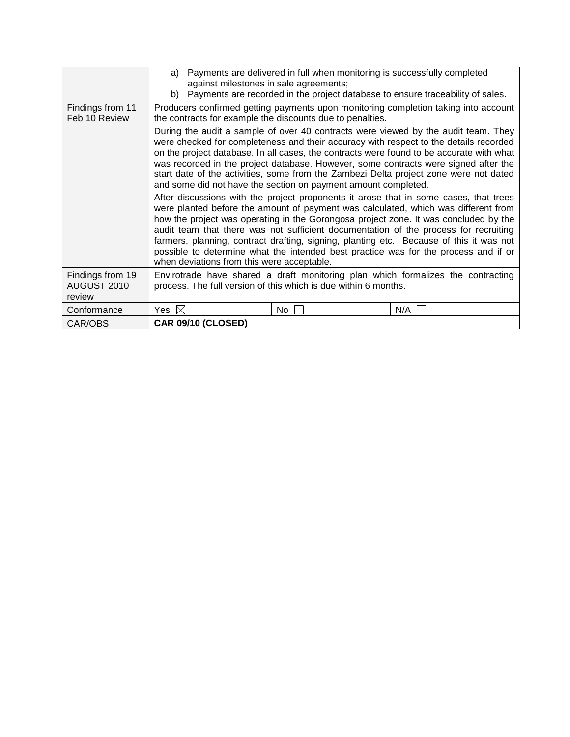|                                           | Payments are delivered in full when monitoring is successfully completed<br>a)<br>against milestones in sale agreements;                                                                                                                                                                                                                                                                                                                                                                                                                                                                    |  |  |
|-------------------------------------------|---------------------------------------------------------------------------------------------------------------------------------------------------------------------------------------------------------------------------------------------------------------------------------------------------------------------------------------------------------------------------------------------------------------------------------------------------------------------------------------------------------------------------------------------------------------------------------------------|--|--|
|                                           | Payments are recorded in the project database to ensure traceability of sales.<br>b)                                                                                                                                                                                                                                                                                                                                                                                                                                                                                                        |  |  |
| Findings from 11<br>Feb 10 Review         | Producers confirmed getting payments upon monitoring completion taking into account<br>the contracts for example the discounts due to penalties.                                                                                                                                                                                                                                                                                                                                                                                                                                            |  |  |
|                                           | During the audit a sample of over 40 contracts were viewed by the audit team. They<br>were checked for completeness and their accuracy with respect to the details recorded<br>on the project database. In all cases, the contracts were found to be accurate with what<br>was recorded in the project database. However, some contracts were signed after the<br>start date of the activities, some from the Zambezi Delta project zone were not dated<br>and some did not have the section on payment amount completed.                                                                   |  |  |
|                                           | After discussions with the project proponents it arose that in some cases, that trees<br>were planted before the amount of payment was calculated, which was different from<br>how the project was operating in the Gorongosa project zone. It was concluded by the<br>audit team that there was not sufficient documentation of the process for recruiting<br>farmers, planning, contract drafting, signing, planting etc. Because of this it was not<br>possible to determine what the intended best practice was for the process and if or<br>when deviations from this were acceptable. |  |  |
| Findings from 19<br>AUGUST 2010<br>review | Envirotrade have shared a draft monitoring plan which formalizes the contracting<br>process. The full version of this which is due within 6 months.                                                                                                                                                                                                                                                                                                                                                                                                                                         |  |  |
| Conformance                               | Yes $\boxtimes$<br>N/A<br>No.                                                                                                                                                                                                                                                                                                                                                                                                                                                                                                                                                               |  |  |
| CAR/OBS                                   | CAR 09/10 (CLOSED)                                                                                                                                                                                                                                                                                                                                                                                                                                                                                                                                                                          |  |  |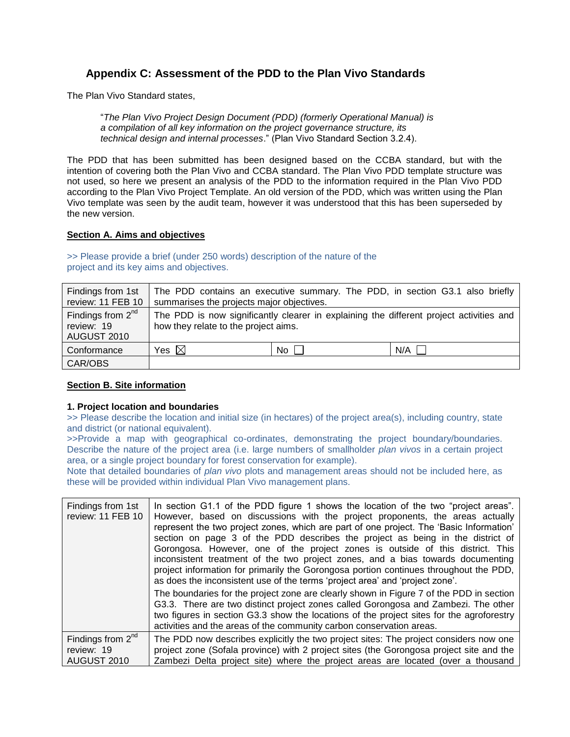## <span id="page-50-0"></span>**Appendix C: Assessment of the PDD to the Plan Vivo Standards**

The Plan Vivo Standard states,

"*The Plan Vivo Project Design Document (PDD) (formerly Operational Manual) is a compilation of all key information on the project governance structure, its technical design and internal processes*." (Plan Vivo Standard Section 3.2.4).

The PDD that has been submitted has been designed based on the CCBA standard, but with the intention of covering both the Plan Vivo and CCBA standard. The Plan Vivo PDD template structure was not used, so here we present an analysis of the PDD to the information required in the Plan Vivo PDD according to the Plan Vivo Project Template. An old version of the PDD, which was written using the Plan Vivo template was seen by the audit team, however it was understood that this has been superseded by the new version.

## **Section A. Aims and objectives**

>> Please provide a brief (under 250 words) description of the nature of the project and its key aims and objectives.

| Findings from 1st<br>review: 11 FEB 10           | The PDD contains an executive summary. The PDD, in section G3.1 also briefly<br>summarises the projects major objectives.       |      |     |
|--------------------------------------------------|---------------------------------------------------------------------------------------------------------------------------------|------|-----|
| Findings from $2nd$<br>review: 19<br>AUGUST 2010 | The PDD is now significantly clearer in explaining the different project activities and<br>how they relate to the project aims. |      |     |
| Conformance                                      | Yes $\boxtimes$                                                                                                                 | No I | N/A |
| CAR/OBS                                          |                                                                                                                                 |      |     |

#### **Section B. Site information**

#### **1. Project location and boundaries**

>> Please describe the location and initial size (in hectares) of the project area(s), including country, state and district (or national equivalent).

>>Provide a map with geographical co-ordinates, demonstrating the project boundary/boundaries. Describe the nature of the project area (i.e. large numbers of smallholder *plan vivos* in a certain project area, or a single project boundary for forest conservation for example).

Note that detailed boundaries of *plan vivo* plots and management areas should not be included here, as these will be provided within individual Plan Vivo management plans.

| Findings from 1st<br>review: 11 FEB 10           | In section G1.1 of the PDD figure 1 shows the location of the two "project areas".<br>However, based on discussions with the project proponents, the areas actually<br>represent the two project zones, which are part of one project. The 'Basic Information'<br>section on page 3 of the PDD describes the project as being in the district of<br>Gorongosa. However, one of the project zones is outside of this district. This<br>inconsistent treatment of the two project zones, and a bias towards documenting<br>project information for primarily the Gorongosa portion continues throughout the PDD,<br>as does the inconsistent use of the terms 'project area' and 'project zone'. |  |
|--------------------------------------------------|------------------------------------------------------------------------------------------------------------------------------------------------------------------------------------------------------------------------------------------------------------------------------------------------------------------------------------------------------------------------------------------------------------------------------------------------------------------------------------------------------------------------------------------------------------------------------------------------------------------------------------------------------------------------------------------------|--|
|                                                  | The boundaries for the project zone are clearly shown in Figure 7 of the PDD in section<br>G3.3. There are two distinct project zones called Gorongosa and Zambezi. The other<br>two figures in section G3.3 show the locations of the project sites for the agroforestry<br>activities and the areas of the community carbon conservation areas.                                                                                                                                                                                                                                                                                                                                              |  |
| Findings from $2nd$<br>review: 19<br>AUGUST 2010 | The PDD now describes explicitly the two project sites: The project considers now one<br>project zone (Sofala province) with 2 project sites (the Gorongosa project site and the<br>Zambezi Delta project site) where the project areas are located (over a thousand                                                                                                                                                                                                                                                                                                                                                                                                                           |  |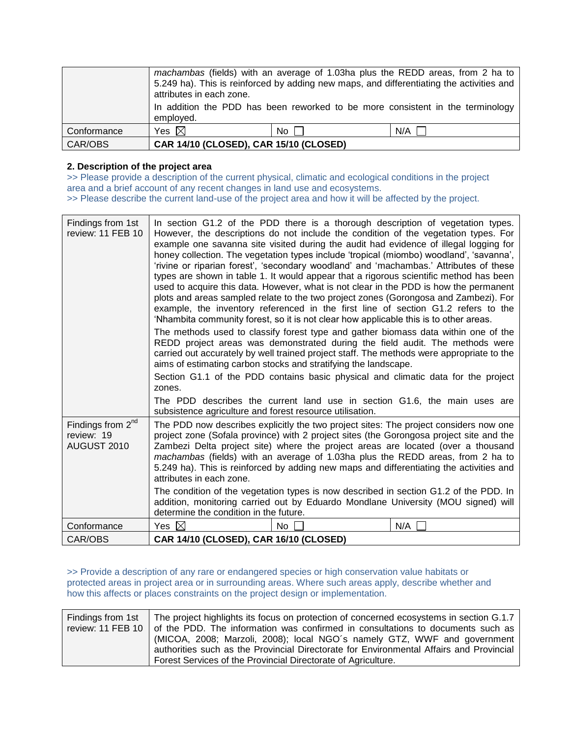|             | machambas (fields) with an average of 1.03ha plus the REDD areas, from 2 ha to<br>5.249 ha). This is reinforced by adding new maps, and differentiating the activities and<br>attributes in each zone.<br>In addition the PDD has been reworked to be more consistent in the terminology<br>employed. |      |     |
|-------------|-------------------------------------------------------------------------------------------------------------------------------------------------------------------------------------------------------------------------------------------------------------------------------------------------------|------|-----|
| Conformance | Yes $\boxtimes$                                                                                                                                                                                                                                                                                       | No I | N/A |
| CAR/OBS     | CAR 14/10 (CLOSED), CAR 15/10 (CLOSED)                                                                                                                                                                                                                                                                |      |     |

## **2. Description of the project area**

>> Please provide a description of the current physical, climatic and ecological conditions in the project area and a brief account of any recent changes in land use and ecosystems. >> Please describe the current land-use of the project area and how it will be affected by the project.

| Findings from 1st<br>review: 11 FEB 10                     | In section G1.2 of the PDD there is a thorough description of vegetation types.<br>However, the descriptions do not include the condition of the vegetation types. For<br>example one savanna site visited during the audit had evidence of illegal logging for<br>honey collection. The vegetation types include 'tropical (miombo) woodland', 'savanna',<br>'rivine or riparian forest', 'secondary woodland' and 'machambas.' Attributes of these<br>types are shown in table 1. It would appear that a rigorous scientific method has been<br>used to acquire this data. However, what is not clear in the PDD is how the permanent<br>plots and areas sampled relate to the two project zones (Gorongosa and Zambezi). For<br>example, the inventory referenced in the first line of section G1.2 refers to the<br>'Nhambita community forest, so it is not clear how applicable this is to other areas.<br>The methods used to classify forest type and gather biomass data within one of the<br>REDD project areas was demonstrated during the field audit. The methods were<br>carried out accurately by well trained project staff. The methods were appropriate to the<br>aims of estimating carbon stocks and stratifying the landscape.<br>Section G1.1 of the PDD contains basic physical and climatic data for the project<br>zones.<br>The PDD describes the current land use in section G1.6, the main uses are<br>subsistence agriculture and forest resource utilisation. |     |     |
|------------------------------------------------------------|---------------------------------------------------------------------------------------------------------------------------------------------------------------------------------------------------------------------------------------------------------------------------------------------------------------------------------------------------------------------------------------------------------------------------------------------------------------------------------------------------------------------------------------------------------------------------------------------------------------------------------------------------------------------------------------------------------------------------------------------------------------------------------------------------------------------------------------------------------------------------------------------------------------------------------------------------------------------------------------------------------------------------------------------------------------------------------------------------------------------------------------------------------------------------------------------------------------------------------------------------------------------------------------------------------------------------------------------------------------------------------------------------------------------------------------------------------------------------------------------|-----|-----|
| Findings from 2 <sup>nd</sup><br>review: 19<br>AUGUST 2010 | The PDD now describes explicitly the two project sites: The project considers now one<br>project zone (Sofala province) with 2 project sites (the Gorongosa project site and the<br>Zambezi Delta project site) where the project areas are located (over a thousand<br>machambas (fields) with an average of 1.03ha plus the REDD areas, from 2 ha to<br>5.249 ha). This is reinforced by adding new maps and differentiating the activities and<br>attributes in each zone.<br>The condition of the vegetation types is now described in section G1.2 of the PDD. In<br>addition, monitoring carried out by Eduardo Mondlane University (MOU signed) will                                                                                                                                                                                                                                                                                                                                                                                                                                                                                                                                                                                                                                                                                                                                                                                                                                 |     |     |
|                                                            | determine the condition in the future.                                                                                                                                                                                                                                                                                                                                                                                                                                                                                                                                                                                                                                                                                                                                                                                                                                                                                                                                                                                                                                                                                                                                                                                                                                                                                                                                                                                                                                                      |     |     |
| Conformance                                                | Yes $\boxtimes$                                                                                                                                                                                                                                                                                                                                                                                                                                                                                                                                                                                                                                                                                                                                                                                                                                                                                                                                                                                                                                                                                                                                                                                                                                                                                                                                                                                                                                                                             | No. | N/A |
| CAR/OBS                                                    | CAR 14/10 (CLOSED), CAR 16/10 (CLOSED)                                                                                                                                                                                                                                                                                                                                                                                                                                                                                                                                                                                                                                                                                                                                                                                                                                                                                                                                                                                                                                                                                                                                                                                                                                                                                                                                                                                                                                                      |     |     |

>> Provide a description of any rare or endangered species or high conservation value habitats or protected areas in project area or in surrounding areas. Where such areas apply, describe whether and how this affects or places constraints on the project design or implementation.

| Findings from 1st   The project highlights its focus on protection of concerned ecosystems in section G.1.7 |
|-------------------------------------------------------------------------------------------------------------|
| review: 11 FEB 10   of the PDD. The information was confirmed in consultations to documents such as         |
| (MICOA, 2008; Marzoli, 2008); local NGO's namely GTZ, WWF and government                                    |
| authorities such as the Provincial Directorate for Environmental Affairs and Provincial                     |
| Forest Services of the Provincial Directorate of Agriculture.                                               |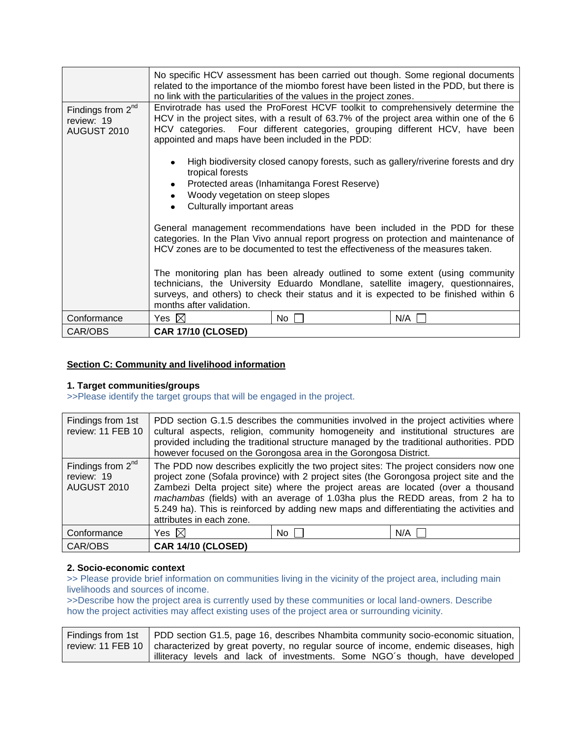|                                                            | no link with the particularities of the values in the project zones.                                                                                                                                                                                                                                              |                                              | No specific HCV assessment has been carried out though. Some regional documents<br>related to the importance of the miombo forest have been listed in the PDD, but there is |
|------------------------------------------------------------|-------------------------------------------------------------------------------------------------------------------------------------------------------------------------------------------------------------------------------------------------------------------------------------------------------------------|----------------------------------------------|-----------------------------------------------------------------------------------------------------------------------------------------------------------------------------|
| Findings from 2 <sup>nd</sup><br>review: 19<br>AUGUST 2010 | Envirotrade has used the ProForest HCVF toolkit to comprehensively determine the<br>HCV in the project sites, with a result of 63.7% of the project area within one of the 6<br>HCV categories. Four different categories, grouping different HCV, have been<br>appointed and maps have been included in the PDD: |                                              |                                                                                                                                                                             |
|                                                            | High biodiversity closed canopy forests, such as gallery/riverine forests and dry<br>tropical forests                                                                                                                                                                                                             |                                              |                                                                                                                                                                             |
|                                                            | ٠                                                                                                                                                                                                                                                                                                                 | Protected areas (Inhamitanga Forest Reserve) |                                                                                                                                                                             |
|                                                            | Woody vegetation on steep slopes<br>٠<br>Culturally important areas                                                                                                                                                                                                                                               |                                              |                                                                                                                                                                             |
|                                                            |                                                                                                                                                                                                                                                                                                                   |                                              |                                                                                                                                                                             |
|                                                            | General management recommendations have been included in the PDD for these<br>categories. In the Plan Vivo annual report progress on protection and maintenance of<br>HCV zones are to be documented to test the effectiveness of the measures taken.                                                             |                                              |                                                                                                                                                                             |
|                                                            | The monitoring plan has been already outlined to some extent (using community<br>technicians, the University Eduardo Mondlane, satellite imagery, questionnaires,<br>surveys, and others) to check their status and it is expected to be finished within 6<br>months after validation.                            |                                              |                                                                                                                                                                             |
| Conformance                                                | Yes $\boxtimes$                                                                                                                                                                                                                                                                                                   | No                                           | N/A                                                                                                                                                                         |
| CAR/OBS                                                    | <b>CAR 17/10 (CLOSED)</b>                                                                                                                                                                                                                                                                                         |                                              |                                                                                                                                                                             |

## **Section C: Community and livelihood information**

### **1. Target communities/groups**

>>Please identify the target groups that will be engaged in the project.

| Findings from 1st<br>review: 11 FEB 10           | however focused on the Gorongosa area in the Gorongosa District. |      | PDD section G.1.5 describes the communities involved in the project activities where<br>cultural aspects, religion, community homogeneity and institutional structures are<br>provided including the traditional structure managed by the traditional authorities. PDD                                                                                                                                                                                   |
|--------------------------------------------------|------------------------------------------------------------------|------|----------------------------------------------------------------------------------------------------------------------------------------------------------------------------------------------------------------------------------------------------------------------------------------------------------------------------------------------------------------------------------------------------------------------------------------------------------|
| Findings from $2nd$<br>review: 19<br>AUGUST 2010 | attributes in each zone.                                         |      | The PDD now describes explicitly the two project sites: The project considers now one<br>project zone (Sofala province) with 2 project sites (the Gorongosa project site and the<br>Zambezi Delta project site) where the project areas are located (over a thousand<br><i>machambas</i> (fields) with an average of 1.03ha plus the REDD areas, from 2 ha to<br>5.249 ha). This is reinforced by adding new maps and differentiating the activities and |
| Conformance                                      | Yes $\boxtimes$                                                  | No I | N/A                                                                                                                                                                                                                                                                                                                                                                                                                                                      |
| CAR/OBS                                          | <b>CAR 14/10 (CLOSED)</b>                                        |      |                                                                                                                                                                                                                                                                                                                                                                                                                                                          |

## **2. Socio-economic context**

>> Please provide brief information on communities living in the vicinity of the project area, including main livelihoods and sources of income.

>>Describe how the project area is currently used by these communities or local land-owners. Describe how the project activities may affect existing uses of the project area or surrounding vicinity.

| Findings from 1st   PDD section G1.5, page 16, describes Nhambita community socio-economic situation,   |
|---------------------------------------------------------------------------------------------------------|
| review: 11 FEB 10   characterized by great poverty, no regular source of income, endemic diseases, high |
| illiteracy levels and lack of investments. Some NGO's though, have developed                            |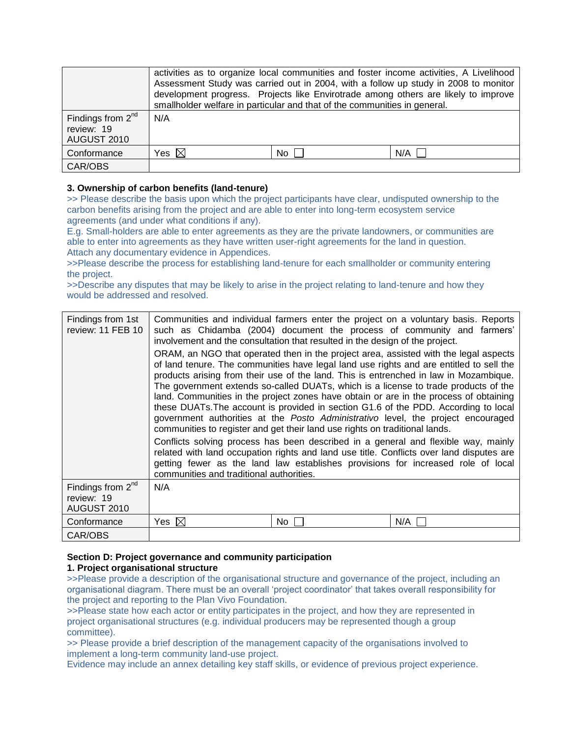|                                                     | activities as to organize local communities and foster income activities, A Livelihood<br>Assessment Study was carried out in 2004, with a follow up study in 2008 to monitor<br>development progress. Projects like Envirotrade among others are likely to improve<br>smallholder welfare in particular and that of the communities in general. |     |     |
|-----------------------------------------------------|--------------------------------------------------------------------------------------------------------------------------------------------------------------------------------------------------------------------------------------------------------------------------------------------------------------------------------------------------|-----|-----|
| Findings from $2^{nd}$<br>review: 19<br>AUGUST 2010 | N/A                                                                                                                                                                                                                                                                                                                                              |     |     |
| Conformance                                         | Yes $\boxtimes$                                                                                                                                                                                                                                                                                                                                  | No. | N/A |
| CAR/OBS                                             |                                                                                                                                                                                                                                                                                                                                                  |     |     |

## **3. Ownership of carbon benefits (land-tenure)**

>> Please describe the basis upon which the project participants have clear, undisputed ownership to the carbon benefits arising from the project and are able to enter into long-term ecosystem service agreements (and under what conditions if any).

E.g. Small-holders are able to enter agreements as they are the private landowners, or communities are able to enter into agreements as they have written user-right agreements for the land in question. Attach any documentary evidence in Appendices.

>>Please describe the process for establishing land-tenure for each smallholder or community entering the project.

>>Describe any disputes that may be likely to arise in the project relating to land-tenure and how they would be addressed and resolved.

| Findings from 1st<br>review: 11 FEB 10              | involvement and the consultation that resulted in the design of the project.                                                                                                                                                                                                                                                                                                                                                                                                                                                                                                                                                                                                                                                                                                                                                                                                                                                                                                                                                         |     | Communities and individual farmers enter the project on a voluntary basis. Reports<br>such as Chidamba (2004) document the process of community and farmers' |
|-----------------------------------------------------|--------------------------------------------------------------------------------------------------------------------------------------------------------------------------------------------------------------------------------------------------------------------------------------------------------------------------------------------------------------------------------------------------------------------------------------------------------------------------------------------------------------------------------------------------------------------------------------------------------------------------------------------------------------------------------------------------------------------------------------------------------------------------------------------------------------------------------------------------------------------------------------------------------------------------------------------------------------------------------------------------------------------------------------|-----|--------------------------------------------------------------------------------------------------------------------------------------------------------------|
|                                                     | ORAM, an NGO that operated then in the project area, assisted with the legal aspects<br>of land tenure. The communities have legal land use rights and are entitled to sell the<br>products arising from their use of the land. This is entrenched in law in Mozambique.<br>The government extends so-called DUATs, which is a license to trade products of the<br>land. Communities in the project zones have obtain or are in the process of obtaining<br>these DUATs. The account is provided in section G1.6 of the PDD. According to local<br>government authorities at the Posto Administrativo level, the project encouraged<br>communities to register and get their land use rights on traditional lands.<br>Conflicts solving process has been described in a general and flexible way, mainly<br>related with land occupation rights and land use title. Conflicts over land disputes are<br>getting fewer as the land law establishes provisions for increased role of local<br>communities and traditional authorities. |     |                                                                                                                                                              |
| Findings from $2^{nd}$<br>review: 19<br>AUGUST 2010 | N/A                                                                                                                                                                                                                                                                                                                                                                                                                                                                                                                                                                                                                                                                                                                                                                                                                                                                                                                                                                                                                                  |     |                                                                                                                                                              |
| Conformance                                         | Yes $\boxtimes$                                                                                                                                                                                                                                                                                                                                                                                                                                                                                                                                                                                                                                                                                                                                                                                                                                                                                                                                                                                                                      | No. | N/A                                                                                                                                                          |
| CAR/OBS                                             |                                                                                                                                                                                                                                                                                                                                                                                                                                                                                                                                                                                                                                                                                                                                                                                                                                                                                                                                                                                                                                      |     |                                                                                                                                                              |

#### **Section D: Project governance and community participation 1. Project organisational structure**

>>Please provide a description of the organisational structure and governance of the project, including an organisational diagram. There must be an overall "project coordinator" that takes overall responsibility for the project and reporting to the Plan Vivo Foundation.

>>Please state how each actor or entity participates in the project, and how they are represented in project organisational structures (e.g. individual producers may be represented though a group committee).

>> Please provide a brief description of the management capacity of the organisations involved to implement a long-term community land-use project.

Evidence may include an annex detailing key staff skills, or evidence of previous project experience.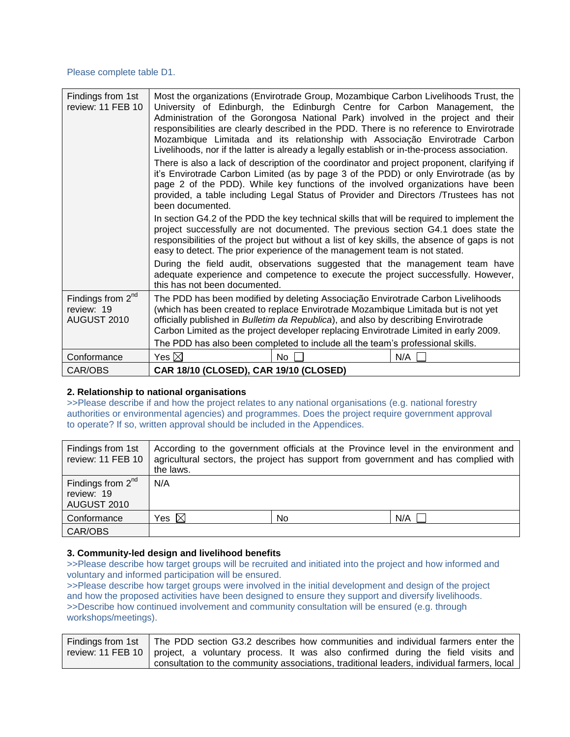### Please complete table D1.

| Findings from 1st<br>review: 11 FEB 10                     | Most the organizations (Envirotrade Group, Mozambique Carbon Livelihoods Trust, the<br>University of Edinburgh, the Edinburgh Centre for Carbon Management, the<br>Administration of the Gorongosa National Park) involved in the project and their<br>responsibilities are clearly described in the PDD. There is no reference to Envirotrade<br>Mozambique Limitada and its relationship with Associação Envirotrade Carbon<br>Livelihoods, nor if the latter is already a legally establish or in-the-process association.<br>There is also a lack of description of the coordinator and project proponent, clarifying if<br>it's Envirotrade Carbon Limited (as by page 3 of the PDD) or only Envirotrade (as by<br>page 2 of the PDD). While key functions of the involved organizations have been<br>provided, a table including Legal Status of Provider and Directors /Trustees has not<br>been documented.<br>In section G4.2 of the PDD the key technical skills that will be required to implement the<br>project successfully are not documented. The previous section G4.1 does state the<br>responsibilities of the project but without a list of key skills, the absence of gaps is not<br>easy to detect. The prior experience of the management team is not stated.<br>During the field audit, observations suggested that the management team have<br>adequate experience and competence to execute the project successfully. However,<br>this has not been documented. |    |     |
|------------------------------------------------------------|-------------------------------------------------------------------------------------------------------------------------------------------------------------------------------------------------------------------------------------------------------------------------------------------------------------------------------------------------------------------------------------------------------------------------------------------------------------------------------------------------------------------------------------------------------------------------------------------------------------------------------------------------------------------------------------------------------------------------------------------------------------------------------------------------------------------------------------------------------------------------------------------------------------------------------------------------------------------------------------------------------------------------------------------------------------------------------------------------------------------------------------------------------------------------------------------------------------------------------------------------------------------------------------------------------------------------------------------------------------------------------------------------------------------------------------------------------------------------------------------|----|-----|
|                                                            |                                                                                                                                                                                                                                                                                                                                                                                                                                                                                                                                                                                                                                                                                                                                                                                                                                                                                                                                                                                                                                                                                                                                                                                                                                                                                                                                                                                                                                                                                           |    |     |
|                                                            |                                                                                                                                                                                                                                                                                                                                                                                                                                                                                                                                                                                                                                                                                                                                                                                                                                                                                                                                                                                                                                                                                                                                                                                                                                                                                                                                                                                                                                                                                           |    |     |
|                                                            |                                                                                                                                                                                                                                                                                                                                                                                                                                                                                                                                                                                                                                                                                                                                                                                                                                                                                                                                                                                                                                                                                                                                                                                                                                                                                                                                                                                                                                                                                           |    |     |
|                                                            |                                                                                                                                                                                                                                                                                                                                                                                                                                                                                                                                                                                                                                                                                                                                                                                                                                                                                                                                                                                                                                                                                                                                                                                                                                                                                                                                                                                                                                                                                           |    |     |
| Findings from 2 <sup>nd</sup><br>review: 19<br>AUGUST 2010 | The PDD has been modified by deleting Associação Envirotrade Carbon Livelihoods<br>(which has been created to replace Envirotrade Mozambique Limitada but is not yet<br>officially published in Bulletim da Republica), and also by describing Envirotrade<br>Carbon Limited as the project developer replacing Envirotrade Limited in early 2009.                                                                                                                                                                                                                                                                                                                                                                                                                                                                                                                                                                                                                                                                                                                                                                                                                                                                                                                                                                                                                                                                                                                                        |    |     |
|                                                            | The PDD has also been completed to include all the team's professional skills.                                                                                                                                                                                                                                                                                                                                                                                                                                                                                                                                                                                                                                                                                                                                                                                                                                                                                                                                                                                                                                                                                                                                                                                                                                                                                                                                                                                                            |    |     |
| Conformance                                                | Yes $\boxtimes$                                                                                                                                                                                                                                                                                                                                                                                                                                                                                                                                                                                                                                                                                                                                                                                                                                                                                                                                                                                                                                                                                                                                                                                                                                                                                                                                                                                                                                                                           | No | N/A |
| CAR/OBS                                                    | CAR 18/10 (CLOSED), CAR 19/10 (CLOSED)                                                                                                                                                                                                                                                                                                                                                                                                                                                                                                                                                                                                                                                                                                                                                                                                                                                                                                                                                                                                                                                                                                                                                                                                                                                                                                                                                                                                                                                    |    |     |

#### **2. Relationship to national organisations**

>>Please describe if and how the project relates to any national organisations (e.g. national forestry authorities or environmental agencies) and programmes. Does the project require government approval to operate? If so, written approval should be included in the Appendices.

| Findings from 1st<br>review: 11 FEB 10                     | According to the government officials at the Province level in the environment and<br>agricultural sectors, the project has support from government and has complied with<br>the laws. |     |     |
|------------------------------------------------------------|----------------------------------------------------------------------------------------------------------------------------------------------------------------------------------------|-----|-----|
| Findings from 2 <sup>nd</sup><br>review: 19<br>AUGUST 2010 | N/A                                                                                                                                                                                    |     |     |
| Conformance                                                | Yes $\boxtimes$                                                                                                                                                                        | No. | N/A |
| CAR/OBS                                                    |                                                                                                                                                                                        |     |     |

#### **3. Community-led design and livelihood benefits**

>>Please describe how target groups will be recruited and initiated into the project and how informed and voluntary and informed participation will be ensured.

>>Please describe how target groups were involved in the initial development and design of the project and how the proposed activities have been designed to ensure they support and diversify livelihoods. >>Describe how continued involvement and community consultation will be ensured (e.g. through workshops/meetings).

| Findings from 1st   The PDD section G3.2 describes how communities and individual farmers enter the |
|-----------------------------------------------------------------------------------------------------|
| review: 11 FEB 10   project, a voluntary process. It was also confirmed during the field visits and |
| consultation to the community associations, traditional leaders, individual farmers, local          |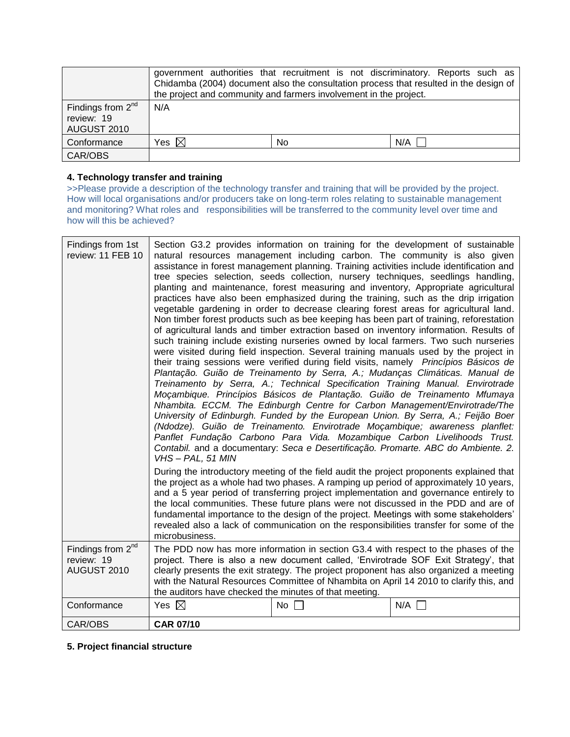|                                                     |                 | the project and community and farmers involvement in the project. | government authorities that recruitment is not discriminatory. Reports such as<br>Chidamba (2004) document also the consultation process that resulted in the design of |
|-----------------------------------------------------|-----------------|-------------------------------------------------------------------|-------------------------------------------------------------------------------------------------------------------------------------------------------------------------|
| Findings from $2^{nd}$<br>review: 19<br>AUGUST 2010 | N/A             |                                                                   |                                                                                                                                                                         |
| Conformance                                         | Yes $\boxtimes$ | No                                                                | N/A                                                                                                                                                                     |
| CAR/OBS                                             |                 |                                                                   |                                                                                                                                                                         |

## **4. Technology transfer and training**

>>Please provide a description of the technology transfer and training that will be provided by the project. How will local organisations and/or producers take on long-term roles relating to sustainable management and monitoring? What roles and responsibilities will be transferred to the community level over time and how will this be achieved?

| Findings from 1st<br>review: 11 FEB 10                     | Section G3.2 provides information on training for the development of sustainable<br>natural resources management including carbon. The community is also given<br>assistance in forest management planning. Training activities include identification and<br>tree species selection, seeds collection, nursery techniques, seedlings handling,<br>planting and maintenance, forest measuring and inventory, Appropriate agricultural<br>practices have also been emphasized during the training, such as the drip irrigation<br>vegetable gardening in order to decrease clearing forest areas for agricultural land.<br>Non timber forest products such as bee keeping has been part of training, reforestation<br>of agricultural lands and timber extraction based on inventory information. Results of<br>such training include existing nurseries owned by local farmers. Two such nurseries<br>were visited during field inspection. Several training manuals used by the project in<br>their traing sessions were verified during field visits, namely Princípios Básicos de<br>Plantação. Guião de Treinamento by Serra, A.; Mudanças Climáticas. Manual de<br>Treinamento by Serra, A.; Technical Specification Training Manual. Envirotrade<br>Moçambique. Princípios Básicos de Plantação. Guião de Treinamento Mfumaya<br>Nhambita. ECCM. The Edinburgh Centre for Carbon Management/Envirotrade/The<br>University of Edinburgh. Funded by the European Union. By Serra, A.; Feijão Boer<br>(Ndodze). Guião de Treinamento. Envirotrade Moçambique; awareness planflet:<br>Panflet Fundação Carbono Para Vida. Mozambique Carbon Livelihoods Trust.<br>Contabil. and a documentary: Seca e Desertificação. Promarte. ABC do Ambiente. 2.<br>VHS-PAL, 51 MIN<br>During the introductory meeting of the field audit the project proponents explained that |  |  |  |
|------------------------------------------------------------|----------------------------------------------------------------------------------------------------------------------------------------------------------------------------------------------------------------------------------------------------------------------------------------------------------------------------------------------------------------------------------------------------------------------------------------------------------------------------------------------------------------------------------------------------------------------------------------------------------------------------------------------------------------------------------------------------------------------------------------------------------------------------------------------------------------------------------------------------------------------------------------------------------------------------------------------------------------------------------------------------------------------------------------------------------------------------------------------------------------------------------------------------------------------------------------------------------------------------------------------------------------------------------------------------------------------------------------------------------------------------------------------------------------------------------------------------------------------------------------------------------------------------------------------------------------------------------------------------------------------------------------------------------------------------------------------------------------------------------------------------------------------------------------------------------------------------------------------------------------------|--|--|--|
|                                                            | the project as a whole had two phases. A ramping up period of approximately 10 years,<br>and a 5 year period of transferring project implementation and governance entirely to<br>the local communities. These future plans were not discussed in the PDD and are of<br>fundamental importance to the design of the project. Meetings with some stakeholders'<br>revealed also a lack of communication on the responsibilities transfer for some of the<br>microbusiness.                                                                                                                                                                                                                                                                                                                                                                                                                                                                                                                                                                                                                                                                                                                                                                                                                                                                                                                                                                                                                                                                                                                                                                                                                                                                                                                                                                                            |  |  |  |
| Findings from 2 <sup>nd</sup><br>review: 19<br>AUGUST 2010 | The PDD now has more information in section G3.4 with respect to the phases of the<br>project. There is also a new document called, 'Envirotrade SOF Exit Strategy', that<br>clearly presents the exit strategy. The project proponent has also organized a meeting<br>with the Natural Resources Committee of Nhambita on April 14 2010 to clarify this, and<br>the auditors have checked the minutes of that meeting.                                                                                                                                                                                                                                                                                                                                                                                                                                                                                                                                                                                                                                                                                                                                                                                                                                                                                                                                                                                                                                                                                                                                                                                                                                                                                                                                                                                                                                              |  |  |  |
| Conformance                                                | Yes $\boxtimes$<br>N/A<br>No $\Box$                                                                                                                                                                                                                                                                                                                                                                                                                                                                                                                                                                                                                                                                                                                                                                                                                                                                                                                                                                                                                                                                                                                                                                                                                                                                                                                                                                                                                                                                                                                                                                                                                                                                                                                                                                                                                                  |  |  |  |
| CAR/OBS                                                    | <b>CAR 07/10</b>                                                                                                                                                                                                                                                                                                                                                                                                                                                                                                                                                                                                                                                                                                                                                                                                                                                                                                                                                                                                                                                                                                                                                                                                                                                                                                                                                                                                                                                                                                                                                                                                                                                                                                                                                                                                                                                     |  |  |  |

## **5. Project financial structure**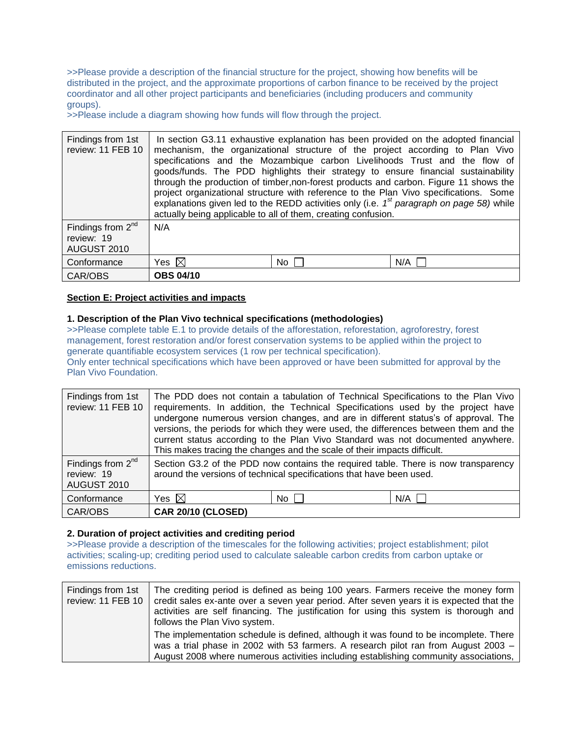>>Please provide a description of the financial structure for the project, showing how benefits will be distributed in the project, and the approximate proportions of carbon finance to be received by the project coordinator and all other project participants and beneficiaries (including producers and community groups).

>>Please include a diagram showing how funds will flow through the project.

| Findings from 1st<br>review: 11 FEB 10           | actually being applicable to all of them, creating confusion. |      | In section G3.11 exhaustive explanation has been provided on the adopted financial<br>mechanism, the organizational structure of the project according to Plan Vivo<br>specifications and the Mozambique carbon Livelihoods Trust and the flow of<br>goods/funds. The PDD highlights their strategy to ensure financial sustainability<br>through the production of timber, non-forest products and carbon. Figure 11 shows the<br>project organizational structure with reference to the Plan Vivo specifications. Some<br>explanations given led to the REDD activities only (i.e. $1st$ paragraph on page 58) while |
|--------------------------------------------------|---------------------------------------------------------------|------|------------------------------------------------------------------------------------------------------------------------------------------------------------------------------------------------------------------------------------------------------------------------------------------------------------------------------------------------------------------------------------------------------------------------------------------------------------------------------------------------------------------------------------------------------------------------------------------------------------------------|
| Findings from $2nd$<br>review: 19<br>AUGUST 2010 | N/A                                                           |      |                                                                                                                                                                                                                                                                                                                                                                                                                                                                                                                                                                                                                        |
| Conformance                                      | Yes $\boxtimes$                                               | No I | $N/A$ $\Box$                                                                                                                                                                                                                                                                                                                                                                                                                                                                                                                                                                                                           |
| CAR/OBS                                          | <b>OBS 04/10</b>                                              |      |                                                                                                                                                                                                                                                                                                                                                                                                                                                                                                                                                                                                                        |

## **Section E: Project activities and impacts**

## **1. Description of the Plan Vivo technical specifications (methodologies)**

>>Please complete table E.1 to provide details of the afforestation, reforestation, agroforestry, forest management, forest restoration and/or forest conservation systems to be applied within the project to generate quantifiable ecosystem services (1 row per technical specification). Only enter technical specifications which have been approved or have been submitted for approval by the Plan Vivo Foundation.

| Findings from 1st<br>review: 11 FEB 10                     | The PDD does not contain a tabulation of Technical Specifications to the Plan Vivo<br>requirements. In addition, the Technical Specifications used by the project have<br>undergone numerous version changes, and are in different status's of approval. The<br>versions, the periods for which they were used, the differences between them and the<br>current status according to the Plan Vivo Standard was not documented anywhere.<br>This makes tracing the changes and the scale of their impacts difficult. |      |              |
|------------------------------------------------------------|---------------------------------------------------------------------------------------------------------------------------------------------------------------------------------------------------------------------------------------------------------------------------------------------------------------------------------------------------------------------------------------------------------------------------------------------------------------------------------------------------------------------|------|--------------|
| Findings from 2 <sup>nd</sup><br>review: 19<br>AUGUST 2010 | Section G3.2 of the PDD now contains the required table. There is now transparency<br>around the versions of technical specifications that have been used.                                                                                                                                                                                                                                                                                                                                                          |      |              |
| Conformance                                                | Yes $\boxtimes$                                                                                                                                                                                                                                                                                                                                                                                                                                                                                                     | No I | $N/A$ $\Box$ |
| CAR/OBS                                                    | <b>CAR 20/10 (CLOSED)</b>                                                                                                                                                                                                                                                                                                                                                                                                                                                                                           |      |              |

#### **2. Duration of project activities and crediting period**

>>Please provide a description of the timescales for the following activities; project establishment; pilot activities; scaling-up; crediting period used to calculate saleable carbon credits from carbon uptake or emissions reductions.

| Findings from 1st<br>review: 11 FEB 10 | The crediting period is defined as being 100 years. Farmers receive the money form<br>credit sales ex-ante over a seven year period. After seven years it is expected that the<br>activities are self financing. The justification for using this system is thorough and<br>follows the Plan Vivo system. |
|----------------------------------------|-----------------------------------------------------------------------------------------------------------------------------------------------------------------------------------------------------------------------------------------------------------------------------------------------------------|
|                                        | The implementation schedule is defined, although it was found to be incomplete. There<br>was a trial phase in 2002 with 53 farmers. A research pilot ran from August 2003 -<br>August 2008 where numerous activities including establishing community associations,                                       |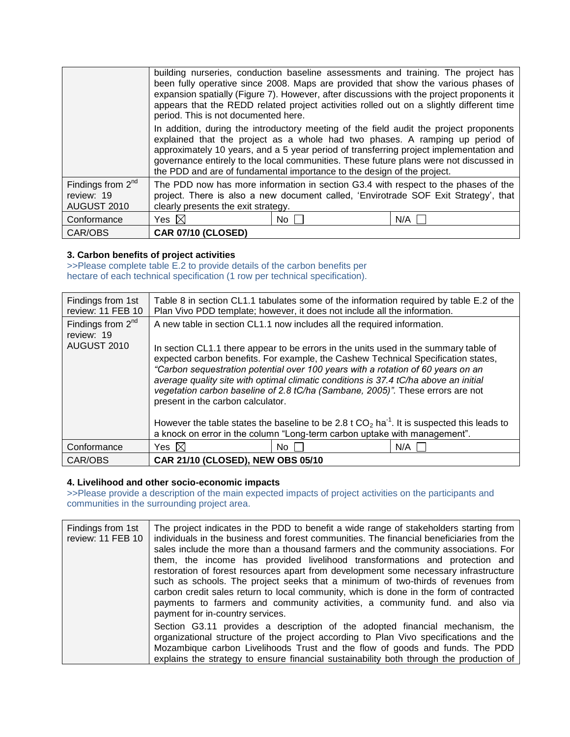|                                                  | period. This is not documented here.                                    |    | building nurseries, conduction baseline assessments and training. The project has<br>been fully operative since 2008. Maps are provided that show the various phases of<br>expansion spatially (Figure 7). However, after discussions with the project proponents it<br>appears that the REDD related project activities rolled out on a slightly different time |
|--------------------------------------------------|-------------------------------------------------------------------------|----|------------------------------------------------------------------------------------------------------------------------------------------------------------------------------------------------------------------------------------------------------------------------------------------------------------------------------------------------------------------|
|                                                  | the PDD and are of fundamental importance to the design of the project. |    | In addition, during the introductory meeting of the field audit the project proponents<br>explained that the project as a whole had two phases. A ramping up period of<br>approximately 10 years, and a 5 year period of transferring project implementation and<br>governance entirely to the local communities. These future plans were not discussed in       |
| Findings from $2nd$<br>review: 19<br>AUGUST 2010 | clearly presents the exit strategy.                                     |    | The PDD now has more information in section G3.4 with respect to the phases of the<br>project. There is also a new document called, 'Envirotrade SOF Exit Strategy', that                                                                                                                                                                                        |
| Conformance                                      | Yes $\boxtimes$                                                         | No | N/A                                                                                                                                                                                                                                                                                                                                                              |
| CAR/OBS                                          | <b>CAR 07/10 (CLOSED)</b>                                               |    |                                                                                                                                                                                                                                                                                                                                                                  |

## **3. Carbon benefits of project activities**

>>Please complete table E.2 to provide details of the carbon benefits per hectare of each technical specification (1 row per technical specification).

| Findings from 1st<br>review: 11 FEB 10           | Table 8 in section CL1.1 tabulates some of the information required by table E.2 of the<br>Plan Vivo PDD template; however, it does not include all the information.                                                                                                                                                                                                                                                                                                                                                                                                                                                                                                |     |     |
|--------------------------------------------------|---------------------------------------------------------------------------------------------------------------------------------------------------------------------------------------------------------------------------------------------------------------------------------------------------------------------------------------------------------------------------------------------------------------------------------------------------------------------------------------------------------------------------------------------------------------------------------------------------------------------------------------------------------------------|-----|-----|
| Findings from $2nd$<br>review: 19<br>AUGUST 2010 | A new table in section CL1.1 now includes all the required information.<br>In section CL1.1 there appear to be errors in the units used in the summary table of<br>expected carbon benefits. For example, the Cashew Technical Specification states,<br>"Carbon sequestration potential over 100 years with a rotation of 60 years on an<br>average quality site with optimal climatic conditions is 37.4 tC/ha above an initial<br>vegetation carbon baseline of 2.8 tC/ha (Sambane, 2005)". These errors are not<br>present in the carbon calculator.<br>However the table states the baseline to be 2.8 t $CO2$ ha <sup>-1</sup> . It is suspected this leads to |     |     |
|                                                  | a knock on error in the column "Long-term carbon uptake with management".                                                                                                                                                                                                                                                                                                                                                                                                                                                                                                                                                                                           |     |     |
| Conformance                                      | Yes $\boxtimes$                                                                                                                                                                                                                                                                                                                                                                                                                                                                                                                                                                                                                                                     | No. | N/A |
| CAR/OBS                                          | CAR 21/10 (CLOSED), NEW OBS 05/10                                                                                                                                                                                                                                                                                                                                                                                                                                                                                                                                                                                                                                   |     |     |

#### **4. Livelihood and other socio-economic impacts**

>>Please provide a description of the main expected impacts of project activities on the participants and communities in the surrounding project area.

| Findings from 1st<br>review: 11 FEB 10 | The project indicates in the PDD to benefit a wide range of stakeholders starting from<br>individuals in the business and forest communities. The financial beneficiaries from the<br>sales include the more than a thousand farmers and the community associations. For<br>them, the income has provided livelihood transformations and protection and<br>restoration of forest resources apart from development some necessary infrastructure<br>such as schools. The project seeks that a minimum of two-thirds of revenues from<br>carbon credit sales return to local community, which is done in the form of contracted<br>payments to farmers and community activities, a community fund. and also via<br>payment for in-country services. |
|----------------------------------------|---------------------------------------------------------------------------------------------------------------------------------------------------------------------------------------------------------------------------------------------------------------------------------------------------------------------------------------------------------------------------------------------------------------------------------------------------------------------------------------------------------------------------------------------------------------------------------------------------------------------------------------------------------------------------------------------------------------------------------------------------|
|                                        | Section G3.11 provides a description of the adopted financial mechanism, the<br>organizational structure of the project according to Plan Vivo specifications and the<br>Mozambique carbon Livelihoods Trust and the flow of goods and funds. The PDD<br>explains the strategy to ensure financial sustainability both through the production of                                                                                                                                                                                                                                                                                                                                                                                                  |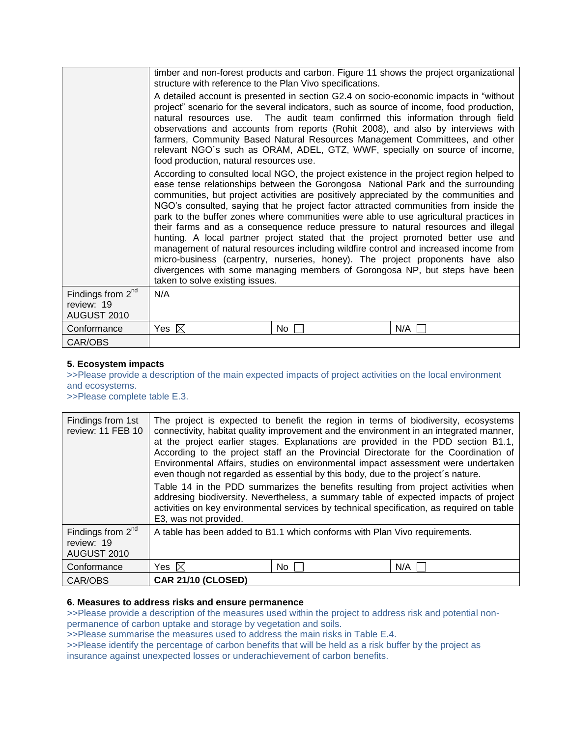|                                                     | structure with reference to the Plan Vivo specifications. |    | timber and non-forest products and carbon. Figure 11 shows the project organizational                                                                                                                                                                                                                                                                                                                                                                                                                                                                                                                                                                                                                                                                                                                                                                                                   |
|-----------------------------------------------------|-----------------------------------------------------------|----|-----------------------------------------------------------------------------------------------------------------------------------------------------------------------------------------------------------------------------------------------------------------------------------------------------------------------------------------------------------------------------------------------------------------------------------------------------------------------------------------------------------------------------------------------------------------------------------------------------------------------------------------------------------------------------------------------------------------------------------------------------------------------------------------------------------------------------------------------------------------------------------------|
|                                                     | food production, natural resources use.                   |    | A detailed account is presented in section G2.4 on socio-economic impacts in "without<br>project" scenario for the several indicators, such as source of income, food production,<br>natural resources use. The audit team confirmed this information through field<br>observations and accounts from reports (Rohit 2008), and also by interviews with<br>farmers, Community Based Natural Resources Management Committees, and other<br>relevant NGO's such as ORAM, ADEL, GTZ, WWF, specially on source of income,                                                                                                                                                                                                                                                                                                                                                                   |
|                                                     | taken to solve existing issues.                           |    | According to consulted local NGO, the project existence in the project region helped to<br>ease tense relationships between the Gorongosa National Park and the surrounding<br>communities, but project activities are positively appreciated by the communities and<br>NGO's consulted, saying that he project factor attracted communities from inside the<br>park to the buffer zones where communities were able to use agricultural practices in<br>their farms and as a consequence reduce pressure to natural resources and illegal<br>hunting. A local partner project stated that the project promoted better use and<br>management of natural resources including wildfire control and increased income from<br>micro-business (carpentry, nurseries, honey). The project proponents have also<br>divergences with some managing members of Gorongosa NP, but steps have been |
| Findings from $2^{nd}$<br>review: 19<br>AUGUST 2010 | N/A                                                       |    |                                                                                                                                                                                                                                                                                                                                                                                                                                                                                                                                                                                                                                                                                                                                                                                                                                                                                         |
| Conformance                                         | Yes $\boxtimes$                                           | No | N/A                                                                                                                                                                                                                                                                                                                                                                                                                                                                                                                                                                                                                                                                                                                                                                                                                                                                                     |
| CAR/OBS                                             |                                                           |    |                                                                                                                                                                                                                                                                                                                                                                                                                                                                                                                                                                                                                                                                                                                                                                                                                                                                                         |

## **5. Ecosystem impacts**

>>Please provide a description of the main expected impacts of project activities on the local environment and ecosystems.

>>Please complete table E.3.

| Findings from 1st<br>review: 11 FEB 10              | even though not regarded as essential by this body, due to the project's nature.<br>E3, was not provided. |      | The project is expected to benefit the region in terms of biodiversity, ecosystems<br>connectivity, habitat quality improvement and the environment in an integrated manner,<br>at the project earlier stages. Explanations are provided in the PDD section B1.1,<br>According to the project staff an the Provincial Directorate for the Coordination of<br>Environmental Affairs, studies on environmental impact assessment were undertaken<br>Table 14 in the PDD summarizes the benefits resulting from project activities when<br>addresing biodiversity. Nevertheless, a summary table of expected impacts of project<br>activities on key environmental services by technical specification, as required on table |
|-----------------------------------------------------|-----------------------------------------------------------------------------------------------------------|------|---------------------------------------------------------------------------------------------------------------------------------------------------------------------------------------------------------------------------------------------------------------------------------------------------------------------------------------------------------------------------------------------------------------------------------------------------------------------------------------------------------------------------------------------------------------------------------------------------------------------------------------------------------------------------------------------------------------------------|
| Findings from $2^{nd}$<br>review: 19<br>AUGUST 2010 | A table has been added to B1.1 which conforms with Plan Vivo requirements.                                |      |                                                                                                                                                                                                                                                                                                                                                                                                                                                                                                                                                                                                                                                                                                                           |
| Conformance                                         | Yes $\boxtimes$                                                                                           | No l | N/A                                                                                                                                                                                                                                                                                                                                                                                                                                                                                                                                                                                                                                                                                                                       |
| CAR/OBS                                             | <b>CAR 21/10 (CLOSED)</b>                                                                                 |      |                                                                                                                                                                                                                                                                                                                                                                                                                                                                                                                                                                                                                                                                                                                           |

#### **6. Measures to address risks and ensure permanence**

>>Please provide a description of the measures used within the project to address risk and potential nonpermanence of carbon uptake and storage by vegetation and soils.

>>Please summarise the measures used to address the main risks in Table E.4.

>>Please identify the percentage of carbon benefits that will be held as a risk buffer by the project as insurance against unexpected losses or underachievement of carbon benefits.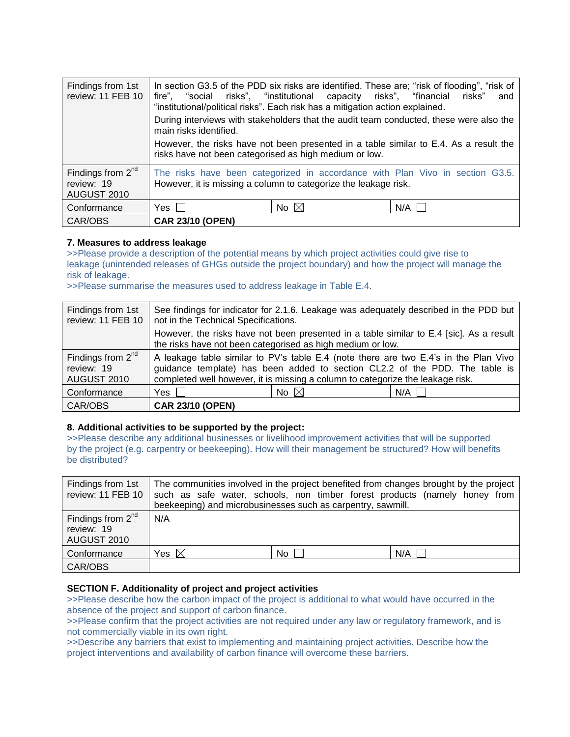| Findings from 1st<br>review: 11 FEB 10           | fire", "social risks", "institutional capacity risks", "financial risks"<br>main risks identified.<br>risks have not been categorised as high medium or low. | "institutional/political risks". Each risk has a mitigation action explained. | In section G3.5 of the PDD six risks are identified. These are; "risk of flooding", "risk of<br>and<br>During interviews with stakeholders that the audit team conducted, these were also the<br>However, the risks have not been presented in a table similar to E.4. As a result the |
|--------------------------------------------------|--------------------------------------------------------------------------------------------------------------------------------------------------------------|-------------------------------------------------------------------------------|----------------------------------------------------------------------------------------------------------------------------------------------------------------------------------------------------------------------------------------------------------------------------------------|
| Findings from $2nd$<br>review: 19<br>AUGUST 2010 |                                                                                                                                                              | However, it is missing a column to categorize the leakage risk.               | The risks have been categorized in accordance with Plan Vivo in section G3.5.                                                                                                                                                                                                          |
| Conformance                                      | Yes                                                                                                                                                          | No $\boxtimes$                                                                | $N/A$                                                                                                                                                                                                                                                                                  |
| CAR/OBS                                          | <b>CAR 23/10 (OPEN)</b>                                                                                                                                      |                                                                               |                                                                                                                                                                                                                                                                                        |

## **7. Measures to address leakage**

>>Please provide a description of the potential means by which project activities could give rise to leakage (unintended releases of GHGs outside the project boundary) and how the project will manage the risk of leakage.

>>Please summarise the measures used to address leakage in Table E.4.

| Findings from 1st<br>review: 11 FEB 10                     | See findings for indicator for 2.1.6. Leakage was adequately described in the PDD but<br>not in the Technical Specifications.                                                                                                                         |
|------------------------------------------------------------|-------------------------------------------------------------------------------------------------------------------------------------------------------------------------------------------------------------------------------------------------------|
|                                                            | However, the risks have not been presented in a table similar to E.4 [sic]. As a result<br>the risks have not been categorised as high medium or low.                                                                                                 |
| Findings from 2 <sup>nd</sup><br>review: 19<br>AUGUST 2010 | A leakage table similar to PV's table E.4 (note there are two E.4's in the Plan Vivo<br>guidance template) has been added to section CL2.2 of the PDD. The table is<br>completed well however, it is missing a column to categorize the leakage risk. |
| Conformance                                                | No $\boxtimes$<br>$N/A$  <br>Yes I                                                                                                                                                                                                                    |
| CAR/OBS                                                    | <b>CAR 23/10 (OPEN)</b>                                                                                                                                                                                                                               |

#### **8. Additional activities to be supported by the project:**

>>Please describe any additional businesses or livelihood improvement activities that will be supported by the project (e.g. carpentry or beekeeping). How will their management be structured? How will benefits be distributed?

| Findings from 1st<br>review: 11 FEB 10              | beekeeping) and microbusinesses such as carpentry, sawmill. |    | The communities involved in the project benefited from changes brought by the project<br>such as safe water, schools, non timber forest products (namely honey from |
|-----------------------------------------------------|-------------------------------------------------------------|----|---------------------------------------------------------------------------------------------------------------------------------------------------------------------|
| Findings from $2^{nd}$<br>review: 19<br>AUGUST 2010 | N/A                                                         |    |                                                                                                                                                                     |
| Conformance                                         | Yes $\boxtimes$                                             | No | N/A                                                                                                                                                                 |
| CAR/OBS                                             |                                                             |    |                                                                                                                                                                     |

#### **SECTION F. Additionality of project and project activities**

>>Please describe how the carbon impact of the project is additional to what would have occurred in the absence of the project and support of carbon finance.

>>Please confirm that the project activities are not required under any law or regulatory framework, and is not commercially viable in its own right.

>>Describe any barriers that exist to implementing and maintaining project activities. Describe how the project interventions and availability of carbon finance will overcome these barriers.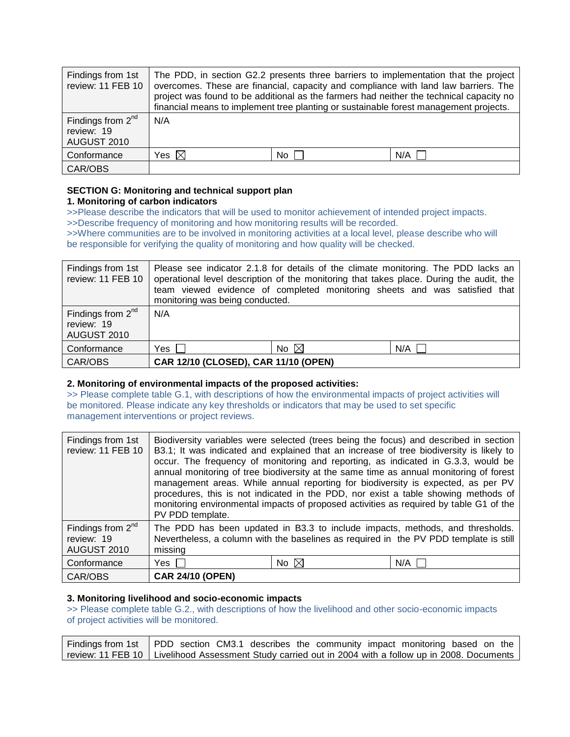| Findings from 1st<br>review: 11 FEB 10                     |                 |    | The PDD, in section G2.2 presents three barriers to implementation that the project<br>overcomes. These are financial, capacity and compliance with land law barriers. The<br>project was found to be additional as the farmers had neither the technical capacity no<br>financial means to implement tree planting or sustainable forest management projects. |
|------------------------------------------------------------|-----------------|----|----------------------------------------------------------------------------------------------------------------------------------------------------------------------------------------------------------------------------------------------------------------------------------------------------------------------------------------------------------------|
| Findings from 2 <sup>nd</sup><br>review: 19<br>AUGUST 2010 | N/A             |    |                                                                                                                                                                                                                                                                                                                                                                |
| Conformance                                                | Yes $\boxtimes$ | No | N/A                                                                                                                                                                                                                                                                                                                                                            |
| CAR/OBS                                                    |                 |    |                                                                                                                                                                                                                                                                                                                                                                |

## **SECTION G: Monitoring and technical support plan**

## **1. Monitoring of carbon indicators**

>>Please describe the indicators that will be used to monitor achievement of intended project impacts. >>Describe frequency of monitoring and how monitoring results will be recorded.

>>Where communities are to be involved in monitoring activities at a local level, please describe who will be responsible for verifying the quality of monitoring and how quality will be checked.

| Findings from 1st<br>review: 11 FEB 10                     | monitoring was being conducted.      |                | Please see indicator 2.1.8 for details of the climate monitoring. The PDD lacks an<br>operational level description of the monitoring that takes place. During the audit, the<br>team viewed evidence of completed monitoring sheets and was satisfied that |
|------------------------------------------------------------|--------------------------------------|----------------|-------------------------------------------------------------------------------------------------------------------------------------------------------------------------------------------------------------------------------------------------------------|
| Findings from 2 <sup>nd</sup><br>review: 19<br>AUGUST 2010 | N/A                                  |                |                                                                                                                                                                                                                                                             |
| Conformance                                                | Yes I I                              | No $\boxtimes$ | N/A                                                                                                                                                                                                                                                         |
| CAR/OBS                                                    | CAR 12/10 (CLOSED), CAR 11/10 (OPEN) |                |                                                                                                                                                                                                                                                             |

## **2. Monitoring of environmental impacts of the proposed activities:**

>> Please complete table G.1, with descriptions of how the environmental impacts of project activities will be monitored. Please indicate any key thresholds or indicators that may be used to set specific management interventions or project reviews.

| Findings from 1st<br>review: 11 FEB 10           | PV PDD template.        |                    | Biodiversity variables were selected (trees being the focus) and described in section<br>B3.1; It was indicated and explained that an increase of tree biodiversity is likely to<br>occur. The frequency of monitoring and reporting, as indicated in G.3.3, would be<br>annual monitoring of tree biodiversity at the same time as annual monitoring of forest<br>management areas. While annual reporting for biodiversity is expected, as per PV<br>procedures, this is not indicated in the PDD, nor exist a table showing methods of<br>monitoring environmental impacts of proposed activities as required by table G1 of the |
|--------------------------------------------------|-------------------------|--------------------|-------------------------------------------------------------------------------------------------------------------------------------------------------------------------------------------------------------------------------------------------------------------------------------------------------------------------------------------------------------------------------------------------------------------------------------------------------------------------------------------------------------------------------------------------------------------------------------------------------------------------------------|
| Findings from $2nd$<br>review: 19<br>AUGUST 2010 | missing                 |                    | The PDD has been updated in B3.3 to include impacts, methods, and thresholds.<br>Nevertheless, a column with the baselines as required in the PV PDD template is still                                                                                                                                                                                                                                                                                                                                                                                                                                                              |
| Conformance                                      | Yes I                   | No $\not\boxtimes$ | N/A                                                                                                                                                                                                                                                                                                                                                                                                                                                                                                                                                                                                                                 |
| CAR/OBS                                          | <b>CAR 24/10 (OPEN)</b> |                    |                                                                                                                                                                                                                                                                                                                                                                                                                                                                                                                                                                                                                                     |

## **3. Monitoring livelihood and socio-economic impacts**

>> Please complete table G.2., with descriptions of how the livelihood and other socio-economic impacts of project activities will be monitored.

| Findings from 1st   PDD section CM3.1 describes the community impact monitoring based on the I          |
|---------------------------------------------------------------------------------------------------------|
| review: 11 FEB 10   Livelihood Assessment Study carried out in 2004 with a follow up in 2008. Documents |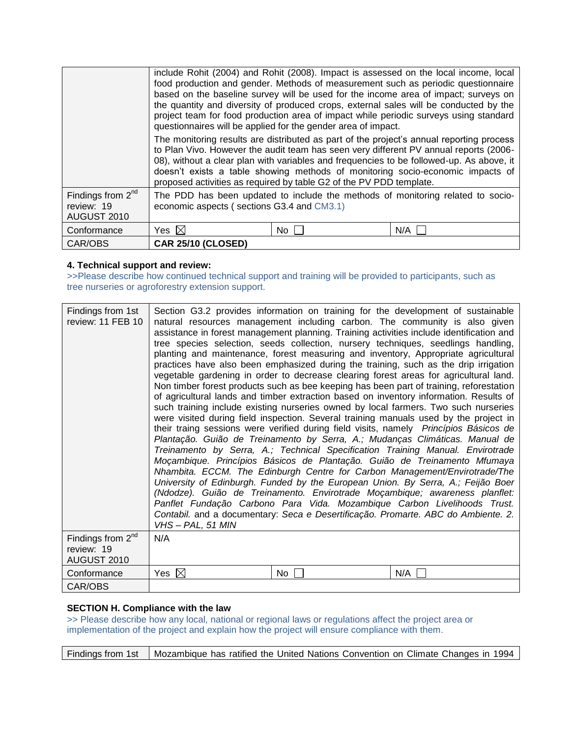|                                                     | questionnaires will be applied for the gender area of impact.       |    | include Rohit (2004) and Rohit (2008). Impact is assessed on the local income, local<br>food production and gender. Methods of measurement such as periodic questionnaire<br>based on the baseline survey will be used for the income area of impact; surveys on<br>the quantity and diversity of produced crops, external sales will be conducted by the<br>project team for food production area of impact while periodic surveys using standard |
|-----------------------------------------------------|---------------------------------------------------------------------|----|----------------------------------------------------------------------------------------------------------------------------------------------------------------------------------------------------------------------------------------------------------------------------------------------------------------------------------------------------------------------------------------------------------------------------------------------------|
|                                                     | proposed activities as required by table G2 of the PV PDD template. |    | The monitoring results are distributed as part of the project's annual reporting process<br>to Plan Vivo. However the audit team has seen very different PV annual reports (2006-<br>08), without a clear plan with variables and frequencies to be followed-up. As above, it<br>doesn't exists a table showing methods of monitoring socio-economic impacts of                                                                                    |
| Findings from $2^{nd}$<br>review: 19<br>AUGUST 2010 | economic aspects (sections G3.4 and CM3.1)                          |    | The PDD has been updated to include the methods of monitoring related to socio-                                                                                                                                                                                                                                                                                                                                                                    |
| Conformance                                         | Yes $\boxtimes$                                                     | No | N/A                                                                                                                                                                                                                                                                                                                                                                                                                                                |
| CAR/OBS                                             | <b>CAR 25/10 (CLOSED)</b>                                           |    |                                                                                                                                                                                                                                                                                                                                                                                                                                                    |

## **4. Technical support and review:**

>>Please describe how continued technical support and training will be provided to participants, such as tree nurseries or agroforestry extension support.

| Findings from 1st<br>review: 11 FEB 10                     | VHS-PAL, 51 MIN |    | Section G3.2 provides information on training for the development of sustainable<br>natural resources management including carbon. The community is also given<br>assistance in forest management planning. Training activities include identification and<br>tree species selection, seeds collection, nursery techniques, seedlings handling,<br>planting and maintenance, forest measuring and inventory, Appropriate agricultural<br>practices have also been emphasized during the training, such as the drip irrigation<br>vegetable gardening in order to decrease clearing forest areas for agricultural land.<br>Non timber forest products such as bee keeping has been part of training, reforestation<br>of agricultural lands and timber extraction based on inventory information. Results of<br>such training include existing nurseries owned by local farmers. Two such nurseries<br>were visited during field inspection. Several training manuals used by the project in<br>their traing sessions were verified during field visits, namely Princípios Básicos de<br>Plantação. Guião de Treinamento by Serra, A.; Mudanças Climáticas. Manual de<br>Treinamento by Serra, A.; Technical Specification Training Manual. Envirotrade<br>Moçambique. Princípios Básicos de Plantação. Guião de Treinamento Mfumaya<br>Nhambita. ECCM. The Edinburgh Centre for Carbon Management/Envirotrade/The<br>University of Edinburgh. Funded by the European Union. By Serra, A.; Feijão Boer<br>(Ndodze). Guião de Treinamento. Envirotrade Moçambique; awareness planflet:<br>Panflet Fundação Carbono Para Vida. Mozambique Carbon Livelihoods Trust.<br>Contabil. and a documentary: Seca e Desertificação. Promarte. ABC do Ambiente. 2. |
|------------------------------------------------------------|-----------------|----|-------------------------------------------------------------------------------------------------------------------------------------------------------------------------------------------------------------------------------------------------------------------------------------------------------------------------------------------------------------------------------------------------------------------------------------------------------------------------------------------------------------------------------------------------------------------------------------------------------------------------------------------------------------------------------------------------------------------------------------------------------------------------------------------------------------------------------------------------------------------------------------------------------------------------------------------------------------------------------------------------------------------------------------------------------------------------------------------------------------------------------------------------------------------------------------------------------------------------------------------------------------------------------------------------------------------------------------------------------------------------------------------------------------------------------------------------------------------------------------------------------------------------------------------------------------------------------------------------------------------------------------------------------------------------------------------------------------------------------------------------------|
| Findings from 2 <sup>nd</sup><br>review: 19<br>AUGUST 2010 | N/A             |    |                                                                                                                                                                                                                                                                                                                                                                                                                                                                                                                                                                                                                                                                                                                                                                                                                                                                                                                                                                                                                                                                                                                                                                                                                                                                                                                                                                                                                                                                                                                                                                                                                                                                                                                                                       |
| Conformance                                                | Yes $\boxtimes$ | No | N/A                                                                                                                                                                                                                                                                                                                                                                                                                                                                                                                                                                                                                                                                                                                                                                                                                                                                                                                                                                                                                                                                                                                                                                                                                                                                                                                                                                                                                                                                                                                                                                                                                                                                                                                                                   |
| CAR/OBS                                                    |                 |    |                                                                                                                                                                                                                                                                                                                                                                                                                                                                                                                                                                                                                                                                                                                                                                                                                                                                                                                                                                                                                                                                                                                                                                                                                                                                                                                                                                                                                                                                                                                                                                                                                                                                                                                                                       |

## **SECTION H. Compliance with the law**

>> Please describe how any local, national or regional laws or regulations affect the project area or implementation of the project and explain how the project will ensure compliance with them.

Findings from 1st | Mozambique has ratified the United Nations Convention on Climate Changes in 1994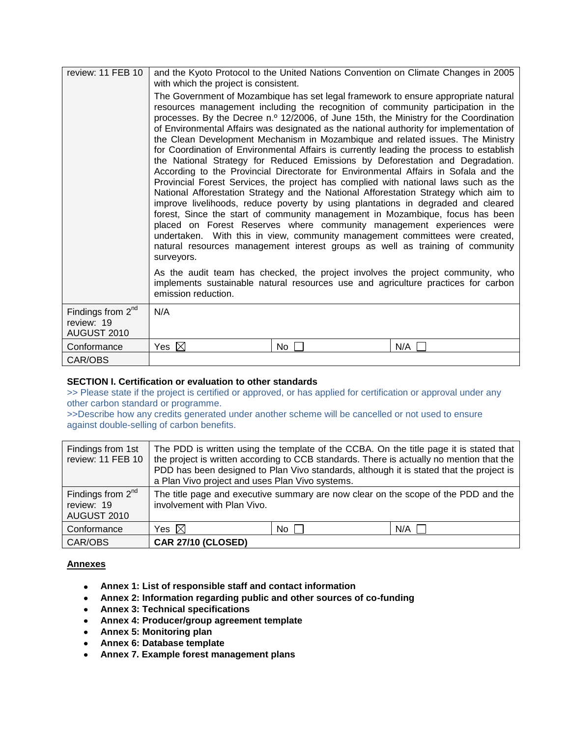| review: 11 FEB 10                                          | and the Kyoto Protocol to the United Nations Convention on Climate Changes in 2005<br>with which the project is consistent.                                                                                                                                                                                                                                                                                                                                                                                                                                                                                                                                                                                                                                                                                                                                                                                                                                                                                                                                                                                                                                                                                                                                                                                                                                                                                                                                                                        |    |     |  |  |
|------------------------------------------------------------|----------------------------------------------------------------------------------------------------------------------------------------------------------------------------------------------------------------------------------------------------------------------------------------------------------------------------------------------------------------------------------------------------------------------------------------------------------------------------------------------------------------------------------------------------------------------------------------------------------------------------------------------------------------------------------------------------------------------------------------------------------------------------------------------------------------------------------------------------------------------------------------------------------------------------------------------------------------------------------------------------------------------------------------------------------------------------------------------------------------------------------------------------------------------------------------------------------------------------------------------------------------------------------------------------------------------------------------------------------------------------------------------------------------------------------------------------------------------------------------------------|----|-----|--|--|
|                                                            | The Government of Mozambique has set legal framework to ensure appropriate natural<br>resources management including the recognition of community participation in the<br>processes. By the Decree n.º 12/2006, of June 15th, the Ministry for the Coordination<br>of Environmental Affairs was designated as the national authority for implementation of<br>the Clean Development Mechanism in Mozambique and related issues. The Ministry<br>for Coordination of Environmental Affairs is currently leading the process to establish<br>the National Strategy for Reduced Emissions by Deforestation and Degradation.<br>According to the Provincial Directorate for Environmental Affairs in Sofala and the<br>Provincial Forest Services, the project has complied with national laws such as the<br>National Afforestation Strategy and the National Afforestation Strategy which aim to<br>improve livelihoods, reduce poverty by using plantations in degraded and cleared<br>forest, Since the start of community management in Mozambique, focus has been<br>placed on Forest Reserves where community management experiences were<br>undertaken. With this in view, community management committees were created,<br>natural resources management interest groups as well as training of community<br>surveyors.<br>As the audit team has checked, the project involves the project community, who<br>implements sustainable natural resources use and agriculture practices for carbon |    |     |  |  |
|                                                            | emission reduction.                                                                                                                                                                                                                                                                                                                                                                                                                                                                                                                                                                                                                                                                                                                                                                                                                                                                                                                                                                                                                                                                                                                                                                                                                                                                                                                                                                                                                                                                                |    |     |  |  |
| Findings from 2 <sup>nd</sup><br>review: 19<br>AUGUST 2010 | N/A                                                                                                                                                                                                                                                                                                                                                                                                                                                                                                                                                                                                                                                                                                                                                                                                                                                                                                                                                                                                                                                                                                                                                                                                                                                                                                                                                                                                                                                                                                |    |     |  |  |
| Conformance                                                | Yes $\boxtimes$                                                                                                                                                                                                                                                                                                                                                                                                                                                                                                                                                                                                                                                                                                                                                                                                                                                                                                                                                                                                                                                                                                                                                                                                                                                                                                                                                                                                                                                                                    | No | N/A |  |  |
| CAR/OBS                                                    |                                                                                                                                                                                                                                                                                                                                                                                                                                                                                                                                                                                                                                                                                                                                                                                                                                                                                                                                                                                                                                                                                                                                                                                                                                                                                                                                                                                                                                                                                                    |    |     |  |  |

## **SECTION I. Certification or evaluation to other standards**

>> Please state if the project is certified or approved, or has applied for certification or approval under any other carbon standard or programme.

>>Describe how any credits generated under another scheme will be cancelled or not used to ensure against double-selling of carbon benefits.

| Findings from 1st<br>review: 11 FEB 10              | The PDD is written using the template of the CCBA. On the title page it is stated that<br>the project is written according to CCB standards. There is actually no mention that the<br>PDD has been designed to Plan Vivo standards, although it is stated that the project is<br>a Plan Vivo project and uses Plan Vivo systems. |      |     |  |
|-----------------------------------------------------|----------------------------------------------------------------------------------------------------------------------------------------------------------------------------------------------------------------------------------------------------------------------------------------------------------------------------------|------|-----|--|
| Findings from $2^{nd}$<br>review: 19<br>AUGUST 2010 | The title page and executive summary are now clear on the scope of the PDD and the<br>involvement with Plan Vivo.                                                                                                                                                                                                                |      |     |  |
| Conformance                                         | Yes $\boxtimes$                                                                                                                                                                                                                                                                                                                  | No l | N/A |  |
| CAR/OBS                                             | <b>CAR 27/10 (CLOSED)</b>                                                                                                                                                                                                                                                                                                        |      |     |  |

## **Annexes**

- **Annex 1: List of responsible staff and contact information**
- **Annex 2: Information regarding public and other sources of co-funding**
- **Annex 3: Technical specifications**
- **Annex 4: Producer/group agreement template**
- **Annex 5: Monitoring plan**
- **Annex 6: Database template**
- **Annex 7. Example forest management plans**